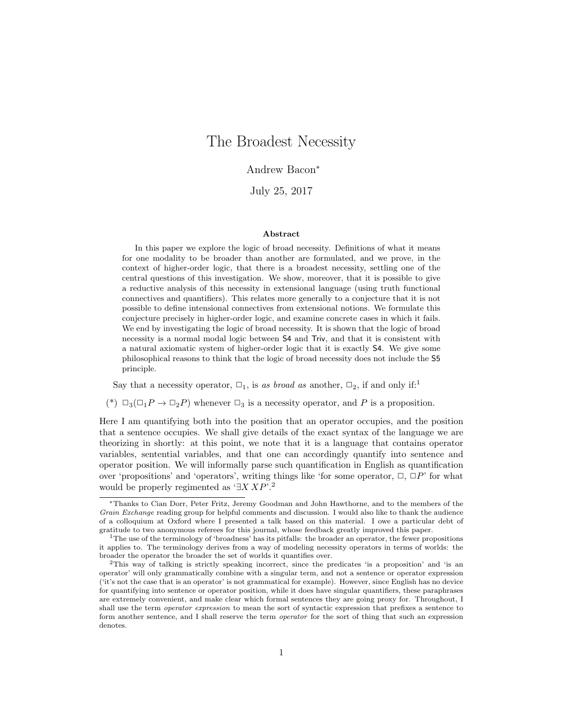# The Broadest Necessity

Andrew Bacon<sup>∗</sup>

July 25, 2017

#### Abstract

In this paper we explore the logic of broad necessity. Definitions of what it means for one modality to be broader than another are formulated, and we prove, in the context of higher-order logic, that there is a broadest necessity, settling one of the central questions of this investigation. We show, moreover, that it is possible to give a reductive analysis of this necessity in extensional language (using truth functional connectives and quantifiers). This relates more generally to a conjecture that it is not possible to define intensional connectives from extensional notions. We formulate this conjecture precisely in higher-order logic, and examine concrete cases in which it fails. We end by investigating the logic of broad necessity. It is shown that the logic of broad necessity is a normal modal logic between S4 and Triv, and that it is consistent with a natural axiomatic system of higher-order logic that it is exactly S4. We give some philosophical reasons to think that the logic of broad necessity does not include the S5 principle.

Say that a necessity operator,  $\Box_1$ , is as broad as another,  $\Box_2$ , if and only if:<sup>1</sup>

(\*)  $\Box_3(\Box_1 P \to \Box_2 P)$  whenever  $\Box_3$  is a necessity operator, and P is a proposition.

Here I am quantifying both into the position that an operator occupies, and the position that a sentence occupies. We shall give details of the exact syntax of the language we are theorizing in shortly: at this point, we note that it is a language that contains operator variables, sentential variables, and that one can accordingly quantify into sentence and operator position. We will informally parse such quantification in English as quantification over 'propositions' and 'operators', writing things like 'for some operator,  $\Box$ ,  $\Box P$ ' for what would be properly regimented as ' $\exists X \, XP$ '.<sup>2</sup>

<sup>∗</sup>Thanks to Cian Dorr, Peter Fritz, Jeremy Goodman and John Hawthorne, and to the members of the Grain Exchange reading group for helpful comments and discussion. I would also like to thank the audience of a colloquium at Oxford where I presented a talk based on this material. I owe a particular debt of gratitude to two anonymous referees for this journal, whose feedback greatly improved this paper.

<sup>&</sup>lt;sup>1</sup>The use of the terminology of 'broadness' has its pitfalls: the broader an operator, the fewer propositions it applies to. The terminology derives from a way of modeling necessity operators in terms of worlds: the broader the operator the broader the set of worlds it quantifies over.

<sup>2</sup>This way of talking is strictly speaking incorrect, since the predicates 'is a proposition' and 'is an operator' will only grammatically combine with a singular term, and not a sentence or operator expression ('it's not the case that is an operator' is not grammatical for example). However, since English has no device for quantifying into sentence or operator position, while it does have singular quantifiers, these paraphrases are extremely convenient, and make clear which formal sentences they are going proxy for. Throughout, I shall use the term *operator expression* to mean the sort of syntactic expression that prefixes a sentence to form another sentence, and I shall reserve the term operator for the sort of thing that such an expression denotes.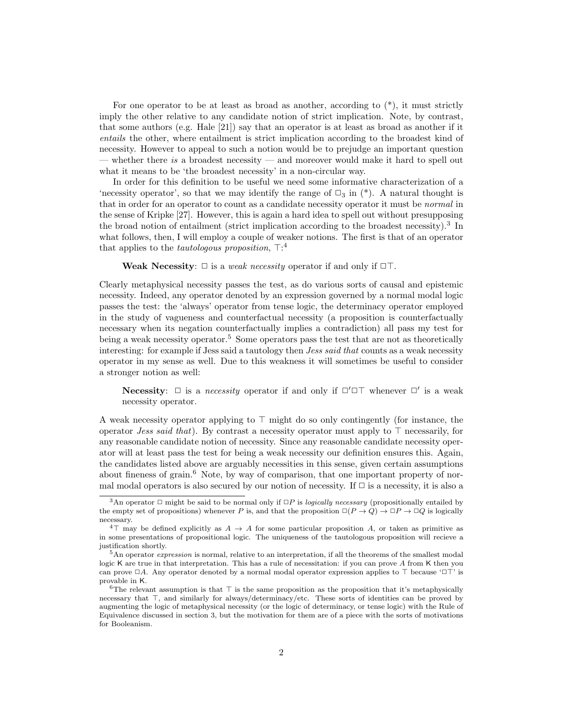For one operator to be at least as broad as another, according to  $(*)$ , it must strictly imply the other relative to any candidate notion of strict implication. Note, by contrast, that some authors (e.g. Hale [21]) say that an operator is at least as broad as another if it entails the other, where entailment is strict implication according to the broadest kind of necessity. However to appeal to such a notion would be to prejudge an important question — whether there is a broadest necessity — and moreover would make it hard to spell out what it means to be 'the broadest necessity' in a non-circular way.

In order for this definition to be useful we need some informative characterization of a 'necessity operator', so that we may identify the range of  $\square_3$  in (\*). A natural thought is that in order for an operator to count as a candidate necessity operator it must be *normal* in the sense of Kripke [27]. However, this is again a hard idea to spell out without presupposing the broad notion of entailment (strict implication according to the broadest necessity).<sup>3</sup> In what follows, then, I will employ a couple of weaker notions. The first is that of an operator that applies to the *tautologous proposition*,  $T:$ <sup>4</sup>

**Weak Necessity:**  $\Box$  is a *weak necessity* operator if and only if  $\Box$  $\top$ .

Clearly metaphysical necessity passes the test, as do various sorts of causal and epistemic necessity. Indeed, any operator denoted by an expression governed by a normal modal logic passes the test: the 'always' operator from tense logic, the determinacy operator employed in the study of vagueness and counterfactual necessity (a proposition is counterfactually necessary when its negation counterfactually implies a contradiction) all pass my test for being a weak necessity operator.<sup>5</sup> Some operators pass the test that are not as theoretically interesting: for example if Jess said a tautology then *Jess said that* counts as a weak necessity operator in my sense as well. Due to this weakness it will sometimes be useful to consider a stronger notion as well:

Necessity:  $\Box$  is a *necessity* operator if and only if  $\Box' \Box \top$  whenever  $\Box'$  is a weak necessity operator.

A weak necessity operator applying to  $\top$  might do so only contingently (for instance, the operator Jess said that). By contrast a necessity operator must apply to  $\top$  necessarily, for any reasonable candidate notion of necessity. Since any reasonable candidate necessity operator will at least pass the test for being a weak necessity our definition ensures this. Again, the candidates listed above are arguably necessities in this sense, given certain assumptions about fineness of grain. $6$  Note, by way of comparison, that one important property of normal modal operators is also secured by our notion of necessity. If  $\Box$  is a necessity, it is also a

<sup>&</sup>lt;sup>3</sup>An operator  $\Box$  might be said to be normal only if  $\Box P$  is *logically necessary* (propositionally entailed by the empty set of propositions) whenever P is, and that the proposition  $\Box(P \to Q) \to \Box P \to \Box Q$  is logically necessary.

<sup>&</sup>lt;sup>4</sup> T may be defined explicitly as  $A \to A$  for some particular proposition A, or taken as primitive as in some presentations of propositional logic. The uniqueness of the tautologous proposition will recieve a justification shortly.

 $5$ An operator *expression* is normal, relative to an interpretation, if all the theorems of the smallest modal logic K are true in that interpretation. This has a rule of necessitation: if you can prove A from K then you can prove  $\Box A$ . Any operator denoted by a normal modal operator expression applies to  $\top$  because ' $\Box \top$ ' is provable in K.

<sup>&</sup>lt;sup>6</sup>The relevant assumption is that  $\top$  is the same proposition as the proposition that it's metaphysically necessary that  $\top$ , and similarly for always/determinacy/etc. These sorts of identities can be proved by augmenting the logic of metaphysical necessity (or the logic of determinacy, or tense logic) with the Rule of Equivalence discussed in section 3, but the motivation for them are of a piece with the sorts of motivations for Booleanism.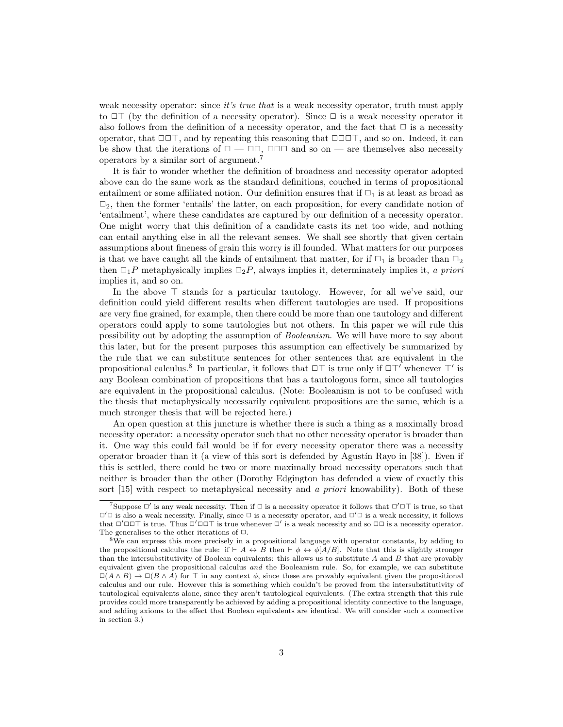weak necessity operator: since it's true that is a weak necessity operator, truth must apply to  $\Box\top$  (by the definition of a necessity operator). Since  $\Box$  is a weak necessity operator it also follows from the definition of a necessity operator, and the fact that  $\Box$  is a necessity operator, that  $\Box \Box \top$ , and by repeating this reasoning that  $\Box \Box \Box \top$ , and so on. Indeed, it can be show that the iterations of  $\Box$   $\Box$   $\Box$   $\Box$   $\Box$  and so on  $\Box$  are themselves also necessity operators by a similar sort of argument.<sup>7</sup>

It is fair to wonder whether the definition of broadness and necessity operator adopted above can do the same work as the standard definitions, couched in terms of propositional entailment or some affiliated notion. Our definition ensures that if  $\Box_1$  is at least as broad as  $\Box_2$ , then the former 'entails' the latter, on each proposition, for every candidate notion of 'entailment', where these candidates are captured by our definition of a necessity operator. One might worry that this definition of a candidate casts its net too wide, and nothing can entail anything else in all the relevant senses. We shall see shortly that given certain assumptions about fineness of grain this worry is ill founded. What matters for our purposes is that we have caught all the kinds of entailment that matter, for if  $\Box_1$  is broader than  $\Box_2$ then  $\Box_1 P$  metaphysically implies  $\Box_2 P$ , always implies it, determinately implies it, a priori implies it, and so on.

In the above  $\top$  stands for a particular tautology. However, for all we've said, our definition could yield different results when different tautologies are used. If propositions are very fine grained, for example, then there could be more than one tautology and different operators could apply to some tautologies but not others. In this paper we will rule this possibility out by adopting the assumption of Booleanism. We will have more to say about this later, but for the present purposes this assumption can effectively be summarized by the rule that we can substitute sentences for other sentences that are equivalent in the propositional calculus.<sup>8</sup> In particular, it follows that  $\Box\top$  is true only if  $\Box\top'$  whenever  $\top'$  is any Boolean combination of propositions that has a tautologous form, since all tautologies are equivalent in the propositional calculus. (Note: Booleanism is not to be confused with the thesis that metaphysically necessarily equivalent propositions are the same, which is a much stronger thesis that will be rejected here.)

An open question at this juncture is whether there is such a thing as a maximally broad necessity operator: a necessity operator such that no other necessity operator is broader than it. One way this could fail would be if for every necessity operator there was a necessity operator broader than it (a view of this sort is defended by Agustín Rayo in  $[38]$ ). Even if this is settled, there could be two or more maximally broad necessity operators such that neither is broader than the other (Dorothy Edgington has defended a view of exactly this sort [15] with respect to metaphysical necessity and a priori knowability). Both of these

<sup>&</sup>lt;sup>7</sup>Suppose  $\Box'$  is any weak necessity. Then if  $\Box$  is a necessity operator it follows that  $\Box' \Box \top$  is true, so that  $\Box' \Box$  is also a weak necessity. Finally, since  $\Box$  is a necessity operator, and  $\Box' \Box$  is a weak necessity, it follows that  $\Box' \Box \Box \top$  is true. Thus  $\Box' \Box \Box \top$  is true whenever  $\Box'$  is a weak necessity and so  $\Box \Box$  is a necessity operator. The generalises to the other iterations of  $\Box$ .

<sup>8</sup>We can express this more precisely in a propositional language with operator constants, by adding to the propositional calculus the rule: if  $\vdash A \leftrightarrow B$  then  $\vdash \phi \leftrightarrow \phi[A/B]$ . Note that this is slightly stronger than the intersubstitutivity of Boolean equivalents: this allows us to substitute  $A$  and  $B$  that are provably equivalent given the propositional calculus and the Booleanism rule. So, for example, we can substitute  $\Box(A \land B) \to \Box(B \land A)$  for  $\top$  in any context  $\phi$ , since these are provably equivalent given the propositional calculus and our rule. However this is something which couldn't be proved from the intersubstitutivity of tautological equivalents alone, since they aren't tautological equivalents. (The extra strength that this rule provides could more transparently be achieved by adding a propositional identity connective to the language, and adding axioms to the effect that Boolean equivalents are identical. We will consider such a connective in section 3.)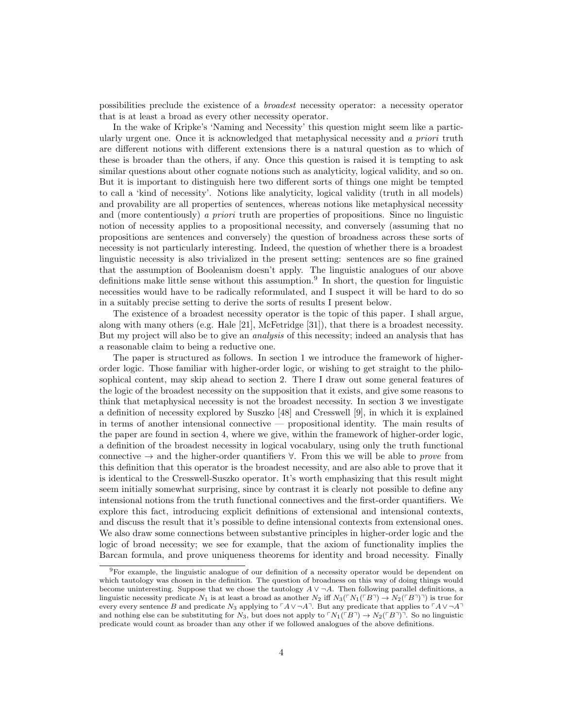possibilities preclude the existence of a broadest necessity operator: a necessity operator that is at least a broad as every other necessity operator.

In the wake of Kripke's 'Naming and Necessity' this question might seem like a particularly urgent one. Once it is acknowledged that metaphysical necessity and a priori truth are different notions with different extensions there is a natural question as to which of these is broader than the others, if any. Once this question is raised it is tempting to ask similar questions about other cognate notions such as analyticity, logical validity, and so on. But it is important to distinguish here two different sorts of things one might be tempted to call a 'kind of necessity'. Notions like analyticity, logical validity (truth in all models) and provability are all properties of sentences, whereas notions like metaphysical necessity and (more contentiously) a priori truth are properties of propositions. Since no linguistic notion of necessity applies to a propositional necessity, and conversely (assuming that no propositions are sentences and conversely) the question of broadness across these sorts of necessity is not particularly interesting. Indeed, the question of whether there is a broadest linguistic necessity is also trivialized in the present setting: sentences are so fine grained that the assumption of Booleanism doesn't apply. The linguistic analogues of our above definitions make little sense without this assumption.<sup>9</sup> In short, the question for linguistic necessities would have to be radically reformulated, and I suspect it will be hard to do so in a suitably precise setting to derive the sorts of results I present below.

The existence of a broadest necessity operator is the topic of this paper. I shall argue, along with many others (e.g. Hale [21], McFetridge [31]), that there is a broadest necessity. But my project will also be to give an *analysis* of this necessity; indeed an analysis that has a reasonable claim to being a reductive one.

The paper is structured as follows. In section 1 we introduce the framework of higherorder logic. Those familiar with higher-order logic, or wishing to get straight to the philosophical content, may skip ahead to section 2. There I draw out some general features of the logic of the broadest necessity on the supposition that it exists, and give some reasons to think that metaphysical necessity is not the broadest necessity. In section 3 we investigate a definition of necessity explored by Suszko [48] and Cresswell [9], in which it is explained in terms of another intensional connective — propositional identity. The main results of the paper are found in section 4, where we give, within the framework of higher-order logic, a definition of the broadest necessity in logical vocabulary, using only the truth functional connective  $\rightarrow$  and the higher-order quantifiers  $\forall$ . From this we will be able to prove from this definition that this operator is the broadest necessity, and are also able to prove that it is identical to the Cresswell-Suszko operator. It's worth emphasizing that this result might seem initially somewhat surprising, since by contrast it is clearly not possible to define any intensional notions from the truth functional connectives and the first-order quantifiers. We explore this fact, introducing explicit definitions of extensional and intensional contexts, and discuss the result that it's possible to define intensional contexts from extensional ones. We also draw some connections between substantive principles in higher-order logic and the logic of broad necessity; we see for example, that the axiom of functionality implies the Barcan formula, and prove uniqueness theorems for identity and broad necessity. Finally

 $9F$  For example, the linguistic analogue of our definition of a necessity operator would be dependent on which tautology was chosen in the definition. The question of broadness on this way of doing things would become uninteresting. Suppose that we chose the tautology  $A \vee \neg A$ . Then following parallel definitions, a linguistic necessity predicate  $N_1$  is at least a broad as another  $N_2$  iff  $N_3(\lceil N_1(\lceil B\rceil) \rightarrow N_2(\lceil B\rceil) \rceil)$  is true for every every sentence B and predicate  $N_3$  applying to  $\ulcorner A \lor \neg A \urcorner$ . But any predicate that applies to  $\ulcorner A \lor \neg A \urcorner$ and nothing else can be substituting for  $N_3$ , but does not apply to  $\lceil N_1(\lceil B \rceil) \rceil \to N_2(\lceil B \rceil) \rceil$ . So no linguistic predicate would count as broader than any other if we followed analogues of the above definitions.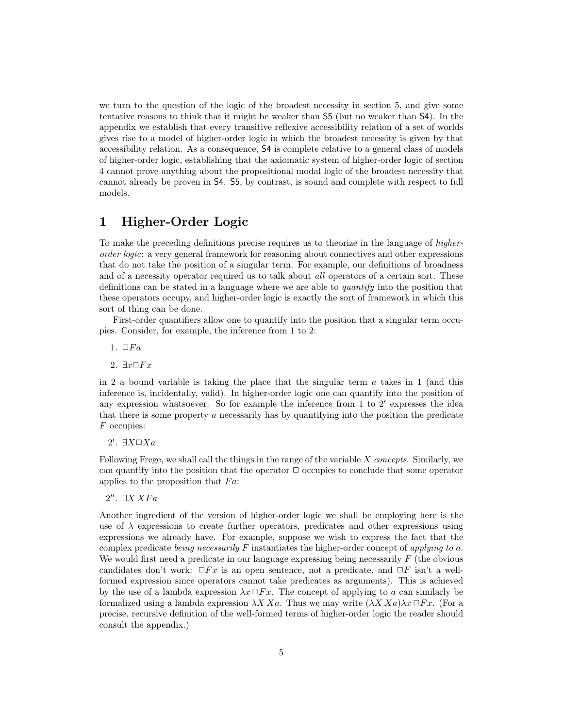we turn to the question of the logic of the broadest necessity in section 5, and give some tentative reasons to think that it might be weaker than S5 (but no weaker than S4). In the appendix we establish that every transitive reflexive accessibility relation of a set of worlds gives rise to a model of higher-order logic in which the broadest necessity is given by that accessibility relation. As a consequence, S4 is complete relative to a general class of models of higher-order logic, establishing that the axiomatic system of higher-order logic of section 4 cannot prove anything about the propositional modal logic of the broadest necessity that cannot already be proven in S4. S5, by contrast, is sound and complete with respect to full models.

# 1 Higher-Order Logic

To make the preceding definitions precise requires us to theorize in the language of higherorder logic: a very general framework for reasoning about connectives and other expressions that do not take the position of a singular term. For example, our definitions of broadness and of a necessity operator required us to talk about *all* operators of a certain sort. These definitions can be stated in a language where we are able to *quantify* into the position that these operators occupy, and higher-order logic is exactly the sort of framework in which this sort of thing can be done.

First-order quantifiers allow one to quantify into the position that a singular term occupies. Consider, for example, the inference from 1 to 2:

- 1.  $\Box Fa$
- 2.  $\exists x \Box F x$

in 2 a bound variable is taking the place that the singular term  $\alpha$  takes in 1 (and this inference is, incidentally, valid). In higher-order logic one can quantify into the position of any expression whatsoever. So for example the inference from  $1$  to  $2'$  expresses the idea that there is some property a necessarily has by quantifying into the position the predicate F occupies:

 $2'. \ \exists X \Box X a$ 

Following Frege, we shall call the things in the range of the variable  $X$  concepts. Similarly, we can quantify into the position that the operator  $\Box$  occupies to conclude that some operator applies to the proposition that  $Fa$ :

 $2''$ .  $\exists X \, XFa$ 

Another ingredient of the version of higher-order logic we shall be employing here is the use of  $\lambda$  expressions to create further operators, predicates and other expressions using expressions we already have. For example, suppose we wish to express the fact that the complex predicate *being necessarily* F instantiates the higher-order concept of *applying to a.* We would first need a predicate in our language expressing being necessarily  $F$  (the obvious candidates don't work:  $\Box F x$  is an open sentence, not a predicate, and  $\Box F$  isn't a wellformed expression since operators cannot take predicates as arguments). This is achieved by the use of a lambda expression  $\lambda x \Box F x$ . The concept of applying to a can similarly be formalized using a lambda expression  $\lambda X X a$ . Thus we may write  $(\lambda X X a) \lambda x \Box F x$ . (For a precise, recursive definition of the well-formed terms of higher-order logic the reader should consult the appendix.)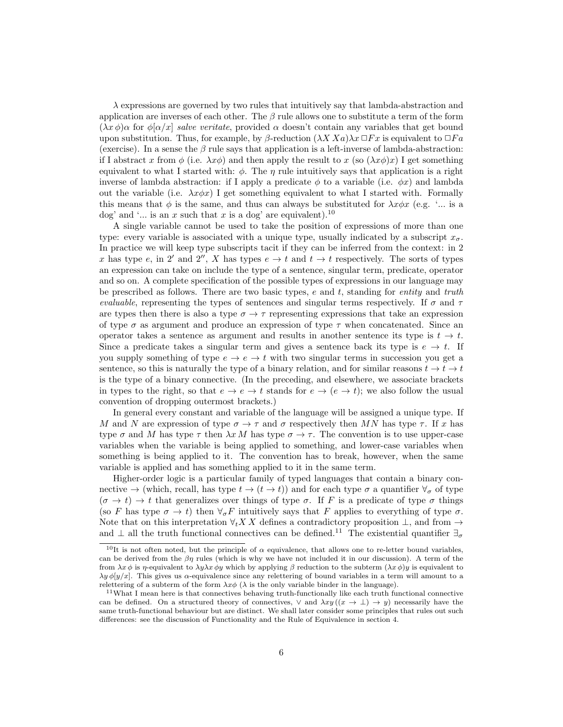$\lambda$  expressions are governed by two rules that intuitively say that lambda-abstraction and application are inverses of each other. The  $\beta$  rule allows one to substitute a term of the form  $(\lambda x \phi)$ α for  $\phi[\alpha/x]$  salve veritate, provided  $\alpha$  doesn't contain any variables that get bound upon substitution. Thus, for example, by  $\beta$ -reduction  $(\lambda X Xa)\lambda x \Box F x$  is equivalent to  $\Box Fa$ (exercise). In a sense the  $\beta$  rule says that application is a left-inverse of lambda-abstraction: if I abstract x from  $\phi$  (i.e.  $\lambda x \phi$ ) and then apply the result to x (so  $(\lambda x \phi)x$ ) I get something equivalent to what I started with:  $\phi$ . The  $\eta$  rule intuitively says that application is a right inverse of lambda abstraction: if I apply a predicate  $\phi$  to a variable (i.e.  $\phi x$ ) and lambda out the variable (i.e.  $\lambda x \phi x$ ) I get something equivalent to what I started with. Formally this means that  $\phi$  is the same, and thus can always be substituted for  $\lambda x \phi x$  (e.g. '... is a dog' and '... is an x such that x is a dog' are equivalent).<sup>10</sup>

A single variable cannot be used to take the position of expressions of more than one type: every variable is associated with a unique type, usually indicated by a subscript  $x_{\sigma}$ . In practice we will keep type subscripts tacit if they can be inferred from the context: in 2 x has type e, in 2' and 2'', X has types  $e \to t$  and  $t \to t$  respectively. The sorts of types an expression can take on include the type of a sentence, singular term, predicate, operator and so on. A complete specification of the possible types of expressions in our language may be prescribed as follows. There are two basic types,  $e$  and  $t$ , standing for entity and truth evaluable, representing the types of sentences and singular terms respectively. If  $\sigma$  and  $\tau$ are types then there is also a type  $\sigma \to \tau$  representing expressions that take an expression of type  $\sigma$  as argument and produce an expression of type  $\tau$  when concatenated. Since an operator takes a sentence as argument and results in another sentence its type is  $t \to t$ . Since a predicate takes a singular term and gives a sentence back its type is  $e \to t$ . If you supply something of type  $e \rightarrow e \rightarrow t$  with two singular terms in succession you get a sentence, so this is naturally the type of a binary relation, and for similar reasons  $t \to t \to t$ is the type of a binary connective. (In the preceding, and elsewhere, we associate brackets in types to the right, so that  $e \to e \to t$  stands for  $e \to (e \to t)$ ; we also follow the usual convention of dropping outermost brackets.)

In general every constant and variable of the language will be assigned a unique type. If M and N are expression of type  $\sigma \to \tau$  and  $\sigma$  respectively then MN has type  $\tau$ . If x has type  $\sigma$  and M has type  $\tau$  then  $\lambda x M$  has type  $\sigma \to \tau$ . The convention is to use upper-case variables when the variable is being applied to something, and lower-case variables when something is being applied to it. The convention has to break, however, when the same variable is applied and has something applied to it in the same term.

Higher-order logic is a particular family of typed languages that contain a binary connective  $\rightarrow$  (which, recall, has type  $t \rightarrow (t \rightarrow t)$ ) and for each type  $\sigma$  a quantifier  $\forall_{\sigma}$  of type  $(\sigma \to t) \to t$  that generalizes over things of type  $\sigma$ . If F is a predicate of type  $\sigma$  things (so F has type  $\sigma \to t$ ) then  $\forall_{\sigma} F$  intuitively says that F applies to everything of type  $\sigma$ . Note that on this interpretation  $\forall_t X X$  defines a contradictory proposition  $\bot$ , and from  $\rightarrow$ and  $\perp$  all the truth functional connectives can be defined.<sup>11</sup> The existential quantifier  $\exists_{\sigma}$ 

<sup>&</sup>lt;sup>10</sup>It is not often noted, but the principle of  $\alpha$  equivalence, that allows one to re-letter bound variables, can be derived from the  $\beta\eta$  rules (which is why we have not included it in our discussion). A term of the from  $\lambda x \phi$  is  $\eta$ -equivalent to  $\lambda y \lambda x \phi y$  which by applying  $\beta$  reduction to the subterm  $(\lambda x \phi) y$  is equivalent to  $\lambda y \phi[y/x]$ . This gives us  $\alpha$ -equivalence since any relettering of bound variables in a term will amount to a relettering of a subterm of the form  $\lambda x \phi$  ( $\lambda$  is the only variable binder in the language).

<sup>11</sup>What I mean here is that connectives behaving truth-functionally like each truth functional connective can be defined. On a structured theory of connectives,  $\vee$  and  $\lambda xy((x \to \bot) \to y)$  necessarily have the same truth-functional behaviour but are distinct. We shall later consider some principles that rules out such differences: see the discussion of Functionality and the Rule of Equivalence in section 4.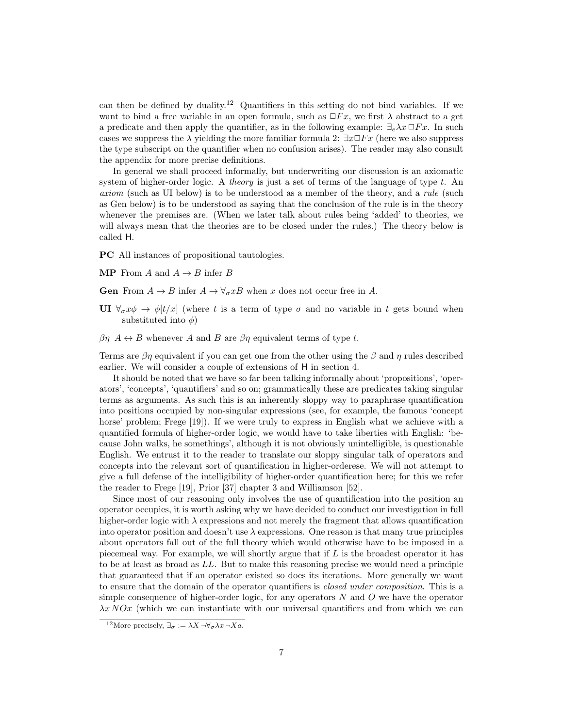can then be defined by duality.<sup>12</sup> Quantifiers in this setting do not bind variables. If we want to bind a free variable in an open formula, such as  $\Box F x$ , we first  $\lambda$  abstract to a get a predicate and then apply the quantifier, as in the following example:  $\exists_e \lambda x \Box F x$ . In such cases we suppress the  $\lambda$  yielding the more familiar formula 2:  $\exists x \Box F x$  (here we also suppress the type subscript on the quantifier when no confusion arises). The reader may also consult the appendix for more precise definitions.

In general we shall proceed informally, but underwriting our discussion is an axiomatic system of higher-order logic. A *theory* is just a set of terms of the language of type  $t$ . An axiom (such as UI below) is to be understood as a member of the theory, and a rule (such as Gen below) is to be understood as saying that the conclusion of the rule is in the theory whenever the premises are. (When we later talk about rules being 'added' to theories, we will always mean that the theories are to be closed under the rules.) The theory below is called H.

PC All instances of propositional tautologies.

**MP** From A and  $A \rightarrow B$  infer B

**Gen** From  $A \to B$  infer  $A \to \forall_{\sigma} xB$  when x does not occur free in A.

- UI  $\forall_{\sigma} x \phi \rightarrow \phi[t/x]$  (where t is a term of type  $\sigma$  and no variable in t gets bound when substituted into  $\phi$ )
- $\beta\eta$   $A \leftrightarrow B$  whenever A and B are  $\beta\eta$  equivalent terms of type t.

Terms are  $\beta\eta$  equivalent if you can get one from the other using the  $\beta$  and  $\eta$  rules described earlier. We will consider a couple of extensions of H in section 4.

It should be noted that we have so far been talking informally about 'propositions', 'operators', 'concepts', 'quantifiers' and so on; grammatically these are predicates taking singular terms as arguments. As such this is an inherently sloppy way to paraphrase quantification into positions occupied by non-singular expressions (see, for example, the famous 'concept horse' problem; Frege [19]). If we were truly to express in English what we achieve with a quantified formula of higher-order logic, we would have to take liberties with English: 'because John walks, he somethings', although it is not obviously unintelligible, is questionable English. We entrust it to the reader to translate our sloppy singular talk of operators and concepts into the relevant sort of quantification in higher-orderese. We will not attempt to give a full defense of the intelligibility of higher-order quantification here; for this we refer the reader to Frege [19], Prior [37] chapter 3 and Williamson [52].

Since most of our reasoning only involves the use of quantification into the position an operator occupies, it is worth asking why we have decided to conduct our investigation in full higher-order logic with  $\lambda$  expressions and not merely the fragment that allows quantification into operator position and doesn't use  $\lambda$  expressions. One reason is that many true principles about operators fall out of the full theory which would otherwise have to be imposed in a piecemeal way. For example, we will shortly argue that if  $L$  is the broadest operator it has to be at least as broad as  $LL$ . But to make this reasoning precise we would need a principle that guaranteed that if an operator existed so does its iterations. More generally we want to ensure that the domain of the operator quantifiers is *closed under composition*. This is a simple consequence of higher-order logic, for any operators  $N$  and  $\hat{O}$  we have the operator  $\lambda x \, NQx$  (which we can instantiate with our universal quantifiers and from which we can

<sup>&</sup>lt;sup>12</sup>More precisely,  $\exists_{\sigma} := \lambda X \neg \forall_{\sigma} \lambda x \neg Xa$ .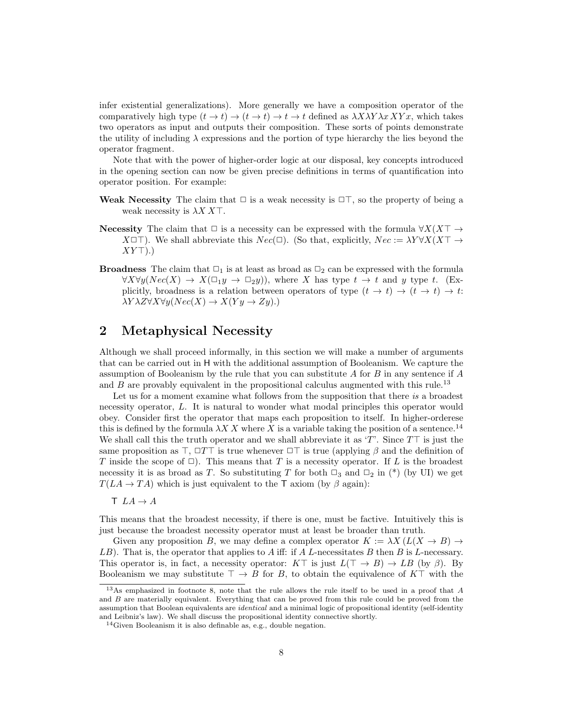infer existential generalizations). More generally we have a composition operator of the comparatively high type  $(t \to t) \to (t \to t) \to t \to t$  defined as  $\lambda X \lambda Y \lambda x X Y x$ , which takes two operators as input and outputs their composition. These sorts of points demonstrate the utility of including  $\lambda$  expressions and the portion of type hierarchy the lies beyond the operator fragment.

Note that with the power of higher-order logic at our disposal, key concepts introduced in the opening section can now be given precise definitions in terms of quantification into operator position. For example:

- Weak Necessity The claim that  $\Box$  is a weak necessity is  $\Box \top$ , so the property of being a weak necessity is  $\lambda X X \top$ .
- Necessity The claim that  $\Box$  is a necessity can be expressed with the formula  $\forall X(X\top \rightarrow$ X $\Box$ T). We shall abbreviate this  $Nec(\Box)$ . (So that, explicitly,  $Nec := \lambda Y \forall X (X \top \rightarrow$  $XY\top).$
- **Broadness** The claim that  $\Box_1$  is at least as broad as  $\Box_2$  can be expressed with the formula  $\forall X \forall y (Nec(X) \rightarrow X(\Box_1 y \rightarrow \Box_2 y))$ , where X has type  $t \rightarrow t$  and y type t. (Explicitly, broadness is a relation between operators of type  $(t \to t) \to (t \to t) \to t$ :  $\lambda Y \lambda Z \forall X \forall y (Nec(X) \rightarrow X(Yy \rightarrow Zy)).$

# 2 Metaphysical Necessity

Although we shall proceed informally, in this section we will make a number of arguments that can be carried out in H with the additional assumption of Booleanism. We capture the assumption of Booleanism by the rule that you can substitute  $A$  for  $B$  in any sentence if  $A$ and B are provably equivalent in the propositional calculus augmented with this rule.<sup>13</sup>

Let us for a moment examine what follows from the supposition that there is a broadest necessity operator, L. It is natural to wonder what modal principles this operator would obey. Consider first the operator that maps each proposition to itself. In higher-orderese this is defined by the formula  $\lambda X X$  where X is a variable taking the position of a sentence.<sup>14</sup> We shall call this the truth operator and we shall abbreviate it as 'T'. Since  $T\top$  is just the same proposition as  $\top$ ,  $\Box T\top$  is true whenever  $\Box \top$  is true (applying  $\beta$  and the definition of T inside the scope of  $\Box$ ). This means that T is a necessity operator. If L is the broadest necessity it is as broad as T. So substituting T for both  $\Box_3$  and  $\Box_2$  in (\*) (by UI) we get  $T(LA \rightarrow TA)$  which is just equivalent to the T axiom (by  $\beta$  again):

$$
\mathsf{T} \: \: LA \to A
$$

This means that the broadest necessity, if there is one, must be factive. Intuitively this is just because the broadest necessity operator must at least be broader than truth.

Given any proposition B, we may define a complex operator  $K := \lambda X (L(X \rightarrow B) \rightarrow$ LB). That is, the operator that applies to A iff: if A L-necessitates B then B is L-necessary. This operator is, in fact, a necessity operator:  $K\top$  is just  $L(\top \rightarrow B) \rightarrow LB$  (by  $\beta$ ). By Booleanism we may substitute  $\top \rightarrow B$  for B, to obtain the equivalence of K $\top$  with the

<sup>&</sup>lt;sup>13</sup>As emphasized in footnote 8, note that the rule allows the rule itself to be used in a proof that A and  $B$  are materially equivalent. Everything that can be proved from this rule could be proved from the assumption that Boolean equivalents are *identical* and a minimal logic of propositional identity (self-identity and Leibniz's law). We shall discuss the propositional identity connective shortly.

 $^{14}$ Given Booleanism it is also definable as, e.g., double negation.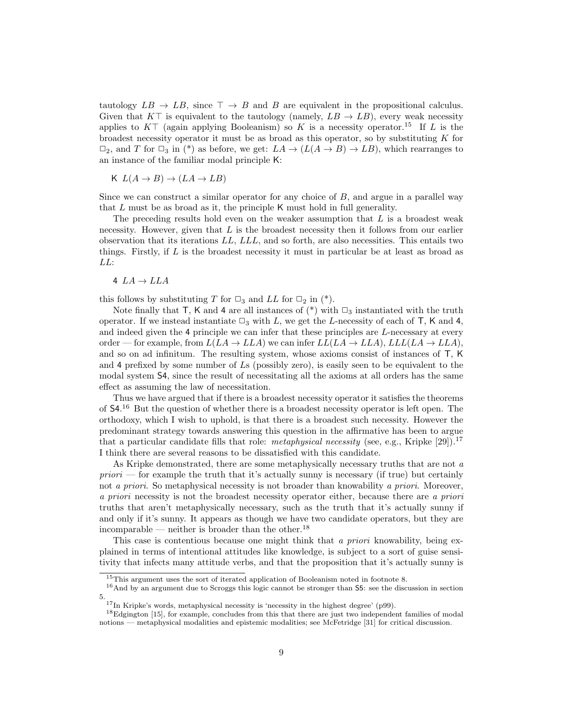tautology  $LB \rightarrow LB$ , since  $\top \rightarrow B$  and B are equivalent in the propositional calculus. Given that K<sup> $+$ </sup> is equivalent to the tautology (namely,  $LB \rightarrow LB$ ), every weak necessity applies to  $K\top$  (again applying Booleanism) so K is a necessity operator.<sup>15</sup> If L is the broadest necessity operator it must be as broad as this operator, so by substituting  $K$  for  $\Box_2$ , and T for  $\Box_3$  in (\*) as before, we get:  $LA \rightarrow (L(A \rightarrow B) \rightarrow LB)$ , which rearranges to an instance of the familiar modal principle K:

$$
K L(A \to B) \to (LA \to LB)
$$

Since we can construct a similar operator for any choice of  $B$ , and argue in a parallel way that L must be as broad as it, the principle K must hold in full generality.

The preceding results hold even on the weaker assumption that  $L$  is a broadest weak necessity. However, given that  $L$  is the broadest necessity then it follows from our earlier observation that its iterations LL, LLL, and so forth, are also necessities. This entails two things. Firstly, if  $L$  is the broadest necessity it must in particular be at least as broad as LL:

### 4  $LA \rightarrow LLA$

this follows by substituting T for  $\Box_3$  and LL for  $\Box_2$  in (\*).

Note finally that T, K and 4 are all instances of  $(*)$  with  $\square_3$  instantiated with the truth operator. If we instead instantiate  $\Box_3$  with L, we get the L-necessity of each of T, K and 4, and indeed given the  $4$  principle we can infer that these principles are  $L$ -necessary at every order — for example, from  $L(LA \to LLA)$  we can infer  $LL(LA \to LLA)$ ,  $LLL(LA \to LLA)$ , and so on ad infinitum. The resulting system, whose axioms consist of instances of T, K and 4 prefixed by some number of Ls (possibly zero), is easily seen to be equivalent to the modal system S4, since the result of necessitating all the axioms at all orders has the same effect as assuming the law of necessitation.

Thus we have argued that if there is a broadest necessity operator it satisfies the theorems of  $\mathsf{S4}^{16}$  But the question of whether there is a broadest necessity operator is left open. The orthodoxy, which I wish to uphold, is that there is a broadest such necessity. However the predominant strategy towards answering this question in the affirmative has been to argue that a particular candidate fills that role: *metaphysical necessity* (see, e.g., Kripke [29]).<sup>17</sup> I think there are several reasons to be dissatisfied with this candidate.

As Kripke demonstrated, there are some metaphysically necessary truths that are not a  $prior$  — for example the truth that it's actually sunny is necessary (if true) but certainly not a priori. So metaphysical necessity is not broader than knowability a priori. Moreover, a priori necessity is not the broadest necessity operator either, because there are a priori truths that aren't metaphysically necessary, such as the truth that it's actually sunny if and only if it's sunny. It appears as though we have two candidate operators, but they are incomparable — neither is broader than the other.<sup>18</sup>

This case is contentious because one might think that a priori knowability, being explained in terms of intentional attitudes like knowledge, is subject to a sort of guise sensitivity that infects many attitude verbs, and that the proposition that it's actually sunny is

<sup>15</sup>This argument uses the sort of iterated application of Booleanism noted in footnote 8.

<sup>16</sup>And by an argument due to Scroggs this logic cannot be stronger than S5: see the discussion in section 5.

 $^{17}{\rm In}$  Kripke's words, metaphysical necessity is 'necessity in the highest degree' (p99).

<sup>&</sup>lt;sup>18</sup>Edgington [15], for example, concludes from this that there are just two independent families of modal notions — metaphysical modalities and epistemic modalities; see McFetridge [31] for critical discussion.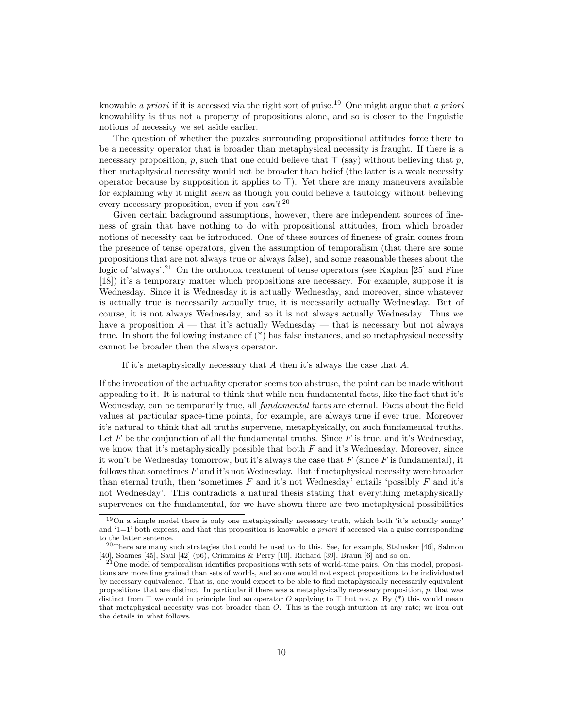knowable *a priori* if it is accessed via the right sort of guise.<sup>19</sup> One might argue that *a priori* knowability is thus not a property of propositions alone, and so is closer to the linguistic notions of necessity we set aside earlier.

The question of whether the puzzles surrounding propositional attitudes force there to be a necessity operator that is broader than metaphysical necessity is fraught. If there is a necessary proposition, p, such that one could believe that  $\top$  (say) without believing that p, then metaphysical necessity would not be broader than belief (the latter is a weak necessity operator because by supposition it applies to  $\top$ ). Yet there are many maneuvers available for explaining why it might seem as though you could believe a tautology without believing every necessary proposition, even if you  $can't.^{20}$ 

Given certain background assumptions, however, there are independent sources of fineness of grain that have nothing to do with propositional attitudes, from which broader notions of necessity can be introduced. One of these sources of fineness of grain comes from the presence of tense operators, given the assumption of temporalism (that there are some propositions that are not always true or always false), and some reasonable theses about the logic of 'always'.<sup>21</sup> On the orthodox treatment of tense operators (see Kaplan [25] and Fine [18]) it's a temporary matter which propositions are necessary. For example, suppose it is Wednesday. Since it is Wednesday it is actually Wednesday, and moreover, since whatever is actually true is necessarily actually true, it is necessarily actually Wednesday. But of course, it is not always Wednesday, and so it is not always actually Wednesday. Thus we have a proposition  $A$  — that it's actually Wednesday — that is necessary but not always true. In short the following instance of (\*) has false instances, and so metaphysical necessity cannot be broader then the always operator.

#### If it's metaphysically necessary that A then it's always the case that  $A$ .

If the invocation of the actuality operator seems too abstruse, the point can be made without appealing to it. It is natural to think that while non-fundamental facts, like the fact that it's Wednesday, can be temporarily true, all *fundamental* facts are eternal. Facts about the field values at particular space-time points, for example, are always true if ever true. Moreover it's natural to think that all truths supervene, metaphysically, on such fundamental truths. Let  $F$  be the conjunction of all the fundamental truths. Since  $F$  is true, and it's Wednesday, we know that it's metaphysically possible that both  $F$  and it's Wednesday. Moreover, since it won't be Wednesday tomorrow, but it's always the case that  $F$  (since  $F$  is fundamental), it follows that sometimes F and it's not Wednesday. But if metaphysical necessity were broader than eternal truth, then 'sometimes  $F$  and it's not Wednesday' entails 'possibly  $F$  and it's not Wednesday'. This contradicts a natural thesis stating that everything metaphysically supervenes on the fundamental, for we have shown there are two metaphysical possibilities

<sup>19</sup>On a simple model there is only one metaphysically necessary truth, which both 'it's actually sunny' and '1=1' both express, and that this proposition is knowable a priori if accessed via a guise corresponding to the latter sentence.

<sup>20</sup>There are many such strategies that could be used to do this. See, for example, Stalnaker [46], Salmon [40], Soames [45], Saul [42] (p6), Crimmins & Perry [10], Richard [39], Braun [6] and so on.

 $2<sup>1</sup>$ One model of temporalism identifies propositions with sets of world-time pairs. On this model, propositions are more fine grained than sets of worlds, and so one would not expect propositions to be individuated by necessary equivalence. That is, one would expect to be able to find metaphysically necessarily equivalent propositions that are distinct. In particular if there was a metaphysically necessary proposition, p, that was distinct from  $\top$  we could in principle find an operator O applying to  $\top$  but not p. By (\*) this would mean that metaphysical necessity was not broader than O. This is the rough intuition at any rate; we iron out the details in what follows.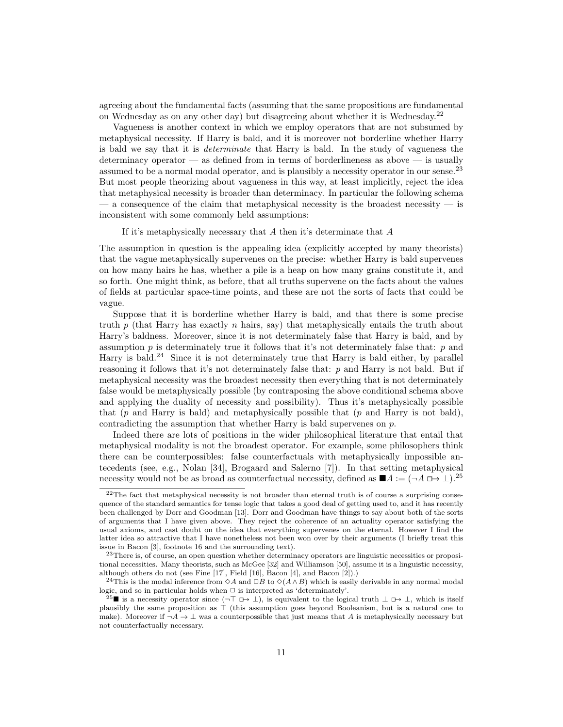agreeing about the fundamental facts (assuming that the same propositions are fundamental on Wednesday as on any other day) but disagreeing about whether it is Wednesday.<sup>22</sup>

Vagueness is another context in which we employ operators that are not subsumed by metaphysical necessity. If Harry is bald, and it is moreover not borderline whether Harry is bald we say that it is determinate that Harry is bald. In the study of vagueness the determinacy operator — as defined from in terms of borderlineness as above — is usually assumed to be a normal modal operator, and is plausibly a necessity operator in our sense.<sup>23</sup> But most people theorizing about vagueness in this way, at least implicitly, reject the idea that metaphysical necessity is broader than determinacy. In particular the following schema — a consequence of the claim that metaphysical necessity is the broadest necessity — is inconsistent with some commonly held assumptions:

#### If it's metaphysically necessary that  $A$  then it's determinate that  $A$

The assumption in question is the appealing idea (explicitly accepted by many theorists) that the vague metaphysically supervenes on the precise: whether Harry is bald supervenes on how many hairs he has, whether a pile is a heap on how many grains constitute it, and so forth. One might think, as before, that all truths supervene on the facts about the values of fields at particular space-time points, and these are not the sorts of facts that could be vague.

Suppose that it is borderline whether Harry is bald, and that there is some precise truth  $p$  (that Harry has exactly  $n$  hairs, say) that metaphysically entails the truth about Harry's baldness. Moreover, since it is not determinately false that Harry is bald, and by assumption  $p$  is determinately true it follows that it's not determinately false that:  $p$  and Harry is bald.<sup>24</sup> Since it is not determinately true that Harry is bald either, by parallel reasoning it follows that it's not determinately false that:  $p$  and Harry is not bald. But if metaphysical necessity was the broadest necessity then everything that is not determinately false would be metaphysically possible (by contraposing the above conditional schema above and applying the duality of necessity and possibility). Thus it's metaphysically possible that  $(p \text{ and Harry is }$  bald) and metaphysically possible that  $(p \text{ and Harry is }$  not bald), contradicting the assumption that whether Harry is bald supervenes on  $p$ .

Indeed there are lots of positions in the wider philosophical literature that entail that metaphysical modality is not the broadest operator. For example, some philosophers think there can be counterpossibles: false counterfactuals with metaphysically impossible antecedents (see, e.g., Nolan [34], Brogaard and Salerno [7]). In that setting metaphysical necessity would not be as broad as counterfactual necessity, defined as  $\blacksquare A := (\neg A \sqcup \rightarrow \bot)^{25}$ 

<sup>22</sup>The fact that metaphysical necessity is not broader than eternal truth is of course a surprising consequence of the standard semantics for tense logic that takes a good deal of getting used to, and it has recently been challenged by Dorr and Goodman [13]. Dorr and Goodman have things to say about both of the sorts of arguments that I have given above. They reject the coherence of an actuality operator satisfying the usual axioms, and cast doubt on the idea that everything supervenes on the eternal. However I find the latter idea so attractive that I have nonetheless not been won over by their arguments (I briefly treat this issue in Bacon [3], footnote 16 and the surrounding text).

<sup>&</sup>lt;sup>23</sup>There is, of course, an open question whether determinacy operators are linguistic necessities or propositional necessities. Many theorists, such as McGee [32] and Williamson [50], assume it is a linguistic necessity, although others do not (see Fine [17], Field [16], Bacon [4], and Bacon [2]).)

<sup>&</sup>lt;sup>24</sup>This is the modal inference from  $\Diamond A$  and  $\Box B$  to  $\Diamond(A \land B)$  which is easily derivable in any normal modal logic, and so in particular holds when  $\Box$  is interpreted as 'determinately'.

<sup>&</sup>lt;sup>25</sup> is a necessity operator since  $(\neg \top \Box \rightarrow \bot)$ , is equivalent to the logical truth  $\bot \Box \rightarrow \bot$ , which is itself plausibly the same proposition as  $\top$  (this assumption goes beyond Booleanism, but is a natural one to make). Moreover if  $\neg A \rightarrow \bot$  was a counterpossible that just means that A is metaphysically necessary but not counterfactually necessary.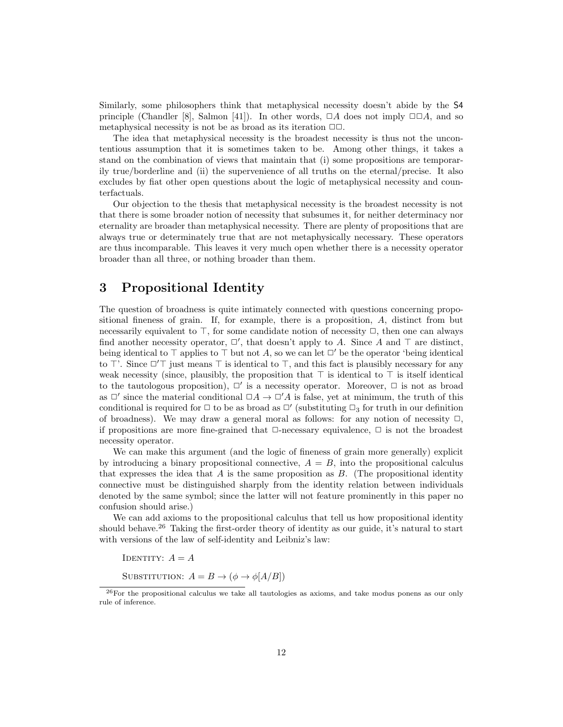Similarly, some philosophers think that metaphysical necessity doesn't abide by the S4 principle (Chandler [8], Salmon [41]). In other words,  $\Box A$  does not imply  $\Box \Box A$ , and so metaphysical necessity is not be as broad as its iteration  $\Box \Box$ .

The idea that metaphysical necessity is the broadest necessity is thus not the uncontentious assumption that it is sometimes taken to be. Among other things, it takes a stand on the combination of views that maintain that (i) some propositions are temporarily true/borderline and (ii) the supervenience of all truths on the eternal/precise. It also excludes by fiat other open questions about the logic of metaphysical necessity and counterfactuals.

Our objection to the thesis that metaphysical necessity is the broadest necessity is not that there is some broader notion of necessity that subsumes it, for neither determinacy nor eternality are broader than metaphysical necessity. There are plenty of propositions that are always true or determinately true that are not metaphysically necessary. These operators are thus incomparable. This leaves it very much open whether there is a necessity operator broader than all three, or nothing broader than them.

# 3 Propositional Identity

The question of broadness is quite intimately connected with questions concerning propositional fineness of grain. If, for example, there is a proposition, A, distinct from but necessarily equivalent to  $\top$ , for some candidate notion of necessity  $\square$ , then one can always find another necessity operator,  $\Box'$ , that doesn't apply to A. Since A and  $\top$  are distinct, being identical to  $\top$  applies to  $\top$  but not A, so we can let  $\square'$  be the operator 'being identical to  $\top$ . Since  $\Box' \top$  just means  $\top$  is identical to  $\top$ , and this fact is plausibly necessary for any weak necessity (since, plausibly, the proposition that  $\top$  is identical to  $\top$  is itself identical to the tautologous proposition),  $\Box'$  is a necessity operator. Moreover,  $\Box$  is not as broad as  $\Box'$  since the material conditional  $\Box A \rightarrow \Box' A$  is false, yet at minimum, the truth of this conditional is required for  $\Box$  to be as broad as  $\Box'$  (substituting  $\Box_3$  for truth in our definition of broadness). We may draw a general moral as follows: for any notion of necessity  $\Box$ , if propositions are more fine-grained that  $\Box$ -necessary equivalence,  $\Box$  is not the broadest necessity operator.

We can make this argument (and the logic of fineness of grain more generally) explicit by introducing a binary propositional connective,  $A = B$ , into the propositional calculus that expresses the idea that  $A$  is the same proposition as  $B$ . (The propositional identity connective must be distinguished sharply from the identity relation between individuals denoted by the same symbol; since the latter will not feature prominently in this paper no confusion should arise.)

We can add axioms to the propositional calculus that tell us how propositional identity should behave.<sup>26</sup> Taking the first-order theory of identity as our guide, it's natural to start with versions of the law of self-identity and Leibniz's law:

IDENTITY:  $A = A$ 

SUBSTITUTION:  $A = B \rightarrow (\phi \rightarrow \phi[A/B])$ 

<sup>26</sup>For the propositional calculus we take all tautologies as axioms, and take modus ponens as our only rule of inference.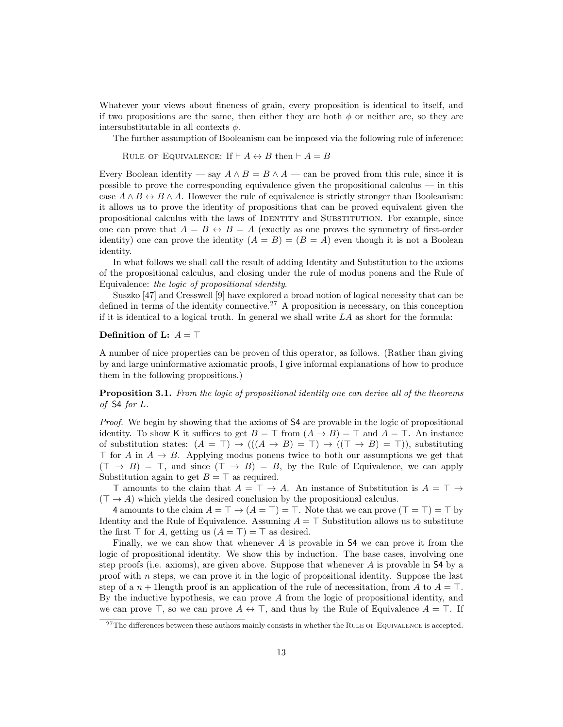Whatever your views about fineness of grain, every proposition is identical to itself, and if two propositions are the same, then either they are both  $\phi$  or neither are, so they are intersubstitutable in all contexts  $\phi$ .

The further assumption of Booleanism can be imposed via the following rule of inference:

RULE OF EQUIVALENCE: If  $\vdash A \leftrightarrow B$  then  $\vdash A = B$ 

Every Boolean identity — say  $A \wedge B = B \wedge A$  — can be proved from this rule, since it is possible to prove the corresponding equivalence given the propositional calculus — in this case  $A \wedge B \leftrightarrow B \wedge A$ . However the rule of equivalence is strictly stronger than Booleanism: it allows us to prove the identity of propositions that can be proved equivalent given the propositional calculus with the laws of IDENTITY and SUBSTITUTION. For example, since one can prove that  $A = B \leftrightarrow B = A$  (exactly as one proves the symmetry of first-order identity) one can prove the identity  $(A = B) = (B = A)$  even though it is not a Boolean identity.

In what follows we shall call the result of adding Identity and Substitution to the axioms of the propositional calculus, and closing under the rule of modus ponens and the Rule of Equivalence: the logic of propositional identity.

Suszko [47] and Cresswell [9] have explored a broad notion of logical necessity that can be defined in terms of the identity connective.<sup>27</sup> A proposition is necessary, on this conception if it is identical to a logical truth. In general we shall write  $LA$  as short for the formula:

#### Definition of L:  $A = \top$

A number of nice properties can be proven of this operator, as follows. (Rather than giving by and large uninformative axiomatic proofs, I give informal explanations of how to produce them in the following propositions.)

**Proposition 3.1.** From the logic of propositional identity one can derive all of the theorems of S4 for L.

Proof. We begin by showing that the axioms of S4 are provable in the logic of propositional identity. To show K it suffices to get  $B = \top$  from  $(A \to B) = \top$  and  $A = \top$ . An instance of substitution states:  $(A = \top) \rightarrow (((A \rightarrow B) = \top) \rightarrow ((\top \rightarrow B) = \top))$ , substituting  $\top$  for A in  $A \to B$ . Applying modus ponens twice to both our assumptions we get that  $(T \rightarrow B) = T$ , and since  $(T \rightarrow B) = B$ , by the Rule of Equivalence, we can apply Substitution again to get  $B = \top$  as required.

T amounts to the claim that  $A = \top \rightarrow A$ . An instance of Substitution is  $A = \top \rightarrow$  $(\top \rightarrow A)$  which yields the desired conclusion by the propositional calculus.

4 amounts to the claim  $A = \top \rightarrow (A = \top) = \top$ . Note that we can prove  $(\top = \top) = \top$  by Identity and the Rule of Equivalence. Assuming  $A = \top$  Substitution allows us to substitute the first  $\top$  for A, getting us  $(A = \top) = \top$  as desired.

Finally, we we can show that whenever A is provable in S4 we can prove it from the logic of propositional identity. We show this by induction. The base cases, involving one step proofs (i.e. axioms), are given above. Suppose that whenever A is provable in S4 by a proof with  $n$  steps, we can prove it in the logic of propositional identity. Suppose the last step of a  $n + 1$ length proof is an application of the rule of necessitation, from A to  $A = \top$ . By the inductive hypothesis, we can prove A from the logic of propositional identity, and we can prove  $\top$ , so we can prove  $A \leftrightarrow \top$ , and thus by the Rule of Equivalence  $A = \top$ . If

 $27$ The differences between these authors mainly consists in whether the RULE OF EQUIVALENCE is accepted.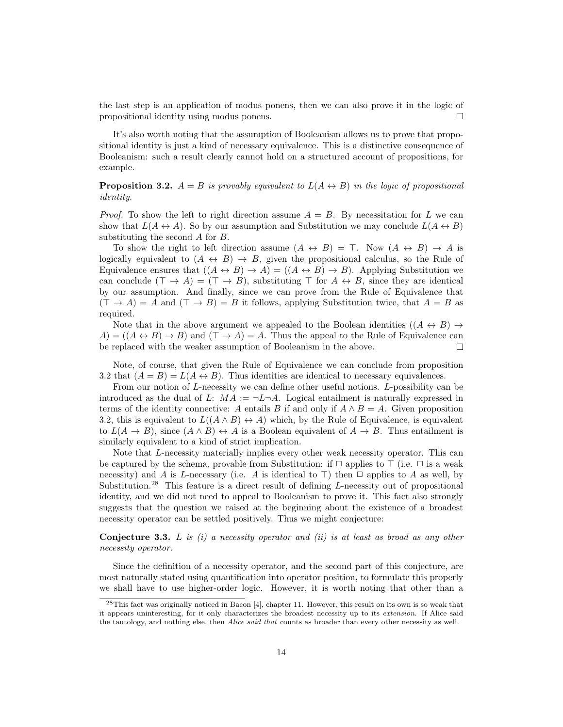the last step is an application of modus ponens, then we can also prove it in the logic of propositional identity using modus ponens.  $\Box$ 

It's also worth noting that the assumption of Booleanism allows us to prove that propositional identity is just a kind of necessary equivalence. This is a distinctive consequence of Booleanism: such a result clearly cannot hold on a structured account of propositions, for example.

**Proposition 3.2.**  $A = B$  is provably equivalent to  $L(A \leftrightarrow B)$  in the logic of propositional identity.

*Proof.* To show the left to right direction assume  $A = B$ . By necessitation for L we can show that  $L(A \leftrightarrow A)$ . So by our assumption and Substitution we may conclude  $L(A \leftrightarrow B)$ substituting the second A for B.

To show the right to left direction assume  $(A \leftrightarrow B) = \top$ . Now  $(A \leftrightarrow B) \rightarrow A$  is logically equivalent to  $(A \leftrightarrow B) \rightarrow B$ , given the propositional calculus, so the Rule of Equivalence ensures that  $((A \leftrightarrow B) \rightarrow A) = ((A \leftrightarrow B) \rightarrow B)$ . Applying Substitution we can conclude  $(\top \rightarrow A) = (\top \rightarrow B)$ , substituting  $\top$  for  $A \leftrightarrow B$ , since they are identical by our assumption. And finally, since we can prove from the Rule of Equivalence that  $(\top \rightarrow A) = A$  and  $(\top \rightarrow B) = B$  it follows, applying Substitution twice, that  $A = B$  as required.

Note that in the above argument we appealed to the Boolean identities  $((A \leftrightarrow B) \rightarrow$  $A = ((A \leftrightarrow B) \to B)$  and  $(\top \to A) = A$ . Thus the appeal to the Rule of Equivalence can be replaced with the weaker assumption of Booleanism in the above.  $\Box$ 

Note, of course, that given the Rule of Equivalence we can conclude from proposition 3.2 that  $(A = B) = L(A \leftrightarrow B)$ . Thus identities are identical to necessary equivalences.

From our notion of L-necessity we can define other useful notions. L-possibility can be introduced as the dual of L:  $MA := \neg L \neg A$ . Logical entailment is naturally expressed in terms of the identity connective: A entails B if and only if  $A \wedge B = A$ . Given proposition 3.2, this is equivalent to  $L((A \wedge B) \leftrightarrow A)$  which, by the Rule of Equivalence, is equivalent to  $L(A \to B)$ , since  $(A \wedge B) \leftrightarrow A$  is a Boolean equivalent of  $A \to B$ . Thus entailment is similarly equivalent to a kind of strict implication.

Note that L-necessity materially implies every other weak necessity operator. This can be captured by the schema, provable from Substitution: if  $\Box$  applies to  $\top$  (i.e.  $\Box$  is a weak necessity) and A is L-necessary (i.e. A is identical to  $\top$ ) then  $\Box$  applies to A as well, by Substitution.<sup>28</sup> This feature is a direct result of defining  $L$ -necessity out of propositional identity, and we did not need to appeal to Booleanism to prove it. This fact also strongly suggests that the question we raised at the beginning about the existence of a broadest necessity operator can be settled positively. Thus we might conjecture:

**Conjecture 3.3.** L is (i) a necessity operator and (ii) is at least as broad as any other necessity operator.

Since the definition of a necessity operator, and the second part of this conjecture, are most naturally stated using quantification into operator position, to formulate this properly we shall have to use higher-order logic. However, it is worth noting that other than a

<sup>28</sup>This fact was originally noticed in Bacon [4], chapter 11. However, this result on its own is so weak that it appears uninteresting, for it only characterizes the broadest necessity up to its extension. If Alice said the tautology, and nothing else, then Alice said that counts as broader than every other necessity as well.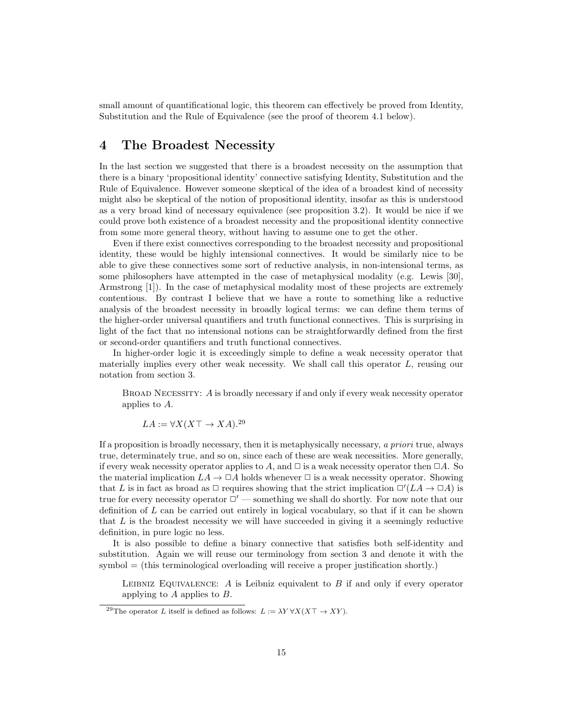small amount of quantificational logic, this theorem can effectively be proved from Identity, Substitution and the Rule of Equivalence (see the proof of theorem 4.1 below).

# 4 The Broadest Necessity

In the last section we suggested that there is a broadest necessity on the assumption that there is a binary 'propositional identity' connective satisfying Identity, Substitution and the Rule of Equivalence. However someone skeptical of the idea of a broadest kind of necessity might also be skeptical of the notion of propositional identity, insofar as this is understood as a very broad kind of necessary equivalence (see proposition 3.2). It would be nice if we could prove both existence of a broadest necessity and the propositional identity connective from some more general theory, without having to assume one to get the other.

Even if there exist connectives corresponding to the broadest necessity and propositional identity, these would be highly intensional connectives. It would be similarly nice to be able to give these connectives some sort of reductive analysis, in non-intensional terms, as some philosophers have attempted in the case of metaphysical modality (e.g. Lewis [30], Armstrong [1]). In the case of metaphysical modality most of these projects are extremely contentious. By contrast I believe that we have a route to something like a reductive analysis of the broadest necessity in broadly logical terms: we can define them terms of the higher-order universal quantifiers and truth functional connectives. This is surprising in light of the fact that no intensional notions can be straightforwardly defined from the first or second-order quantifiers and truth functional connectives.

In higher-order logic it is exceedingly simple to define a weak necessity operator that materially implies every other weak necessity. We shall call this operator L, reusing our notation from section 3.

BROAD NECESSITY: A is broadly necessary if and only if every weak necessity operator applies to A.

$$
LA := \forall X (X \top \to XA).^{29}
$$

If a proposition is broadly necessary, then it is metaphysically necessary, a priori true, always true, determinately true, and so on, since each of these are weak necessities. More generally, if every weak necessity operator applies to A, and  $\Box$  is a weak necessity operator then  $\Box A$ . So the material implication  $LA \to \Box A$  holds whenever  $\Box$  is a weak necessity operator. Showing that L is in fact as broad as  $\Box$  requires showing that the strict implication  $\Box' (LA \rightarrow \Box A)$  is true for every necessity operator  $\Box'$  — something we shall do shortly. For now note that our definition of L can be carried out entirely in logical vocabulary, so that if it can be shown that  $L$  is the broadest necessity we will have succeeded in giving it a seemingly reductive definition, in pure logic no less.

It is also possible to define a binary connective that satisfies both self-identity and substitution. Again we will reuse our terminology from section 3 and denote it with the symbol = (this terminological overloading will receive a proper justification shortly.)

LEIBNIZ EQUIVALENCE: A is Leibniz equivalent to  $B$  if and only if every operator applying to  $A$  applies to  $B$ .

<sup>&</sup>lt;sup>29</sup>The operator L itself is defined as follows:  $L := \lambda Y \forall X (X \top \rightarrow XY)$ .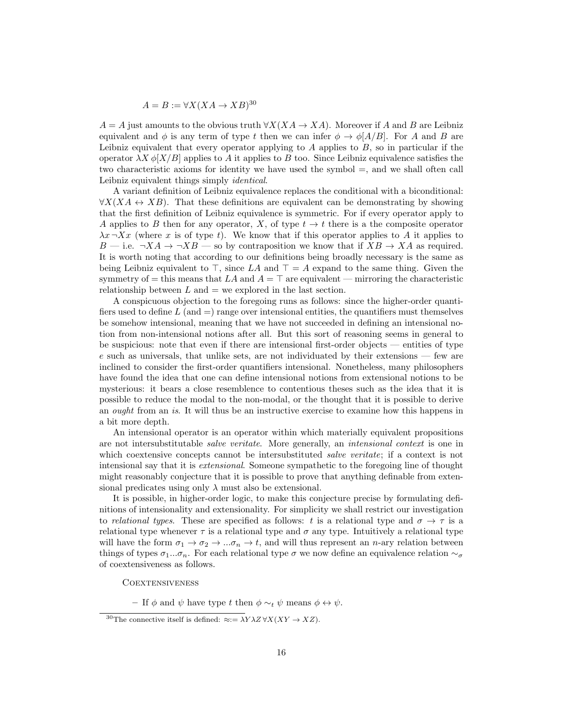$$
A = B := \forall X (XA \to XB)^{30}
$$

 $A = A$  just amounts to the obvious truth  $\forall X (XA \rightarrow XA)$ . Moreover if A and B are Leibniz equivalent and  $\phi$  is any term of type t then we can infer  $\phi \to \phi[A/B]$ . For A and B are Leibniz equivalent that every operator applying to  $A$  applies to  $B$ , so in particular if the operator  $\lambda X \phi[X/B]$  applies to A it applies to B too. Since Leibniz equivalence satisfies the two characteristic axioms for identity we have used the symbol =, and we shall often call Leibniz equivalent things simply identical.

A variant definition of Leibniz equivalence replaces the conditional with a biconditional:  $\forall X(XA \leftrightarrow XB)$ . That these definitions are equivalent can be demonstrating by showing that the first definition of Leibniz equivalence is symmetric. For if every operator apply to A applies to B then for any operator, X, of type  $t \to t$  there is a the composite operator  $\lambda x$   $\neg Xx$  (where x is of type t). We know that if this operator applies to A it applies to  $B$  — i.e.  $\neg X A \rightarrow \neg X B$  — so by contraposition we know that if  $X B \rightarrow X A$  as required. It is worth noting that according to our definitions being broadly necessary is the same as being Leibniz equivalent to  $\top$ , since LA and  $\top = A$  expand to the same thing. Given the symmetry of = this means that LA and  $A = \top$  are equivalent — mirroring the characteristic relationship between  $L$  and  $=$  we explored in the last section.

A conspicuous objection to the foregoing runs as follows: since the higher-order quantifiers used to define  $L$  (and  $=$ ) range over intensional entities, the quantifiers must themselves be somehow intensional, meaning that we have not succeeded in defining an intensional notion from non-intensional notions after all. But this sort of reasoning seems in general to be suspicious: note that even if there are intensional first-order objects — entities of type  $e$  such as universals, that unlike sets, are not individuated by their extensions — few are inclined to consider the first-order quantifiers intensional. Nonetheless, many philosophers have found the idea that one can define intensional notions from extensional notions to be mysterious: it bears a close resemblence to contentious theses such as the idea that it is possible to reduce the modal to the non-modal, or the thought that it is possible to derive an ought from an is. It will thus be an instructive exercise to examine how this happens in a bit more depth.

An intensional operator is an operator within which materially equivalent propositions are not intersubstitutable salve veritate. More generally, an intensional context is one in which coextensive concepts cannot be intersubstituted *salve veritate*; if a context is not intensional say that it is extensional. Someone sympathetic to the foregoing line of thought might reasonably conjecture that it is possible to prove that anything definable from extensional predicates using only  $\lambda$  must also be extensional.

It is possible, in higher-order logic, to make this conjecture precise by formulating definitions of intensionality and extensionality. For simplicity we shall restrict our investigation to relational types. These are specified as follows: t is a relational type and  $\sigma \to \tau$  is a relational type whenever  $\tau$  is a relational type and  $\sigma$  any type. Intuitively a relational type will have the form  $\sigma_1 \to \sigma_2 \to \dots \sigma_n \to t$ , and will thus represent an *n*-ary relation between things of types  $\sigma_1...\sigma_n$ . For each relational type  $\sigma$  we now define an equivalence relation  $\sim_\sigma$ of coextensiveness as follows.

**COEXTENSIVENESS** 

– If  $\phi$  and  $\psi$  have type t then  $\phi \sim_t \psi$  means  $\phi \leftrightarrow \psi$ .

<sup>&</sup>lt;sup>30</sup>The connective itself is defined:  $\approx := \lambda Y \lambda Z \forall X (XY \rightarrow XZ)$ .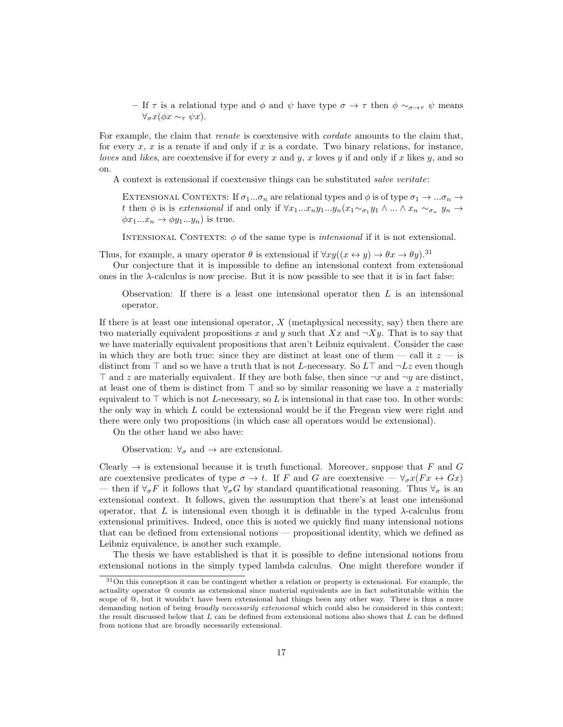– If  $\tau$  is a relational type and  $\phi$  and  $\psi$  have type  $\sigma \to \tau$  then  $\phi \sim_{\sigma \to \tau} \psi$  means  $\forall_{\sigma} x (\phi x \sim_{\tau} \psi x).$ 

For example, the claim that *renate* is coextensive with *cordate* amounts to the claim that, for every x, x is a renate if and only if x is a cordate. Two binary relations, for instance, *loves* and *likes*, are coextensive if for every x and y, x loves y if and only if x likes y, and so on.

A context is extensional if coextensive things can be substituted salve veritate:

EXTENSIONAL CONTEXTS: If  $\sigma_1...\sigma_n$  are relational types and  $\phi$  is of type  $\sigma_1 \to ...\sigma_n \to$ t then  $\phi$  is is extensional if and only if  $\forall x_1...x_ny_1...y_n(x_1\sim_{\sigma_1}y_1\land ...\land x_n\sim_{\sigma_n}y_n\rightarrow$  $\phi x_1...x_n \rightarrow \phi y_1...y_n$  is true.

INTENSIONAL CONTEXTS:  $\phi$  of the same type is *intensional* if it is not extensional.

Thus, for example, a unary operator  $\theta$  is extensional if  $\forall xy((x \leftrightarrow y) \rightarrow \theta x \rightarrow \theta y)$ .<sup>31</sup>

Our conjecture that it is impossible to define an intensional context from extensional ones in the  $\lambda$ -calculus is now precise. But it is now possible to see that it is in fact false:

Observation: If there is a least one intensional operator then  $L$  is an intensional operator.

If there is at least one intensional operator,  $X$  (metaphysical necessity, say) then there are two materially equivalent propositions x and y such that  $Xx$  and  $\neg Xy$ . That is to say that we have materially equivalent propositions that aren't Leibniz equivalent. Consider the case in which they are both true: since they are distinct at least one of them — call it  $z$  — is distinct from  $\top$  and so we have a truth that is not L-necessary. So  $L\top$  and  $\neg Lz$  even though  $\top$  and z are materially equivalent. If they are both false, then since  $\neg x$  and  $\neg y$  are distinct, at least one of them is distinct from  $\top$  and so by similar reasoning we have a z materially equivalent to  $\top$  which is not L-necessary, so L is intensional in that case too. In other words: the only way in which  $L$  could be extensional would be if the Fregean view were right and there were only two propositions (in which case all operators would be extensional).

On the other hand we also have:

Observation:  $\forall_{\sigma}$  and  $\rightarrow$  are extensional.

Clearly  $\rightarrow$  is extensional because it is truth functional. Moreover, suppose that F and G are coextensive predicates of type  $\sigma \to t$ . If F and G are coextensive —  $\forall_{\sigma} x(Fx \leftrightarrow Gx)$ — then if  $\forall_{\sigma} F$  it follows that  $\forall_{\sigma} G$  by standard quantificational reasoning. Thus  $\forall_{\sigma}$  is an extensional context. It follows, given the assumption that there's at least one intensional operator, that L is intensional even though it is definable in the typed  $\lambda$ -calculus from extensional primitives. Indeed, once this is noted we quickly find many intensional notions that can be defined from extensional notions — propositional identity, which we defined as Leibniz equivalence, is another such example.

The thesis we have established is that it is possible to define intensional notions from extensional notions in the simply typed lambda calculus. One might therefore wonder if

<sup>&</sup>lt;sup>31</sup>On this conception it can be contingent whether a relation or property is extensional. For example, the actuality operator @ counts as extensional since material equivalents are in fact substitutable within the scope of @, but it wouldn't have been extensional had things been any other way. There is thus a more demanding notion of being *broadly necessarily extensional* which could also be considered in this context; the result discussed below that L can be defined from extensional notions also shows that L can be defined from notions that are broadly necessarily extensional.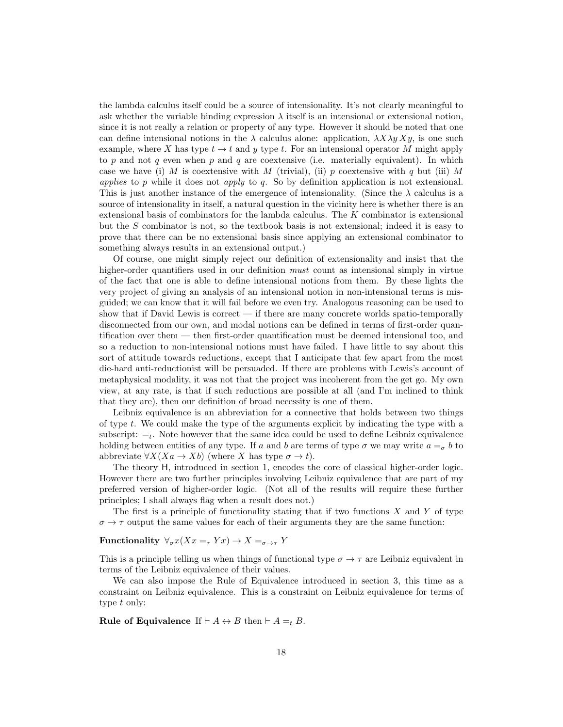the lambda calculus itself could be a source of intensionality. It's not clearly meaningful to ask whether the variable binding expression  $\lambda$  itself is an intensional or extensional notion, since it is not really a relation or property of any type. However it should be noted that one can define intensional notions in the  $\lambda$  calculus alone: application,  $\lambda X \lambda y X y$ , is one such example, where X has type  $t \to t$  and y type t. For an intensional operator M might apply to p and not q even when p and q are coextensive (i.e. materially equivalent). In which case we have (i) M is coextensive with M (trivial), (ii) p coextensive with q but (iii) M applies to p while it does not apply to q. So by definition application is not extensional. This is just another instance of the emergence of intensionality. (Since the  $\lambda$  calculus is a source of intensionality in itself, a natural question in the vicinity here is whether there is an extensional basis of combinators for the lambda calculus. The K combinator is extensional but the S combinator is not, so the textbook basis is not extensional; indeed it is easy to prove that there can be no extensional basis since applying an extensional combinator to something always results in an extensional output.)

Of course, one might simply reject our definition of extensionality and insist that the higher-order quantifiers used in our definition *must* count as intensional simply in virtue of the fact that one is able to define intensional notions from them. By these lights the very project of giving an analysis of an intensional notion in non-intensional terms is misguided; we can know that it will fail before we even try. Analogous reasoning can be used to show that if David Lewis is correct  $-$  if there are many concrete worlds spatio-temporally disconnected from our own, and modal notions can be defined in terms of first-order quantification over them — then first-order quantification must be deemed intensional too, and so a reduction to non-intensional notions must have failed. I have little to say about this sort of attitude towards reductions, except that I anticipate that few apart from the most die-hard anti-reductionist will be persuaded. If there are problems with Lewis's account of metaphysical modality, it was not that the project was incoherent from the get go. My own view, at any rate, is that if such reductions are possible at all (and I'm inclined to think that they are), then our definition of broad necessity is one of them.

Leibniz equivalence is an abbreviation for a connective that holds between two things of type t. We could make the type of the arguments explicit by indicating the type with a subscript:  $=_{t}$ . Note however that the same idea could be used to define Leibniz equivalence holding between entities of any type. If a and b are terms of type  $\sigma$  we may write  $a =_{\sigma} b$  to abbreviate  $\forall X (Xa \rightarrow Xb)$  (where X has type  $\sigma \rightarrow t$ ).

The theory H, introduced in section 1, encodes the core of classical higher-order logic. However there are two further principles involving Leibniz equivalence that are part of my preferred version of higher-order logic. (Not all of the results will require these further principles; I shall always flag when a result does not.)

The first is a principle of functionality stating that if two functions  $X$  and  $Y$  of type  $\sigma \rightarrow \tau$  output the same values for each of their arguments they are the same function:

# Functionality  $\forall_{\sigma} x (Xx =_{\tau} Yx) \rightarrow X =_{\sigma \rightarrow \tau} Y$

This is a principle telling us when things of functional type  $\sigma \to \tau$  are Leibniz equivalent in terms of the Leibniz equivalence of their values.

We can also impose the Rule of Equivalence introduced in section 3, this time as a constraint on Leibniz equivalence. This is a constraint on Leibniz equivalence for terms of type t only:

**Rule of Equivalence** If  $\vdash A \leftrightarrow B$  then  $\vdash A =_t B$ .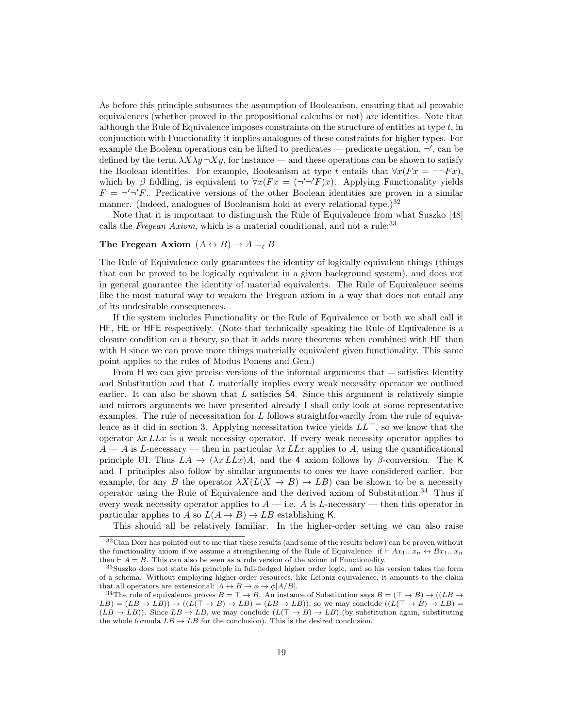As before this principle subsumes the assumption of Booleanism, ensuring that all provable equivalences (whether proved in the propositional calculus or not) are identities. Note that although the Rule of Equivalence imposes constraints on the structure of entities at type  $t$ , in conjunction with Functionality it implies analogues of these constraints for higher types. For example the Boolean operations can be lifted to predicates — predicate negation,  $\neg'$ , can be defined by the term  $\lambda X\lambda y \rightarrow Xy$ , for instance — and these operations can be shown to satisfy the Boolean identities. For example, Booleanism at type t entails that  $\forall x (Fx = \neg\neg Fx)$ , which by  $\beta$  fiddling, is equivalent to  $\forall x(Fx = (\neg' \neg' F)x)$ . Applying Functionality yields  $F = \neg' \neg' F$ . Predicative versions of the other Boolean identities are proven in a similar manner. (Indeed, analogues of Booleanism hold at every relational type.) $32$ 

Note that it is important to distinguish the Rule of Equivalence from what Suszko [48] calls the Fregean Axiom, which is a material conditional, and not a rule:<sup>33</sup>

#### The Fregean Axiom  $(A \leftrightarrow B) \rightarrow A =_t B$

The Rule of Equivalence only guarantees the identity of logically equivalent things (things that can be proved to be logically equivalent in a given background system), and does not in general guarantee the identity of material equivalents. The Rule of Equivalence seems like the most natural way to weaken the Fregean axiom in a way that does not entail any of its undesirable consequences.

If the system includes Functionality or the Rule of Equivalence or both we shall call it HF, HE or HFE respectively. (Note that technically speaking the Rule of Equivalence is a closure condition on a theory, so that it adds more theorems when combined with HF than with H since we can prove more things materially equivalent given functionality. This same point applies to the rules of Modus Ponens and Gen.)

From  $H$  we can give precise versions of the informal arguments that  $=$  satisfies Identity and Substitution and that L materially implies every weak necessity operator we outlined earlier. It can also be shown that  $L$  satisfies  $S4$ . Since this argument is relatively simple and mirrors arguments we have presented already I shall only look at some representative examples. The rule of necessitation for L follows straightforwardly from the rule of equivalence as it did in section 3. Applying necessitation twice yields  $LL<sup>T</sup>$ , so we know that the operator  $\lambda x LLx$  is a weak necessity operator. If every weak necessity operator applies to  $A - A$  is L-necessary — then in particular  $\lambda x$  LLx applies to A, using the quantificational principle UI. Thus  $LA \rightarrow (\lambda x LLx)A$ , and the 4 axiom follows by  $\beta$ -conversion. The K and T principles also follow by similar arguments to ones we have considered earlier. For example, for any B the operator  $\lambda X(L(X \rightarrow B) \rightarrow LB)$  can be shown to be a necessity operator using the Rule of Equivalence and the derived axiom of Substitution.<sup>34</sup> Thus if every weak necessity operator applies to  $A$  — i.e. A is L-necessary — then this operator in particular applies to A so  $L(A \rightarrow B) \rightarrow LB$  establishing K.

This should all be relatively familiar. In the higher-order setting we can also raise

<sup>&</sup>lt;sup>32</sup>Cian Dorr has pointed out to me that these results (and some of the results below) can be proven without the functionality axiom if we assume a strengthening of the Rule of Equivalence: if  $\vdash Ax_1...x_n \leftrightarrow Bx_1...x_n$ then  $\vdash A = B$ . This can also be seen as a rule version of the axiom of Functionality.

<sup>33</sup>Suszko does not state his principle in full-fledged higher order logic, and so his version takes the form of a schema. Without employing higher-order resources, like Leibniz equivalence, it amounts to the claim that all operators are extensional:  $A \leftrightarrow B \to \phi \to \phi[A/B]$ .

<sup>&</sup>lt;sup>34</sup>The rule of equivalence proves  $B = \top \rightarrow B$ . An instance of Substitution says  $B = (\top \rightarrow B) \rightarrow ((LB \rightarrow$  $LB = (LB \rightarrow LB)) \rightarrow ((L(\top \rightarrow B) \rightarrow LB) = (LB \rightarrow LB))$ , so we may conclude  $((L(\top \rightarrow B) \rightarrow LB) =$  $(LB \to LB)$ ). Since  $LB \to LB$ , we may conclude  $(L(\top \to B) \to LB)$  (by substitution again, substituting the whole formula  $LB \rightarrow LB$  for the conclusion). This is the desired conclusion.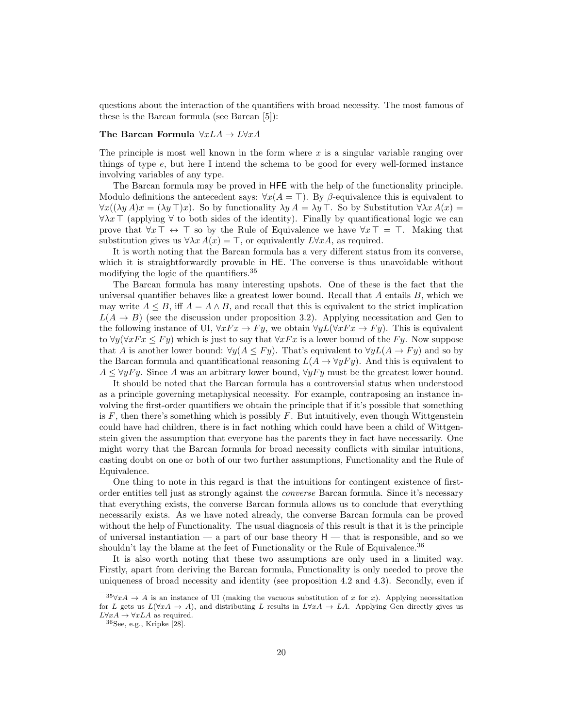questions about the interaction of the quantifiers with broad necessity. The most famous of these is the Barcan formula (see Barcan [5]):

#### The Barcan Formula  $\forall xLA \rightarrow L \forall xA$

The principle is most well known in the form where x is a singular variable ranging over things of type e, but here I intend the schema to be good for every well-formed instance involving variables of any type.

The Barcan formula may be proved in HFE with the help of the functionality principle. Modulo definitions the antecedent says:  $\forall x(A = \top)$ . By  $\beta$ -equivalence this is equivalent to  $\forall x((\lambda y A)x = (\lambda y \top)x)$ . So by functionality  $\lambda y A = \lambda y \top$ . So by Substitution  $\forall \lambda x A(x) =$  $\forall \lambda x \top$  (applying  $\forall$  to both sides of the identity). Finally by quantificational logic we can prove that  $\forall x \top \leftrightarrow \top$  so by the Rule of Equivalence we have  $\forall x \top = \top$ . Making that substitution gives us  $\forall \lambda x \, A(x) = \top$ , or equivalently  $L \forall x \lambda$ , as required.

It is worth noting that the Barcan formula has a very different status from its converse, which it is straightforwardly provable in HE. The converse is thus unavoidable without modifying the logic of the quantifiers.<sup>35</sup>

The Barcan formula has many interesting upshots. One of these is the fact that the universal quantifier behaves like a greatest lower bound. Recall that  $A$  entails  $B$ , which we may write  $A \leq B$ , iff  $A = A \wedge B$ , and recall that this is equivalent to the strict implication  $L(A \rightarrow B)$  (see the discussion under proposition 3.2). Applying necessitation and Gen to the following instance of UI,  $\forall xFx \rightarrow Fy$ , we obtain  $\forall yL(\forall xFx \rightarrow Fy)$ . This is equivalent to  $\forall y (\forall x F x \leq F y)$  which is just to say that  $\forall x F x$  is a lower bound of the Fy. Now suppose that A is another lower bound:  $\forall y(A \leq Fy)$ . That's equivalent to  $\forall y L(A \rightarrow Fy)$  and so by the Barcan formula and quantificational reasoning  $L(A \to \forall y F y)$ . And this is equivalent to  $A \leq \forall y F y$ . Since A was an arbitrary lower bound,  $\forall y F y$  must be the greatest lower bound.

It should be noted that the Barcan formula has a controversial status when understood as a principle governing metaphysical necessity. For example, contraposing an instance involving the first-order quantifiers we obtain the principle that if it's possible that something is  $F$ , then there's something which is possibly  $F$ . But intuitively, even though Wittgenstein could have had children, there is in fact nothing which could have been a child of Wittgenstein given the assumption that everyone has the parents they in fact have necessarily. One might worry that the Barcan formula for broad necessity conflicts with similar intuitions, casting doubt on one or both of our two further assumptions, Functionality and the Rule of Equivalence.

One thing to note in this regard is that the intuitions for contingent existence of firstorder entities tell just as strongly against the converse Barcan formula. Since it's necessary that everything exists, the converse Barcan formula allows us to conclude that everything necessarily exists. As we have noted already, the converse Barcan formula can be proved without the help of Functionality. The usual diagnosis of this result is that it is the principle of universal instantiation — a part of our base theory  $H$  — that is responsible, and so we shouldn't lay the blame at the feet of Functionality or the Rule of Equivalence.<sup>36</sup>

It is also worth noting that these two assumptions are only used in a limited way. Firstly, apart from deriving the Barcan formula, Functionality is only needed to prove the uniqueness of broad necessity and identity (see proposition 4.2 and 4.3). Secondly, even if

 $35\forall x A \rightarrow A$  is an instance of UI (making the vacuous substitution of x for x). Applying necessitation for L gets us  $L(\forall x A \rightarrow A)$ , and distributing L results in  $L \forall x A \rightarrow LA$ . Applying Gen directly gives us  $L\forall xA \rightarrow \forall xLA$  as required.

 $^{36}\mathrm{See},$ e.g., Kripke [28].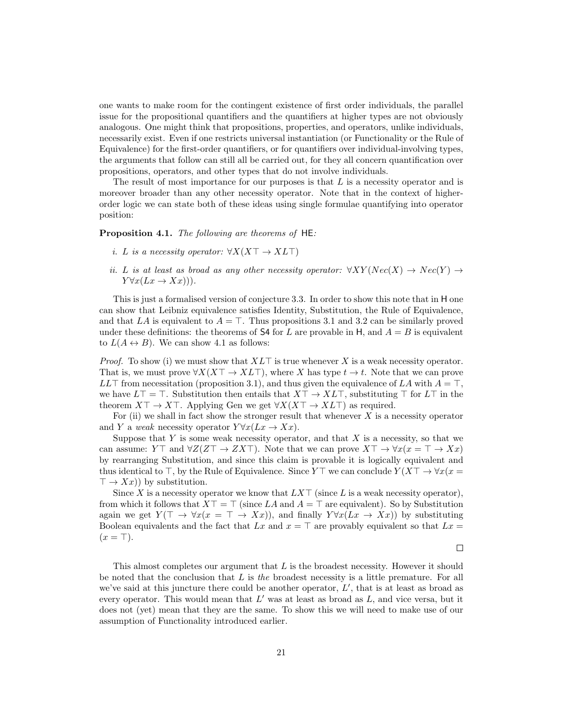one wants to make room for the contingent existence of first order individuals, the parallel issue for the propositional quantifiers and the quantifiers at higher types are not obviously analogous. One might think that propositions, properties, and operators, unlike individuals, necessarily exist. Even if one restricts universal instantiation (or Functionality or the Rule of Equivalence) for the first-order quantifiers, or for quantifiers over individual-involving types, the arguments that follow can still all be carried out, for they all concern quantification over propositions, operators, and other types that do not involve individuals.

The result of most importance for our purposes is that  $L$  is a necessity operator and is moreover broader than any other necessity operator. Note that in the context of higherorder logic we can state both of these ideas using single formulae quantifying into operator position:

Proposition 4.1. The following are theorems of HE:

- i. L is a necessity operator:  $\forall X(X\top \rightarrow XL\top)$
- ii. L is at least as broad as any other necessity operator:  $\forall XY(Nec(X) \rightarrow Nec(Y) \rightarrow$  $Y \forall x (Lx \rightarrow Xx))$ .

This is just a formalised version of conjecture 3.3. In order to show this note that in H one can show that Leibniz equivalence satisfies Identity, Substitution, the Rule of Equivalence, and that LA is equivalent to  $A = \top$ . Thus propositions 3.1 and 3.2 can be similarly proved under these definitions: the theorems of S4 for L are provable in H, and  $A = B$  is equivalent to  $L(A \leftrightarrow B)$ . We can show 4.1 as follows:

*Proof.* To show (i) we must show that  $X\mathbb{L}\mathsf{T}$  is true whenever X is a weak necessity operator. That is, we must prove  $\forall X(X\top \to XL\top)$ , where X has type  $t \to t$ . Note that we can prove  $LL\top$  from necessitation (proposition 3.1), and thus given the equivalence of LA with  $A = \top$ , we have  $L\top = \top$ . Substitution then entails that  $X\top \rightarrow XL\top$ , substituting  $\top$  for  $LT$  in the theorem  $X\top \to X\top$ . Applying Gen we get  $\forall X(X\top \to X\bot\top)$  as required.

For (ii) we shall in fact show the stronger result that whenever  $X$  is a necessity operator and Y a weak necessity operator  $Y \forall x (Lx \rightarrow Xx)$ .

Suppose that Y is some weak necessity operator, and that X is a necessity, so that we can assume:  $Y^{\top}$  and  $\forall Z(Z^{\top} \to ZX^{\top})$ . Note that we can prove  $X^{\top} \to \forall x(x = \top \to Xx)$ by rearranging Substitution, and since this claim is provable it is logically equivalent and thus identical to  $\top$ , by the Rule of Equivalence. Since Y  $\top$  we can conclude  $Y(X\top \rightarrow \forall x(x =$  $\top \rightarrow Xx$ ) by substitution.

Since X is a necessity operator we know that  $LXY$  (since L is a weak necessity operator), from which it follows that  $X\top = \top$  (since LA and  $A = \top$  are equivalent). So by Substitution again we get  $Y(\top \to \forall x(x = \top \to Xx))$ , and finally  $Y\forall x(Lx \to Xx)$  by substituting Boolean equivalents and the fact that Lx and  $x = \top$  are provably equivalent so that Lx =  $(x = \top).$ 

 $\Box$ 

This almost completes our argument that L is the broadest necessity. However it should be noted that the conclusion that  $L$  is the broadest necessity is a little premature. For all we've said at this juncture there could be another operator,  $L'$ , that is at least as broad as every operator. This would mean that  $L'$  was at least as broad as  $L$ , and vice versa, but it does not (yet) mean that they are the same. To show this we will need to make use of our assumption of Functionality introduced earlier.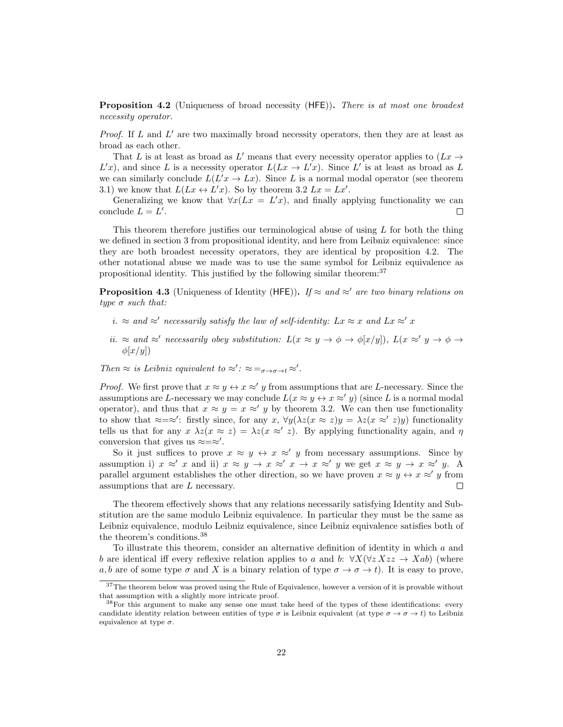**Proposition 4.2** (Uniqueness of broad necessity (HFE)). There is at most one broadest necessity operator.

*Proof.* If  $L$  and  $L'$  are two maximally broad necessity operators, then they are at least as broad as each other.

That L is at least as broad as L' means that every necessity operator applies to  $(Lx \rightarrow$  $L'x$ , and since L is a necessity operator  $L(Lx \to L'x)$ . Since L' is at least as broad as L we can similarly conclude  $L(L'x \to Lx)$ . Since L is a normal modal operator (see theorem 3.1) we know that  $L(Lx \leftrightarrow L'x)$ . So by theorem 3.2  $Lx = Lx'$ .

Generalizing we know that  $\forall x (Lx = L'x)$ , and finally applying functionality we can conclude  $L = L'$ .  $\Box$ 

This theorem therefore justifies our terminological abuse of using L for both the thing we defined in section 3 from propositional identity, and here from Leibniz equivalence: since they are both broadest necessity operators, they are identical by proposition 4.2. The other notational abuse we made was to use the same symbol for Leibniz equivalence as propositional identity. This justified by the following similar theorem:<sup>37</sup>

**Proposition 4.3** (Uniqueness of Identity (HFE)). If  $\approx$  and  $\approx'$  are two binary relations on type  $\sigma$  such that:

- i.  $\approx$  and  $\approx'$  necessarily satisfy the law of self-identity: Lx  $\approx$  x and Lx  $\approx'$  x
- ii.  $\approx$  and  $\approx'$  necessarily obey substitution:  $L(x \approx y \rightarrow \phi \rightarrow \phi[x/y])$ ,  $L(x \approx' y \rightarrow \phi \rightarrow$  $\phi[x/y]$

Then  $\approx$  is Leibniz equivalent to  $\approx'$ :  $\approx =_{\sigma \to \sigma \to t} \approx'$ .

*Proof.* We first prove that  $x \approx y \leftrightarrow x \approx y$  from assumptions that are L-necessary. Since the assumptions are L-necessary we may conclude  $L(x \approx y \leftrightarrow x \approx y)$  (since L is a normal modal operator), and thus that  $x \approx y = x \approx y$  by theorem 3.2. We can then use functionality to show that  $\approx=\approx'$ : firstly since, for any x,  $\forall y(\lambda z(x \approx z)y = \lambda z(x \approx' z)y)$  functionality tells us that for any  $x \lambda z (x \approx z) = \lambda z (x \approx z)$ . By applying functionality again, and  $\eta$ conversion that gives us  $\approx=\approx'.$ 

So it just suffices to prove  $x \approx y \leftrightarrow x \approx y$  from necessary assumptions. Since by assumption i)  $x \approx' x$  and ii)  $x \approx y \rightarrow x \approx' x \rightarrow x \approx' y$  we get  $x \approx y \rightarrow x \approx' y$ . parallel argument establishes the other direction, so we have proven  $x \approx y \leftrightarrow x \approx y$  from assumptions that are L necessary.  $\Box$ 

The theorem effectively shows that any relations necessarily satisfying Identity and Substitution are the same modulo Leibniz equivalence. In particular they must be the same as Leibniz equivalence, modulo Leibniz equivalence, since Leibniz equivalence satisfies both of the theorem's conditions.<sup>38</sup>

To illustrate this theorem, consider an alternative definition of identity in which a and b are identical iff every reflexive relation applies to a and b:  $\forall X (\forall z X z z \rightarrow X ab)$  (where a, b are of some type  $\sigma$  and X is a binary relation of type  $\sigma \to \sigma \to t$ ). It is easy to prove,

<sup>&</sup>lt;sup>37</sup>The theorem below was proved using the Rule of Equivalence, however a version of it is provable without that assumption with a slightly more intricate proof.

<sup>38</sup>For this argument to make any sense one must take heed of the types of these identifications: every candidate identity relation between entities of type  $\sigma$  is Leibniz equivalent (at type  $\sigma \to \sigma \to t$ ) to Leibniz equivalence at type  $\sigma$ .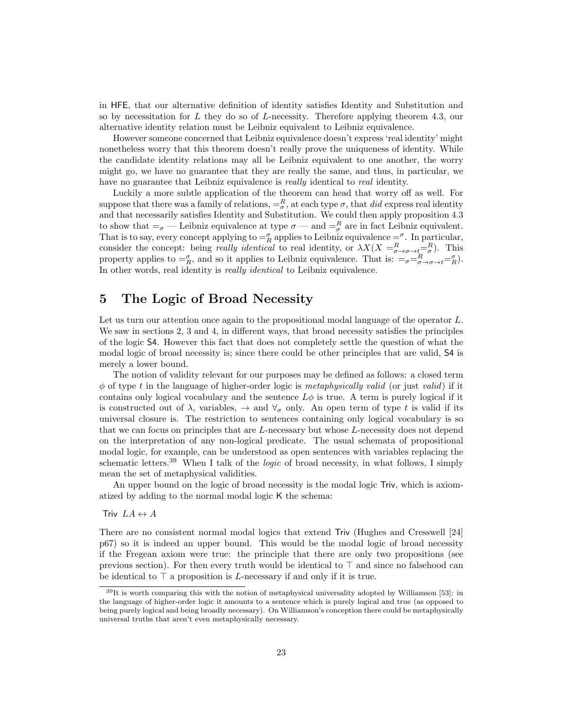in HFE, that our alternative definition of identity satisfies Identity and Substitution and so by necessitation for  $L$  they do so of  $L$ -necessity. Therefore applying theorem 4.3, our alternative identity relation must be Leibniz equivalent to Leibniz equivalence.

However someone concerned that Leibniz equivalence doesn't express 'real identity' might nonetheless worry that this theorem doesn't really prove the uniqueness of identity. While the candidate identity relations may all be Leibniz equivalent to one another, the worry might go, we have no guarantee that they are really the same, and thus, in particular, we have no guarantee that Leibniz equivalence is *really* identical to *real* identity.

Luckily a more subtle application of the theorem can head that worry off as well. For suppose that there was a family of relations,  $=\frac{R}{\sigma}$ , at each type  $\sigma$ , that did express real identity and that necessarily satisfies Identity and Substitution. We could then apply proposition 4.3 to show that  $=_{\sigma}$  — Leibniz equivalence at type  $\sigma$  — and  $=_{\sigma}^{R}$  are in fact Leibniz equivalent. That is to say, every concept applying to  $=\frac{\sigma}{R}$  applies to Leibniz equivalence  $=\frac{\sigma}{R}$ . In particular, consider the concept: being *really identical* to real identity, or  $\lambda X(X =_{\sigma \to \sigma \to t}^{R} =_{\sigma}^{R})$ . This property applies to  $=\mathcal{E}_R$ , and so it applies to Leibniz equivalence. That is:  $=\sigma = \mathcal{E}_{\sigma \to \sigma \to t} = \mathcal{E}_R$ . In other words, real identity is really identical to Leibniz equivalence.

# 5 The Logic of Broad Necessity

Let us turn our attention once again to the propositional modal language of the operator L. We saw in sections 2, 3 and 4, in different ways, that broad necessity satisfies the principles of the logic S4. However this fact that does not completely settle the question of what the modal logic of broad necessity is; since there could be other principles that are valid, S4 is merely a lower bound.

The notion of validity relevant for our purposes may be defined as follows: a closed term  $\phi$  of type t in the language of higher-order logic is metaphysically valid (or just valid) if it contains only logical vocabulary and the sentence  $L\phi$  is true. A term is purely logical if it is constructed out of  $\lambda$ , variables,  $\rightarrow$  and  $\forall_{\sigma}$  only. An open term of type t is valid if its universal closure is. The restriction to sentences containing only logical vocabulary is so that we can focus on principles that are L-necessary but whose L-necessity does not depend on the interpretation of any non-logical predicate. The usual schemata of propositional modal logic, for example, can be understood as open sentences with variables replacing the schematic letters.<sup>39</sup> When I talk of the *logic* of broad necessity, in what follows, I simply mean the set of metaphysical validities.

An upper bound on the logic of broad necessity is the modal logic Triv, which is axiomatized by adding to the normal modal logic K the schema:

# Triv  $LA \leftrightarrow A$

There are no consistent normal modal logics that extend Triv (Hughes and Cresswell [24] p67) so it is indeed an upper bound. This would be the modal logic of broad necessity if the Fregean axiom were true: the principle that there are only two propositions (see previous section). For then every truth would be identical to  $\top$  and since no falsehood can be identical to  $\top$  a proposition is *L*-necessary if and only if it is true.

 $39$ It is worth comparing this with the notion of metaphysical universality adopted by Williamson [53]: in the language of higher-order logic it amounts to a sentence which is purely logical and true (as opposed to being purely logical and being broadly necessary). On Williamson's conception there could be metaphysically universal truths that aren't even metaphysically necessary.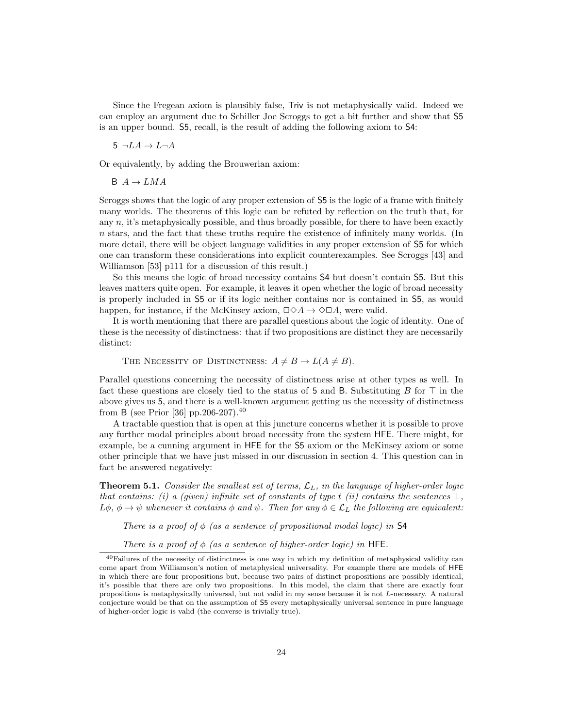Since the Fregean axiom is plausibly false, Triv is not metaphysically valid. Indeed we can employ an argument due to Schiller Joe Scroggs to get a bit further and show that S5 is an upper bound. S5, recall, is the result of adding the following axiom to S4:

$$
5 \neg LA \to L\neg A
$$

Or equivalently, by adding the Brouwerian axiom:

 $B$   $A \rightarrow LMA$ 

Scroggs shows that the logic of any proper extension of S5 is the logic of a frame with finitely many worlds. The theorems of this logic can be refuted by reflection on the truth that, for any  $n$ , it's metaphysically possible, and thus broadly possible, for there to have been exactly  $n$  stars, and the fact that these truths require the existence of infinitely many worlds. (In more detail, there will be object language validities in any proper extension of S5 for which one can transform these considerations into explicit counterexamples. See Scroggs [43] and Williamson [53] p111 for a discussion of this result.)

So this means the logic of broad necessity contains S4 but doesn't contain S5. But this leaves matters quite open. For example, it leaves it open whether the logic of broad necessity is properly included in S5 or if its logic neither contains nor is contained in S5, as would happen, for instance, if the McKinsey axiom,  $\Box \Diamond A \rightarrow \Diamond \Box A$ , were valid.

It is worth mentioning that there are parallel questions about the logic of identity. One of these is the necessity of distinctness: that if two propositions are distinct they are necessarily distinct:

THE NECESSITY OF DISTINCTNESS:  $A \neq B \rightarrow L(A \neq B)$ .

Parallel questions concerning the necessity of distinctness arise at other types as well. In fact these questions are closely tied to the status of 5 and B. Substituting B for  $\top$  in the above gives us 5, and there is a well-known argument getting us the necessity of distinctness from B (see Prior [36] pp.206-207).<sup>40</sup>

A tractable question that is open at this juncture concerns whether it is possible to prove any further modal principles about broad necessity from the system HFE. There might, for example, be a cunning argument in HFE for the S5 axiom or the McKinsey axiom or some other principle that we have just missed in our discussion in section 4. This question can in fact be answered negatively:

**Theorem 5.1.** Consider the smallest set of terms,  $\mathcal{L}_L$ , in the language of higher-order logic that contains: (i) a (given) infinite set of constants of type t (ii) contains the sentences  $\perp$ ,  $L\phi$ ,  $\phi \rightarrow \psi$  whenever it contains  $\phi$  and  $\psi$ . Then for any  $\phi \in \mathcal{L}_L$  the following are equivalent:

There is a proof of  $\phi$  (as a sentence of propositional modal logic) in S4

There is a proof of  $\phi$  (as a sentence of higher-order logic) in HFE.

<sup>40</sup>Failures of the necessity of distinctness is one way in which my definition of metaphysical validity can come apart from Williamson's notion of metaphysical universality. For example there are models of HFE in which there are four propositions but, because two pairs of distinct propositions are possibly identical, it's possible that there are only two propositions. In this model, the claim that there are exactly four propositions is metaphysically universal, but not valid in my sense because it is not L-necessary. A natural conjecture would be that on the assumption of S5 every metaphysically universal sentence in pure language of higher-order logic is valid (the converse is trivially true).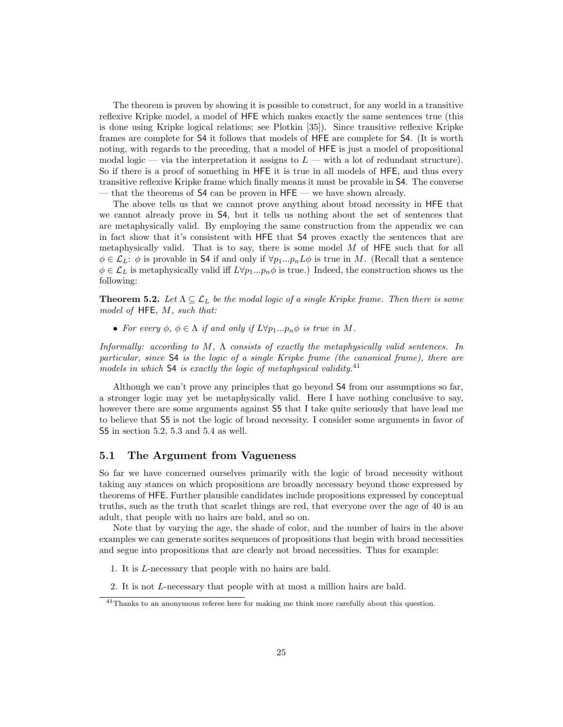The theorem is proven by showing it is possible to construct, for any world in a transitive reflexive Kripke model, a model of HFE which makes exactly the same sentences true (this is done using Kripke logical relations; see Plotkin [35]). Since transitive reflexive Kripke frames are complete for S4 it follows that models of HFE are complete for S4. (It is worth noting, with regards to the preceding, that a model of HFE is just a model of propositional modal logic — via the interpretation it assigns to  $L$  — with a lot of redundant structure). So if there is a proof of something in HFE it is true in all models of HFE, and thus every transitive reflexive Kripke frame which finally means it must be provable in S4. The converse that the theorems of  $S4$  can be proven in HFE — we have shown already.

The above tells us that we cannot prove anything about broad necessity in HFE that we cannot already prove in S4, but it tells us nothing about the set of sentences that are metaphysically valid. By employing the same construction from the appendix we can in fact show that it's consistent with HFE that S4 proves exactly the sentences that are metaphysically valid. That is to say, there is some model  $M$  of HFE such that for all  $\phi \in \mathcal{L}_L$ :  $\phi$  is provable in S4 if and only if  $\forall p_1...p_nL\phi$  is true in M. (Recall that a sentence  $\phi \in \mathcal{L}_L$  is metaphysically valid iff  $L \forall p_1...p_n \phi$  is true.) Indeed, the construction shows us the following:

**Theorem 5.2.** Let  $\Lambda \subseteq \mathcal{L}_L$  be the modal logic of a single Kripke frame. Then there is some model of HFE, M, such that:

• For every  $\phi, \phi \in \Lambda$  if and only if  $L \forall p_1...p_n \phi$  is true in M.

Informally: according to M,  $\Lambda$  consists of exactly the metaphysically valid sentences. In particular, since S4 is the logic of a single Kripke frame (the canonical frame), there are models in which  $\mathsf{S4}$  is exactly the logic of metaphysical validity.<sup>41</sup>

Although we can't prove any principles that go beyond S4 from our assumptions so far, a stronger logic may yet be metaphysically valid. Here I have nothing conclusive to say, however there are some arguments against S5 that I take quite seriously that have lead me to believe that S5 is not the logic of broad necessity. I consider some arguments in favor of S5 in section 5.2, 5.3 and 5.4 as well.

### 5.1 The Argument from Vagueness

So far we have concerned ourselves primarily with the logic of broad necessity without taking any stances on which propositions are broadly necessary beyond those expressed by theorems of HFE. Further plausible candidates include propositions expressed by conceptual truths, such as the truth that scarlet things are red, that everyone over the age of 40 is an adult, that people with no hairs are bald, and so on.

Note that by varying the age, the shade of color, and the number of hairs in the above examples we can generate sorites sequences of propositions that begin with broad necessities and segue into propositions that are clearly not broad necessities. Thus for example:

- 1. It is L-necessary that people with no hairs are bald.
- 2. It is not L-necessary that people with at most a million hairs are bald.

<sup>41</sup>Thanks to an anonymous referee here for making me think more carefully about this question.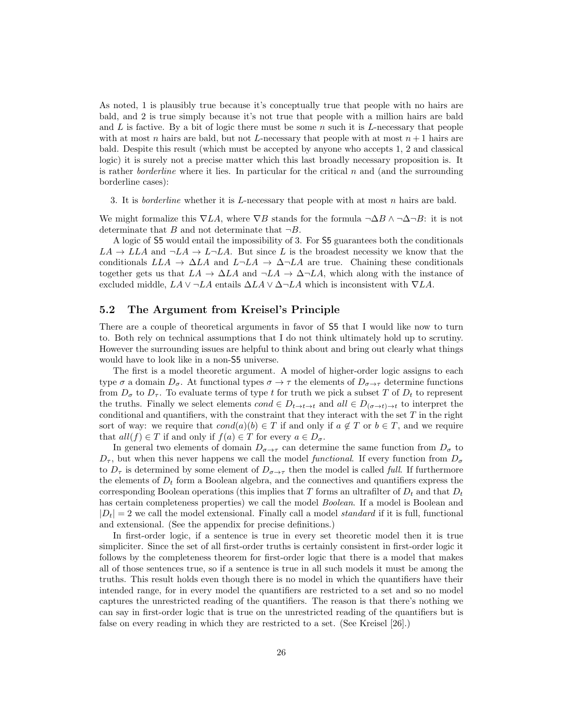As noted, 1 is plausibly true because it's conceptually true that people with no hairs are bald, and 2 is true simply because it's not true that people with a million hairs are bald and L is factive. By a bit of logic there must be some n such it is L-necessary that people with at most n hairs are bald, but not L-necessary that people with at most  $n+1$  hairs are bald. Despite this result (which must be accepted by anyone who accepts 1, 2 and classical logic) it is surely not a precise matter which this last broadly necessary proposition is. It is rather *borderline* where it lies. In particular for the critical  $n$  and (and the surrounding borderline cases):

3. It is *borderline* whether it is *L*-necessary that people with at most  $n$  hairs are bald.

We might formalize this  $\nabla LA$ , where  $\nabla B$  stands for the formula  $\neg \Delta B \wedge \neg \Delta \neg B$ : it is not determinate that B and not determinate that  $\neg B$ .

A logic of S5 would entail the impossibility of 3. For S5 guarantees both the conditionals  $LA \rightarrow LLA$  and  $\neg LA \rightarrow L\neg LA$ . But since L is the broadest necessity we know that the conditionals  $LLA \rightarrow \Delta LA$  and  $L\neg LA \rightarrow \Delta \neg LA$  are true. Chaining these conditionals together gets us that  $LA \to \Delta LA$  and  $\neg LA \to \Delta \neg LA$ , which along with the instance of excluded middle,  $LA \vee \neg LA$  entails  $\Delta LA \vee \Delta \neg LA$  which is inconsistent with  $\nabla LA$ .

#### 5.2 The Argument from Kreisel's Principle

There are a couple of theoretical arguments in favor of S5 that I would like now to turn to. Both rely on technical assumptions that I do not think ultimately hold up to scrutiny. However the surrounding issues are helpful to think about and bring out clearly what things would have to look like in a non-S5 universe.

The first is a model theoretic argument. A model of higher-order logic assigns to each type  $\sigma$  a domain  $D_{\sigma}$ . At functional types  $\sigma \to \tau$  the elements of  $D_{\sigma \to \tau}$  determine functions from  $D_{\sigma}$  to  $D_{\tau}$ . To evaluate terms of type t for truth we pick a subset T of  $D_t$  to represent the truths. Finally we select elements  $cond \in D_{t\to t\to t}$  and  $all \in D_{(\sigma\to t)\to t}$  to interpret the conditional and quantifiers, with the constraint that they interact with the set  $T$  in the right sort of way: we require that  $cond(a)(b) \in T$  if and only if  $a \notin T$  or  $b \in T$ , and we require that  $all(f) \in T$  if and only if  $f(a) \in T$  for every  $a \in D_{\sigma}$ .

In general two elements of domain  $D_{\sigma \to \tau}$  can determine the same function from  $D_{\sigma}$  to  $D_{\tau}$ , but when this never happens we call the model *functional*. If every function from  $D_{\sigma}$ to  $D_{\tau}$  is determined by some element of  $D_{\sigma \to \tau}$  then the model is called full. If furthermore the elements of  $D_t$  form a Boolean algebra, and the connectives and quantifiers express the corresponding Boolean operations (this implies that T forms an ultrafilter of  $D_t$  and that  $D_t$ has certain completeness properties) we call the model *Boolean*. If a model is Boolean and  $|D_t| = 2$  we call the model extensional. Finally call a model *standard* if it is full, functional and extensional. (See the appendix for precise definitions.)

In first-order logic, if a sentence is true in every set theoretic model then it is true simpliciter. Since the set of all first-order truths is certainly consistent in first-order logic it follows by the completeness theorem for first-order logic that there is a model that makes all of those sentences true, so if a sentence is true in all such models it must be among the truths. This result holds even though there is no model in which the quantifiers have their intended range, for in every model the quantifiers are restricted to a set and so no model captures the unrestricted reading of the quantifiers. The reason is that there's nothing we can say in first-order logic that is true on the unrestricted reading of the quantifiers but is false on every reading in which they are restricted to a set. (See Kreisel [26].)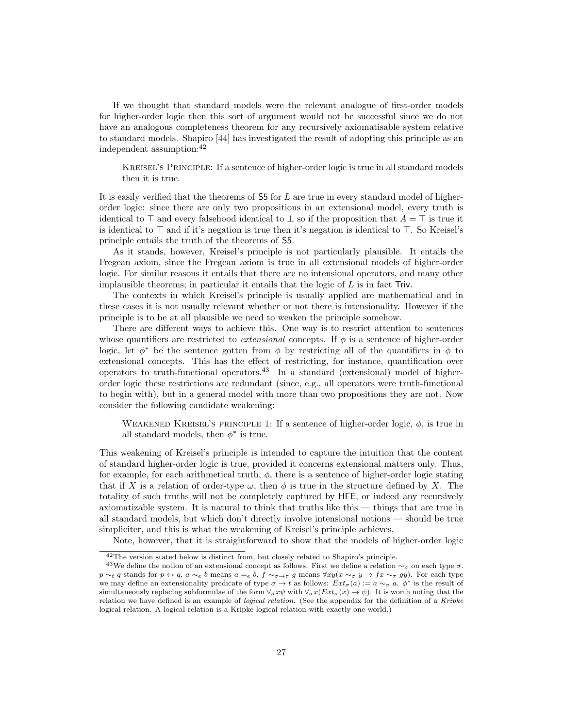If we thought that standard models were the relevant analogue of first-order models for higher-order logic then this sort of argument would not be successful since we do not have an analogous completeness theorem for any recursively axiomatisable system relative to standard models. Shapiro [44] has investigated the result of adopting this principle as an independent assumption:<sup>42</sup>

Kreisel's Principle: If a sentence of higher-order logic is true in all standard models then it is true.

It is easily verified that the theorems of S5 for L are true in every standard model of higherorder logic: since there are only two propositions in an extensional model, every truth is identical to  $\top$  and every falsehood identical to  $\bot$  so if the proposition that  $A = \top$  is true it is identical to  $\top$  and if it's negation is true then it's negation is identical to  $\top$ . So Kreisel's principle entails the truth of the theorems of S5.

As it stands, however, Kreisel's principle is not particularly plausible. It entails the Fregean axiom, since the Fregean axiom is true in all extensional models of higher-order logic. For similar reasons it entails that there are no intensional operators, and many other implausible theorems; in particular it entails that the logic of  $L$  is in fact Triv.

The contexts in which Kreisel's principle is usually applied are mathematical and in these cases it is not usually relevant whether or not there is intensionality. However if the principle is to be at all plausible we need to weaken the principle somehow.

There are different ways to achieve this. One way is to restrict attention to sentences whose quantifiers are restricted to *extensional* concepts. If  $\phi$  is a sentence of higher-order logic, let  $\phi^*$  be the sentence gotten from  $\phi$  by restricting all of the quantifiers in  $\phi$  to extensional concepts. This has the effect of restricting, for instance, quantification over operators to truth-functional operators.<sup>43</sup> In a standard (extensional) model of higherorder logic these restrictions are redundant (since, e.g., all operators were truth-functional to begin with), but in a general model with more than two propositions they are not. Now consider the following candidate weakening:

WEAKENED KREISEL'S PRINCIPLE 1: If a sentence of higher-order logic,  $\phi$ , is true in all standard models, then  $\phi^*$  is true.

This weakening of Kreisel's principle is intended to capture the intuition that the content of standard higher-order logic is true, provided it concerns extensional matters only. Thus, for example, for each arithmetical truth,  $\phi$ , there is a sentence of higher-order logic stating that if X is a relation of order-type  $\omega$ , then  $\phi$  is true in the structure defined by X. The totality of such truths will not be completely captured by HFE, or indeed any recursively axiomatizable system. It is natural to think that truths like this — things that are true in all standard models, but which don't directly involve intensional notions — should be true simpliciter, and this is what the weakening of Kreisel's principle achieves.

Note, however, that it is straightforward to show that the models of higher-order logic

 $^{42}\mathrm{The}$  version stated below is distinct from, but closely related to Shapiro's principle.

<sup>&</sup>lt;sup>43</sup>We define the notion of an extensional concept as follows. First we define a relation  $\sim_{\sigma}$  on each type  $\sigma$ .  $p \sim_t q$  stands for  $p \leftrightarrow q$ ,  $a \sim_e b$  means  $a =_e b$ ,  $f \sim_{\sigma \to \tau} g$  means  $\forall xy(x \sim_{\sigma} y \to fx \sim_{\tau} gy)$ . For each type we may define an extensionality predicate of type  $\sigma \to t$  as follows:  $Ext_{\sigma}(a) := a \sim_{\sigma} a$ .  $\phi^*$  is the result of simultaneously replacing subformulae of the form  $\forall_{\sigma} x \psi$  with  $\forall_{\sigma} x (Ext_{\sigma}(x) \to \psi)$ . It is worth noting that the relation we have defined is an example of logical relation. (See the appendix for the definition of a Kripke logical relation. A logical relation is a Kripke logical relation with exactly one world.)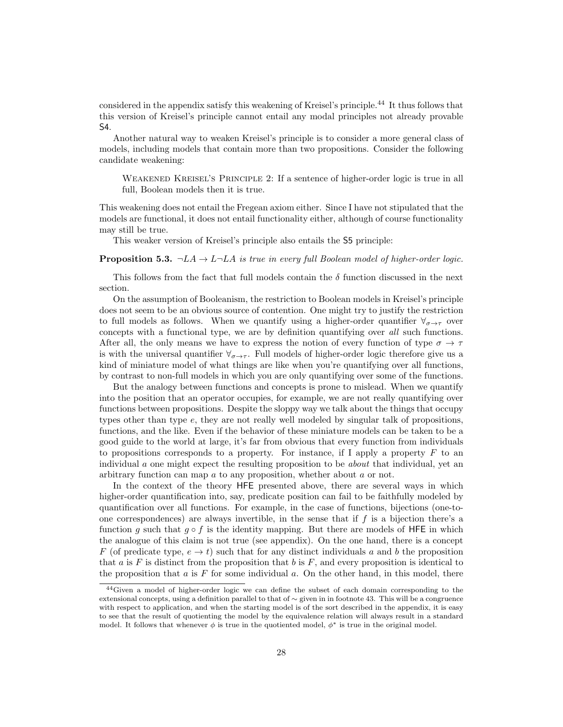considered in the appendix satisfy this weakening of Kreisel's principle.<sup>44</sup> It thus follows that this version of Kreisel's principle cannot entail any modal principles not already provable S4.

Another natural way to weaken Kreisel's principle is to consider a more general class of models, including models that contain more than two propositions. Consider the following candidate weakening:

WEAKENED KREISEL'S PRINCIPLE 2: If a sentence of higher-order logic is true in all full, Boolean models then it is true.

This weakening does not entail the Fregean axiom either. Since I have not stipulated that the models are functional, it does not entail functionality either, although of course functionality may still be true.

This weaker version of Kreisel's principle also entails the S5 principle:

**Proposition 5.3.**  $\neg LA \rightarrow L \neg LA$  is true in every full Boolean model of higher-order logic.

This follows from the fact that full models contain the  $\delta$  function discussed in the next section.

On the assumption of Booleanism, the restriction to Boolean models in Kreisel's principle does not seem to be an obvious source of contention. One might try to justify the restriction to full models as follows. When we quantify using a higher-order quantifier  $\forall_{\sigma \to \tau}$  over concepts with a functional type, we are by definition quantifying over all such functions. After all, the only means we have to express the notion of every function of type  $\sigma \to \tau$ is with the universal quantifier  $\forall_{\sigma \to \tau}$ . Full models of higher-order logic therefore give us a kind of miniature model of what things are like when you're quantifying over all functions, by contrast to non-full models in which you are only quantifying over some of the functions.

But the analogy between functions and concepts is prone to mislead. When we quantify into the position that an operator occupies, for example, we are not really quantifying over functions between propositions. Despite the sloppy way we talk about the things that occupy types other than type e, they are not really well modeled by singular talk of propositions, functions, and the like. Even if the behavior of these miniature models can be taken to be a good guide to the world at large, it's far from obvious that every function from individuals to propositions corresponds to a property. For instance, if I apply a property  $F$  to an individual a one might expect the resulting proposition to be *about* that individual, yet an arbitrary function can map a to any proposition, whether about a or not.

In the context of the theory HFE presented above, there are several ways in which higher-order quantification into, say, predicate position can fail to be faithfully modeled by quantification over all functions. For example, in the case of functions, bijections (one-toone correspondences) are always invertible, in the sense that if  $f$  is a bijection there's a function g such that  $g \circ f$  is the identity mapping. But there are models of HFE in which the analogue of this claim is not true (see appendix). On the one hand, there is a concept F (of predicate type,  $e \to t$ ) such that for any distinct individuals a and b the proposition that a is F is distinct from the proposition that b is  $F$ , and every proposition is identical to the proposition that  $a$  is  $F$  for some individual  $a$ . On the other hand, in this model, there

<sup>44</sup>Given a model of higher-order logic we can define the subset of each domain corresponding to the extensional concepts, using a definition parallel to that of ∼ given in in footnote 43. This will be a congruence with respect to application, and when the starting model is of the sort described in the appendix, it is easy to see that the result of quotienting the model by the equivalence relation will always result in a standard model. It follows that whenever  $\phi$  is true in the quotiented model,  $\phi^*$  is true in the original model.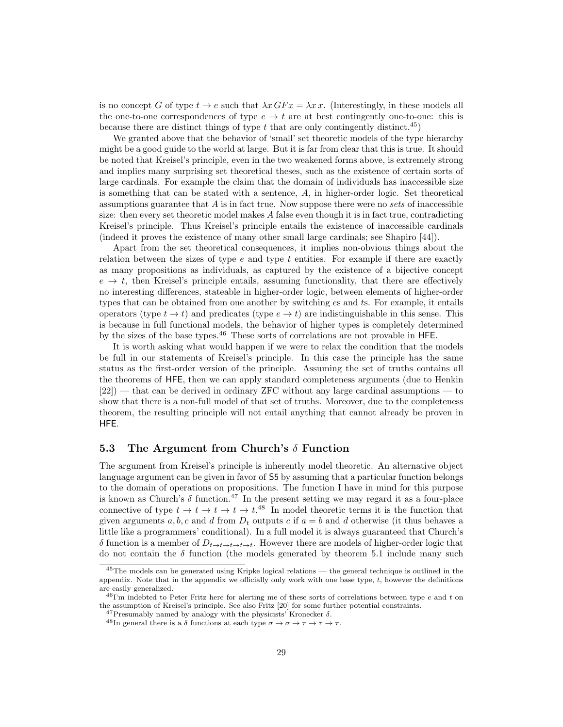is no concept G of type  $t \to e$  such that  $\lambda x \, GFx = \lambda x \, x$ . (Interestingly, in these models all the one-to-one correspondences of type  $e \to t$  are at best contingently one-to-one: this is because there are distinct things of type t that are only contingently distinct.<sup>45</sup>)

We granted above that the behavior of 'small' set theoretic models of the type hierarchy might be a good guide to the world at large. But it is far from clear that this is true. It should be noted that Kreisel's principle, even in the two weakened forms above, is extremely strong and implies many surprising set theoretical theses, such as the existence of certain sorts of large cardinals. For example the claim that the domain of individuals has inaccessible size is something that can be stated with a sentence, A, in higher-order logic. Set theoretical assumptions guarantee that  $A$  is in fact true. Now suppose there were no sets of inaccessible size: then every set theoretic model makes  $A$  false even though it is in fact true, contradicting Kreisel's principle. Thus Kreisel's principle entails the existence of inaccessible cardinals (indeed it proves the existence of many other small large cardinals; see Shapiro [44]).

Apart from the set theoretical consequences, it implies non-obvious things about the relation between the sizes of type  $e$  and type  $t$  entities. For example if there are exactly as many propositions as individuals, as captured by the existence of a bijective concept  $e \rightarrow t$ , then Kreisel's principle entails, assuming functionality, that there are effectively no interesting differences, stateable in higher-order logic, between elements of higher-order types that can be obtained from one another by switching es and ts. For example, it entails operators (type  $t \to t$ ) and predicates (type  $e \to t$ ) are indistinguishable in this sense. This is because in full functional models, the behavior of higher types is completely determined by the sizes of the base types.<sup>46</sup> These sorts of correlations are not provable in HFE.

It is worth asking what would happen if we were to relax the condition that the models be full in our statements of Kreisel's principle. In this case the principle has the same status as the first-order version of the principle. Assuming the set of truths contains all the theorems of HFE, then we can apply standard completeness arguments (due to Henkin [22]) — that can be derived in ordinary ZFC without any large cardinal assumptions — to show that there is a non-full model of that set of truths. Moreover, due to the completeness theorem, the resulting principle will not entail anything that cannot already be proven in HFE.

# 5.3 The Argument from Church's  $\delta$  Function

The argument from Kreisel's principle is inherently model theoretic. An alternative object language argument can be given in favor of S5 by assuming that a particular function belongs to the domain of operations on propositions. The function I have in mind for this purpose is known as Church's  $\delta$  function.<sup>47</sup> In the present setting we may regard it as a four-place connective of type  $t \to t \to t \to t^{48}$  In model theoretic terms it is the function that given arguments a, b, c and d from  $D_t$  outputs c if  $a = b$  and d otherwise (it thus behaves a little like a programmers' conditional). In a full model it is always guaranteed that Church's δ function is a member of  $D_{t\to t\to t\to t\to t}$ . However there are models of higher-order logic that do not contain the  $\delta$  function (the models generated by theorem 5.1 include many such

<sup>45</sup>The models can be generated using Kripke logical relations — the general technique is outlined in the appendix. Note that in the appendix we officially only work with one base type,  $t$ , however the definitions are easily generalized.

 $^{46}$ I'm indebted to Peter Fritz here for alerting me of these sorts of correlations between type e and t on the assumption of Kreisel's principle. See also Fritz [20] for some further potential constraints.

 $^{47}{\rm Presumably}$  named by analogy with the physicists' Kronecker  $\delta.$ 

<sup>&</sup>lt;sup>48</sup>In general there is a  $\delta$  functions at each type  $\sigma \to \sigma \to \tau \to \tau \to \tau$ .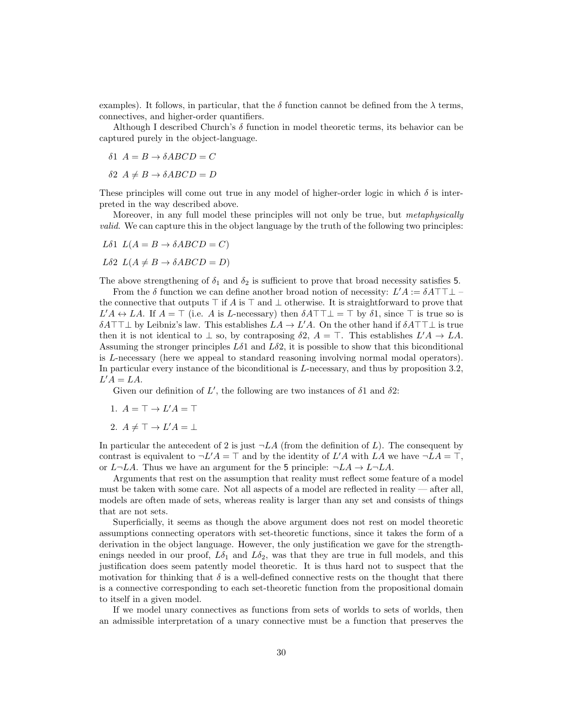examples). It follows, in particular, that the  $\delta$  function cannot be defined from the  $\lambda$  terms, connectives, and higher-order quantifiers.

Although I described Church's  $\delta$  function in model theoretic terms, its behavior can be captured purely in the object-language.

$$
\delta 1 \ \ A = B \to \delta ABC D = C
$$

 $\delta 2$   $A \neq B \rightarrow \delta ABCD = D$ 

These principles will come out true in any model of higher-order logic in which  $\delta$  is interpreted in the way described above.

Moreover, in any full model these principles will not only be true, but *metaphysically* valid. We can capture this in the object language by the truth of the following two principles:

Lδ1  $L(A = B \rightarrow \delta ABCD = C)$ Lδ2  $L(A \neq B \rightarrow \delta ABCD = D)$ 

The above strengthening of  $\delta_1$  and  $\delta_2$  is sufficient to prove that broad necessity satisfies 5.

From the  $\delta$  function we can define another broad notion of necessity:  $L'A := \delta A \top \top \bot$ the connective that outputs  $\top$  if A is  $\top$  and  $\bot$  otherwise. It is straightforward to prove that  $L'A \leftrightarrow LA$ . If  $A = \top$  (i.e. A is L-necessary) then  $\delta A \top \top \bot = \top$  by  $\delta 1$ , since  $\top$  is true so is  $\delta A \top \top \bot$  by Leibniz's law. This establishes  $LA \to L'A$ . On the other hand if  $\delta A \top \top \bot$  is true then it is not identical to  $\perp$  so, by contraposing  $\delta 2$ ,  $A = \top$ . This establishes  $L'A \to LA$ . Assuming the stronger principles  $L\delta_1$  and  $L\delta_2$ , it is possible to show that this biconditional is L-necessary (here we appeal to standard reasoning involving normal modal operators). In particular every instance of the biconditional is L-necessary, and thus by proposition 3.2,  $L'A = LA.$ 

Given our definition of L', the following are two instances of  $\delta 1$  and  $\delta 2$ :

- 1.  $A = \top \rightarrow L'A = \top$
- 2.  $A \neq \top \rightarrow L'A = \bot$

In particular the antecedent of 2 is just  $\neg LA$  (from the definition of L). The consequent by contrast is equivalent to  $\neg L'A = \top$  and by the identity of  $L'A$  with  $LA$  we have  $\neg LA = \top$ , or  $L\neg L A$ . Thus we have an argument for the 5 principle:  $\neg L A \rightarrow L \neg L A$ .

Arguments that rest on the assumption that reality must reflect some feature of a model must be taken with some care. Not all aspects of a model are reflected in reality — after all, models are often made of sets, whereas reality is larger than any set and consists of things that are not sets.

Superficially, it seems as though the above argument does not rest on model theoretic assumptions connecting operators with set-theoretic functions, since it takes the form of a derivation in the object language. However, the only justification we gave for the strengthenings needed in our proof,  $L\delta_1$  and  $L\delta_2$ , was that they are true in full models, and this justification does seem patently model theoretic. It is thus hard not to suspect that the motivation for thinking that  $\delta$  is a well-defined connective rests on the thought that there is a connective corresponding to each set-theoretic function from the propositional domain to itself in a given model.

If we model unary connectives as functions from sets of worlds to sets of worlds, then an admissible interpretation of a unary connective must be a function that preserves the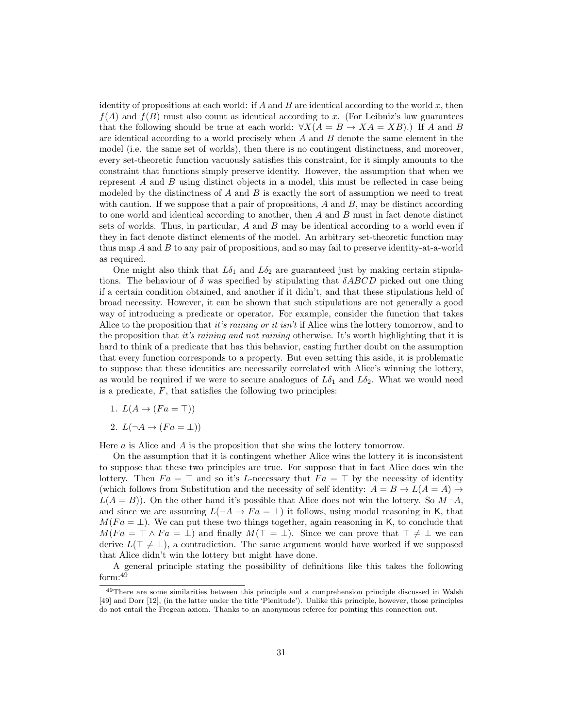identity of propositions at each world: if A and B are identical according to the world  $x$ , then  $f(A)$  and  $f(B)$  must also count as identical according to x. (For Leibniz's law guarantees that the following should be true at each world:  $\forall X(A = B \rightarrow XA = XB)$ . If A and B are identical according to a world precisely when  $A$  and  $B$  denote the same element in the model (i.e. the same set of worlds), then there is no contingent distinctness, and moreover, every set-theoretic function vacuously satisfies this constraint, for it simply amounts to the constraint that functions simply preserve identity. However, the assumption that when we represent  $A$  and  $B$  using distinct objects in a model, this must be reflected in case being modeled by the distinctness of  $A$  and  $B$  is exactly the sort of assumption we need to treat with caution. If we suppose that a pair of propositions,  $A$  and  $B$ , may be distinct according to one world and identical according to another, then A and B must in fact denote distinct sets of worlds. Thus, in particular,  $A$  and  $B$  may be identical according to a world even if they in fact denote distinct elements of the model. An arbitrary set-theoretic function may thus map A and B to any pair of propositions, and so may fail to preserve identity-at-a-world as required.

One might also think that  $L\delta_1$  and  $L\delta_2$  are guaranteed just by making certain stipulations. The behaviour of  $\delta$  was specified by stipulating that  $\delta ABCD$  picked out one thing if a certain condition obtained, and another if it didn't, and that these stipulations held of broad necessity. However, it can be shown that such stipulations are not generally a good way of introducing a predicate or operator. For example, consider the function that takes Alice to the proposition that it's raining or it isn't if Alice wins the lottery tomorrow, and to the proposition that it's raining and not raining otherwise. It's worth highlighting that it is hard to think of a predicate that has this behavior, casting further doubt on the assumption that every function corresponds to a property. But even setting this aside, it is problematic to suppose that these identities are necessarily correlated with Alice's winning the lottery, as would be required if we were to secure analogues of  $L\delta_1$  and  $L\delta_2$ . What we would need is a predicate,  $F$ , that satisfies the following two principles:

1.  $L(A \rightarrow (Fa = \top))$ 

2.  $L(\neg A \rightarrow (Fa = \bot))$ 

Here  $\alpha$  is Alice and  $\ddot{A}$  is the proposition that she wins the lottery tomorrow.

On the assumption that it is contingent whether Alice wins the lottery it is inconsistent to suppose that these two principles are true. For suppose that in fact Alice does win the lottery. Then  $Fa = \top$  and so it's L-necessary that  $Fa = \top$  by the necessity of identity (which follows from Substitution and the necessity of self identity:  $A = B \rightarrow L(A = A) \rightarrow$  $L(A = B)$ ). On the other hand it's possible that Alice does not win the lottery. So  $M\neg A$ , and since we are assuming  $L(\neg A \rightarrow Fa = \bot)$  it follows, using modal reasoning in K, that  $M(Fa = \perp)$ . We can put these two things together, again reasoning in K, to conclude that  $M(Fa = \top \wedge Fa = \bot)$  and finally  $M(\top = \bot)$ . Since we can prove that  $\top \neq \bot$  we can derive  $L(\top \neq \bot)$ , a contradiction. The same argument would have worked if we supposed that Alice didn't win the lottery but might have done.

A general principle stating the possibility of definitions like this takes the following form:<sup>49</sup>

<sup>49</sup>There are some similarities between this principle and a comprehension principle discussed in Walsh [49] and Dorr [12], (in the latter under the title 'Plenitude'). Unlike this principle, however, those principles do not entail the Fregean axiom. Thanks to an anonymous referee for pointing this connection out.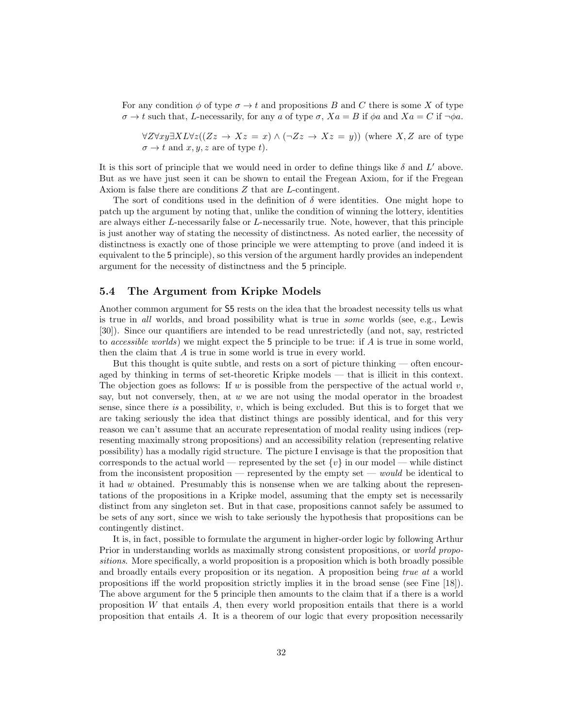For any condition  $\phi$  of type  $\sigma \to t$  and propositions B and C there is some X of type  $\sigma \to t$  such that, L-necessarily, for any a of type  $\sigma$ ,  $Xa = B$  if  $\phi a$  and  $Xa = C$  if  $\neg \phi a$ .

 $\forall Z\forall xy\exists X L\forall z((Zz \rightarrow Xz = x) \land (\neg Zz \rightarrow Xz = y))$  (where X, Z are of type  $\sigma \rightarrow t$  and  $x, y, z$  are of type t).

It is this sort of principle that we would need in order to define things like  $\delta$  and  $L'$  above. But as we have just seen it can be shown to entail the Fregean Axiom, for if the Fregean Axiom is false there are conditions Z that are L-contingent.

The sort of conditions used in the definition of  $\delta$  were identities. One might hope to patch up the argument by noting that, unlike the condition of winning the lottery, identities are always either L-necessarily false or L-necessarily true. Note, however, that this principle is just another way of stating the necessity of distinctness. As noted earlier, the necessity of distinctness is exactly one of those principle we were attempting to prove (and indeed it is equivalent to the 5 principle), so this version of the argument hardly provides an independent argument for the necessity of distinctness and the 5 principle.

### 5.4 The Argument from Kripke Models

Another common argument for S5 rests on the idea that the broadest necessity tells us what is true in all worlds, and broad possibility what is true in some worlds (see, e.g., Lewis [30]). Since our quantifiers are intended to be read unrestrictedly (and not, say, restricted to accessible worlds) we might expect the 5 principle to be true: if A is true in some world, then the claim that A is true in some world is true in every world.

But this thought is quite subtle, and rests on a sort of picture thinking — often encouraged by thinking in terms of set-theoretic Kripke models — that is illicit in this context. The objection goes as follows: If w is possible from the perspective of the actual world v, say, but not conversely, then, at  $w$  we are not using the modal operator in the broadest sense, since there is a possibility,  $v$ , which is being excluded. But this is to forget that we are taking seriously the idea that distinct things are possibly identical, and for this very reason we can't assume that an accurate representation of modal reality using indices (representing maximally strong propositions) and an accessibility relation (representing relative possibility) has a modally rigid structure. The picture I envisage is that the proposition that corresponds to the actual world — represented by the set  $\{v\}$  in our model — while distinct from the inconsistent proposition — represented by the empty set — *would* be identical to it had  $w$  obtained. Presumably this is nonsense when we are talking about the representations of the propositions in a Kripke model, assuming that the empty set is necessarily distinct from any singleton set. But in that case, propositions cannot safely be assumed to be sets of any sort, since we wish to take seriously the hypothesis that propositions can be contingently distinct.

It is, in fact, possible to formulate the argument in higher-order logic by following Arthur Prior in understanding worlds as maximally strong consistent propositions, or *world propo*sitions. More specifically, a world proposition is a proposition which is both broadly possible and broadly entails every proposition or its negation. A proposition being true at a world propositions iff the world proposition strictly implies it in the broad sense (see Fine [18]). The above argument for the 5 principle then amounts to the claim that if a there is a world proposition W that entails A, then every world proposition entails that there is a world proposition that entails A. It is a theorem of our logic that every proposition necessarily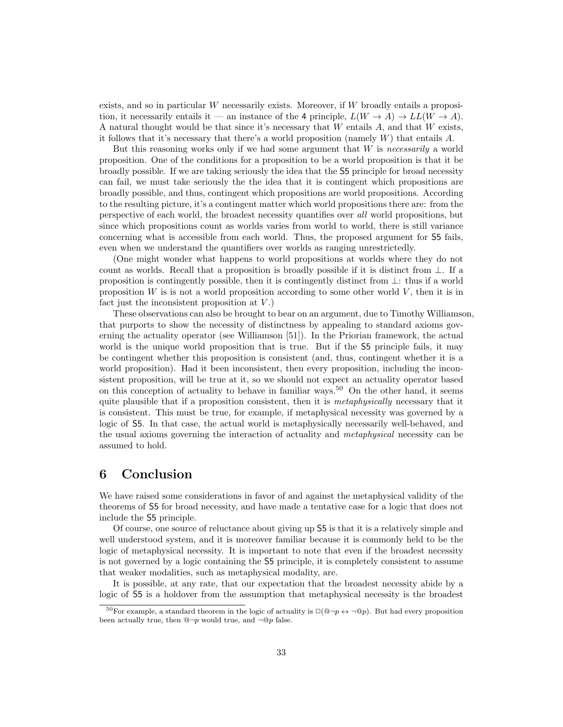exists, and so in particular  $W$  necessarily exists. Moreover, if  $W$  broadly entails a proposition, it necessarily entails it — an instance of the 4 principle,  $L(W \to A) \to LL(W \to A)$ . A natural thought would be that since it's necessary that  $W$  entails  $A$ , and that  $W$  exists, it follows that it's necessary that there's a world proposition (namely  $W$ ) that entails  $A$ .

But this reasoning works only if we had some argument that W is necessarily a world proposition. One of the conditions for a proposition to be a world proposition is that it be broadly possible. If we are taking seriously the idea that the S5 principle for broad necessity can fail, we must take seriously the the idea that it is contingent which propositions are broadly possible, and thus, contingent which propositions are world propositions. According to the resulting picture, it's a contingent matter which world propositions there are: from the perspective of each world, the broadest necessity quantifies over all world propositions, but since which propositions count as worlds varies from world to world, there is still variance concerning what is accessible from each world. Thus, the proposed argument for S5 fails, even when we understand the quantifiers over worlds as ranging unrestrictedly.

(One might wonder what happens to world propositions at worlds where they do not count as worlds. Recall that a proposition is broadly possible if it is distinct from  $\perp$ . If a proposition is contingently possible, then it is contingently distinct from ⊥: thus if a world proposition  $W$  is is not a world proposition according to some other world  $V$ , then it is in fact just the inconsistent proposition at  $V$ .)

These observations can also be brought to bear on an argument, due to Timothy Williamson, that purports to show the necessity of distinctness by appealing to standard axioms governing the actuality operator (see Williamson [51]). In the Priorian framework, the actual world is the unique world proposition that is true. But if the S5 principle fails, it may be contingent whether this proposition is consistent (and, thus, contingent whether it is a world proposition). Had it been inconsistent, then every proposition, including the inconsistent proposition, will be true at it, so we should not expect an actuality operator based on this conception of actuality to behave in familiar ways.<sup>50</sup> On the other hand, it seems quite plausible that if a proposition consistent, then it is *metaphysically* necessary that it is consistent. This must be true, for example, if metaphysical necessity was governed by a logic of S5. In that case, the actual world is metaphysically necessarily well-behaved, and the usual axioms governing the interaction of actuality and metaphysical necessity can be assumed to hold.

# 6 Conclusion

We have raised some considerations in favor of and against the metaphysical validity of the theorems of S5 for broad necessity, and have made a tentative case for a logic that does not include the S5 principle.

Of course, one source of reluctance about giving up S5 is that it is a relatively simple and well understood system, and it is moreover familiar because it is commonly held to be the logic of metaphysical necessity. It is important to note that even if the broadest necessity is not governed by a logic containing the S5 principle, it is completely consistent to assume that weaker modalities, such as metaphysical modality, are.

It is possible, at any rate, that our expectation that the broadest necessity abide by a logic of S5 is a holdover from the assumption that metaphysical necessity is the broadest

<sup>&</sup>lt;sup>50</sup>For example, a standard theorem in the logic of actuality is  $\square(\overline{\mathbb{Q}} \rightarrow p \leftrightarrow \neg \overline{\mathbb{Q}}p)$ . But had every proposition been actually true, then  $@{\neg}p$  would true, and  $\neg @p$  false.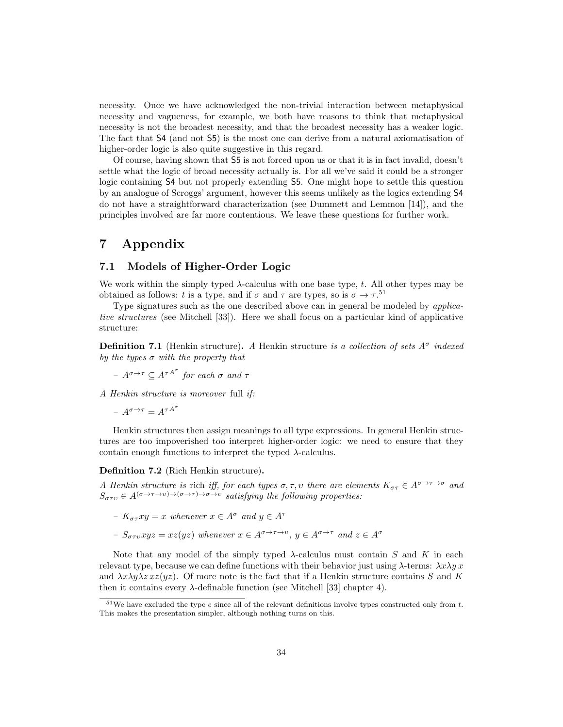necessity. Once we have acknowledged the non-trivial interaction between metaphysical necessity and vagueness, for example, we both have reasons to think that metaphysical necessity is not the broadest necessity, and that the broadest necessity has a weaker logic. The fact that S4 (and not S5) is the most one can derive from a natural axiomatisation of higher-order logic is also quite suggestive in this regard.

Of course, having shown that S5 is not forced upon us or that it is in fact invalid, doesn't settle what the logic of broad necessity actually is. For all we've said it could be a stronger logic containing S4 but not properly extending S5. One might hope to settle this question by an analogue of Scroggs' argument, however this seems unlikely as the logics extending S4 do not have a straightforward characterization (see Dummett and Lemmon [14]), and the principles involved are far more contentious. We leave these questions for further work.

# 7 Appendix

### 7.1 Models of Higher-Order Logic

We work within the simply typed  $\lambda$ -calculus with one base type, t. All other types may be obtained as follows: t is a type, and if  $\sigma$  and  $\tau$  are types, so is  $\sigma \to \tau$ .<sup>51</sup>

Type signatures such as the one described above can in general be modeled by applicative structures (see Mitchell [33]). Here we shall focus on a particular kind of applicative structure:

**Definition 7.1** (Henkin structure). A Henkin structure is a collection of sets  $A^{\sigma}$  indexed by the types  $\sigma$  with the property that

$$
-\ A^{\sigma\to\tau}\subseteq A^{\tau A^{\sigma}}\ \text{for each $\sigma$ and $\tau$}
$$

A Henkin structure is moreover full if:

 $- A^{\sigma \to \tau} = A^{\tau A^{\sigma}}$ 

Henkin structures then assign meanings to all type expressions. In general Henkin structures are too impoverished too interpret higher-order logic: we need to ensure that they contain enough functions to interpret the typed  $\lambda$ -calculus.

Definition 7.2 (Rich Henkin structure).

A Henkin structure is rich iff, for each types  $\sigma, \tau, \upsilon$  there are elements  $K_{\sigma\tau} \in A^{\sigma \to \tau \to \sigma}$  and  $S_{\sigma\tau\upsilon} \in A^{(\sigma\to\tau\to\upsilon)\to(\sigma\to\tau)\to\sigma\to\upsilon}$  satisfying the following properties:

- $K_{\sigma\tau}xy = x$  whenever  $x \in A^{\sigma}$  and  $y \in A^{\tau}$
- $-S_{\sigma\tau v}xyz = xz(yz)$  whenever  $x \in A^{\sigma \to \tau \to v}$ ,  $y \in A^{\sigma \to \tau}$  and  $z \in A^{\sigma}$

Note that any model of the simply typed  $\lambda$ -calculus must contain S and K in each relevant type, because we can define functions with their behavior just using  $\lambda$ -terms:  $\lambda x \lambda y x$ and  $\lambda x \lambda y \lambda z x z (yz)$ . Of more note is the fact that if a Henkin structure contains S and K then it contains every  $\lambda$ -definable function (see Mitchell [33] chapter 4).

 $51$ We have excluded the type e since all of the relevant definitions involve types constructed only from t. This makes the presentation simpler, although nothing turns on this.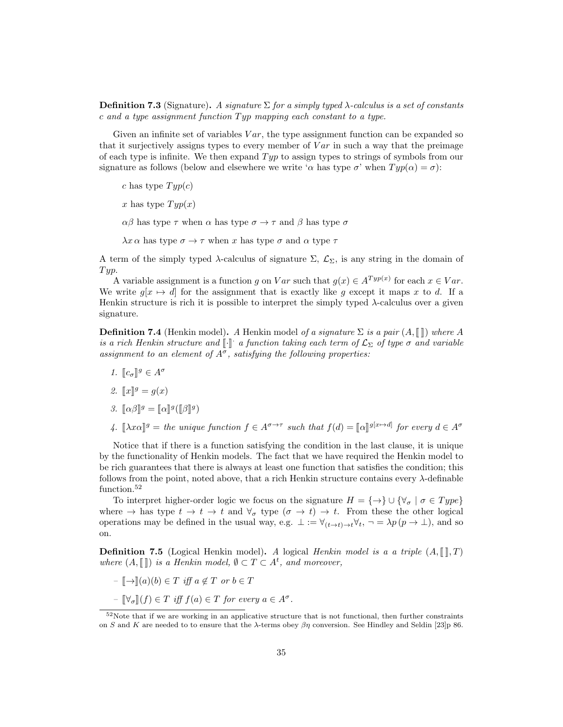**Definition 7.3** (Signature). A signature  $\Sigma$  for a simply typed  $\lambda$ -calculus is a set of constants  $c$  and a type assignment function Typ mapping each constant to a type.

Given an infinite set of variables  $Var$ , the type assignment function can be expanded so that it surjectively assigns types to every member of  $Var$  in such a way that the preimage of each type is infinite. We then expand  $Type$  to assign types to strings of symbols from our signature as follows (below and elsewhere we write ' $\alpha$  has type  $\sigma'$  when  $Typ(\alpha) = \sigma$ ):

c has type  $Type(z)$ 

x has type  $Type(x)$ 

 $\alpha\beta$  has type  $\tau$  when  $\alpha$  has type  $\sigma \rightarrow \tau$  and  $\beta$  has type  $\sigma$ 

 $\lambda x \alpha$  has type  $\sigma \rightarrow \tau$  when x has type  $\sigma$  and  $\alpha$  type  $\tau$ 

A term of the simply typed  $\lambda$ -calculus of signature  $\Sigma$ ,  $\mathcal{L}_{\Sigma}$ , is any string in the domain of  $T$ *up*.

A variable assignment is a function g on Var such that  $g(x) \in A^{Typ(x)}$  for each  $x \in Var$ . We write  $g[x \mapsto d]$  for the assignment that is exactly like g except it maps x to d. If a Henkin structure is rich it is possible to interpret the simply typed  $\lambda$ -calculus over a given signature.

**Definition 7.4** (Henkin model). A Henkin model of a signature  $\Sigma$  is a pair  $(A, \llbracket \rrbracket)$  where A is a rich Henkin structure and  $\llbracket \cdot \rrbracket$  a function taking each term of  $\mathcal{L}_{\Sigma}$  of type  $\sigma$  and variable assignment to an element of  $A^{\sigma}$ , satisfying the following properties:

- 1.  $\llbracket c_{\sigma} \rrbracket^{g} \in A^{\sigma}$
- 2.  $[\![x]\!]^g = g(x)$
- 3.  $[\![\alpha\beta]\!]^g = [\![\alpha]\!]^g([\![\beta]\!]^g)$

4.  $[\lambda x \alpha]^{g} =$  the unique function  $f \in A^{\sigma \to \tau}$  such that  $f(d) = [\alpha]^{g[x \to d]}$  for every  $d \in A^{\sigma}$ 

Notice that if there is a function satisfying the condition in the last clause, it is unique by the functionality of Henkin models. The fact that we have required the Henkin model to be rich guarantees that there is always at least one function that satisfies the condition; this follows from the point, noted above, that a rich Henkin structure contains every  $\lambda$ -definable function.<sup>52</sup>

To interpret higher-order logic we focus on the signature  $H = \{\rightarrow\} \cup \{\forall_{\sigma} \mid \sigma \in Type\}$ where  $\rightarrow$  has type  $t \rightarrow t \rightarrow t$  and  $\forall_{\sigma}$  type  $(\sigma \rightarrow t) \rightarrow t$ . From these the other logical operations may be defined in the usual way, e.g.  $\bot := \forall_{(t \to t) \to t} \forall_t, \neg = \lambda p (p \to \bot)$ , and so on.

**Definition 7.5** (Logical Henkin model). A logical Henkin model is a a triple  $(A, \llbracket \cdot \rrbracket, T)$ where  $(A, []$  is a Henkin model,  $\emptyset \subset T \subset A^t$ , and moreover,

- $\lbrack \rightarrow \rbrack (a)(b) \in T$  iff  $a \notin T$  or  $b \in T$
- $[\forall_{\sigma}](f) \in T$  iff  $f(a) \in T$  for every  $a \in A^{\sigma}$ .

 $52$ Note that if we are working in an applicative structure that is not functional, then further constraints on S and K are needed to to ensure that the  $\lambda$ -terms obey  $\beta\eta$  conversion. See Hindley and Seldin [23]p 86.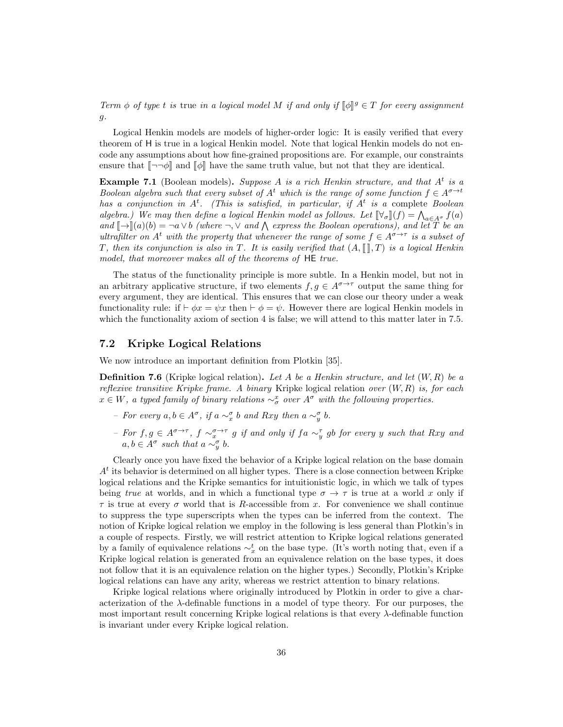Term  $\phi$  of type t is true in a logical model M if and only if  $[\![\phi]\!]^g \in T$  for every assignment g.

Logical Henkin models are models of higher-order logic: It is easily verified that every theorem of H is true in a logical Henkin model. Note that logical Henkin models do not encode any assumptions about how fine-grained propositions are. For example, our constraints ensure that  $\llbracket \neg \neg \phi \rrbracket$  and  $\llbracket \phi \rrbracket$  have the same truth value, but not that they are identical.

**Example 7.1** (Boolean models). Suppose A is a rich Henkin structure, and that  $A<sup>t</sup>$  is a Boolean algebra such that every subset of  $A^t$  which is the range of some function  $f \in A^{\sigma \to t}$ has a conjunction in  $A^t$ . (This is satisfied, in particular, if  $A^t$  is a complete Boolean algebra.) We may then define a logical Henkin model as follows. Let  $[\![\forall_{\sigma}]\!] (f) = \bigwedge_{a \in A^{\sigma}} f(a)$ <br>and  $[\![\forall_{\sigma}]\!] (a)(b) = -a \setminus b$  (where  $= \setminus a$  of  $\Lambda$  express the Boolean energies) and let T be an and  $\llbracket \rightarrow \rrbracket(a)(b) = \neg a \vee b$  (where  $\neg, \vee$  and  $\wedge$  express the Boolean operations), and let T be an estrated the property that whenever the range of some  $f \in A^{\sigma \to \tau}$  is a subset of ultrafilter on  $A^t$  with the property that whenever the range of some  $f \in A^{\sigma \to \tau}$  is a subset of T, then its conjunction is also in T. It is easily verified that  $(A, \llbracket \cdot \rrbracket, T)$  is a logical Henkin model, that moreover makes all of the theorems of HE true.

The status of the functionality principle is more subtle. In a Henkin model, but not in an arbitrary applicative structure, if two elements  $f, g \in A^{\sigma \to \tau}$  output the same thing for every argument, they are identical. This ensures that we can close our theory under a weak functionality rule: if  $\vdash \phi x = \psi x$  then  $\vdash \phi = \psi$ . However there are logical Henkin models in which the functionality axiom of section 4 is false; we will attend to this matter later in 7.5.

# 7.2 Kripke Logical Relations

We now introduce an important definition from Plotkin [35].

**Definition 7.6** (Kripke logical relation). Let A be a Henkin structure, and let  $(W, R)$  be a reflexive transitive Kripke frame. A binary Kripke logical relation over  $(W, R)$  is, for each  $x \in W$ , a typed family of binary relations  $\sim_{\sigma}^{x}$  over  $A^{\sigma}$  with the following properties.

- *− For every*  $a, b \in A^{\sigma}$ , if  $a \sim_{x}^{\sigma} b$  and Rxy then  $a \sim_{y}^{\sigma} b$ .
- For  $f, g \in A^{\sigma \to \tau}$ ,  $f \sim_x^{\sigma \to \tau} g$  if and only if  $f a \sim_y^{\tau} gb$  for every y such that Rxy and  $a, b \in A^{\sigma}$  such that  $a \sim_y^{\sigma} b$ .

Clearly once you have fixed the behavior of a Kripke logical relation on the base domain  $A<sup>t</sup>$  its behavior is determined on all higher types. There is a close connection between Kripke logical relations and the Kripke semantics for intuitionistic logic, in which we talk of types being true at worlds, and in which a functional type  $\sigma \to \tau$  is true at a world x only if  $\tau$  is true at every  $\sigma$  world that is R-accessible from x. For convenience we shall continue to suppress the type superscripts when the types can be inferred from the context. The notion of Kripke logical relation we employ in the following is less general than Plotkin's in a couple of respects. Firstly, we will restrict attention to Kripke logical relations generated by a family of equivalence relations  $\sim_x^t$  on the base type. (It's worth noting that, even if a Kripke logical relation is generated from an equivalence relation on the base types, it does not follow that it is an equivalence relation on the higher types.) Secondly, Plotkin's Kripke logical relations can have any arity, whereas we restrict attention to binary relations.

Kripke logical relations where originally introduced by Plotkin in order to give a characterization of the  $\lambda$ -definable functions in a model of type theory. For our purposes, the most important result concerning Kripke logical relations is that every  $\lambda$ -definable function is invariant under every Kripke logical relation.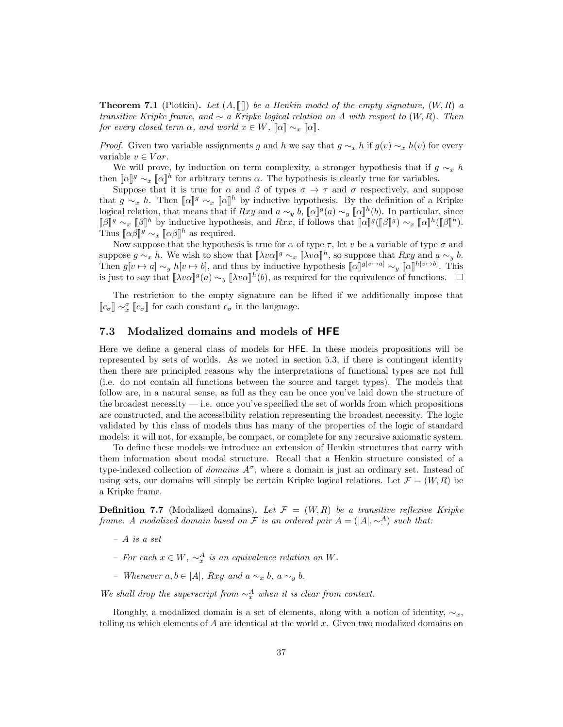**Theorem 7.1** (Plotkin). Let  $(A, \llbracket \rrbracket)$  be a Henkin model of the empty signature,  $(W, R)$  a transitive Kripke frame, and  $\sim a$  Kripke logical relation on A with respect to  $(W, R)$ . Then for every closed term  $\alpha$ , and world  $x \in W$ ,  $\llbracket \alpha \rrbracket \sim_x \llbracket \alpha \rrbracket$ .

*Proof.* Given two variable assignments g and h we say that  $g \sim_x h$  if  $g(v) \sim_x h(v)$  for every variable  $v \in Var$ .

We will prove, by induction on term complexity, a stronger hypothesis that if  $g \sim_x h$ then  $\llbracket \alpha \rrbracket^g \sim_x \llbracket \alpha \rrbracket^h$  for arbitrary terms  $\alpha$ . The hypothesis is clearly true for variables.<br>Suppose that it is true for  $\alpha$  and  $\beta$  of types  $\sigma$ ,  $\lambda \sigma$  and  $\sigma$  respectively, and guy

Suppose that it is true for  $\alpha$  and  $\beta$  of types  $\sigma \to \tau$  and  $\sigma$  respectively, and suppose that  $g \sim_x h$ . Then  $[\![\alpha]\!]^g \sim_x [\![\alpha]\!]^h$  by inductive hypothesis. By the definition of a Kripke logical relation, that means that if  $Rxy$  and  $a \sim_y b$ ,  $[\![\alpha]\!]^g(a) \sim_y [\![\alpha]\!]^h(b)$ . In particular, since  $[\![\alpha]\!]^g$  and  $[\![\alpha]\!]^g$  and  $[\![\alpha]\!]^g$  and  $[\![\alpha]\!]^h$   $[[\![\alpha]\!]^h$  by inductive hypothesis, and  $Rxx$  if follows that  $[\![\beta]\!]^g \sim_x [\![\beta]\!]^h$  by inductive hypothesis, and  $Rxx$ , if follows that  $[\![\alpha]\!]^g([\![\beta]\!]^g) \sim_x [\![\alpha]\!]^h([\![\beta]\!]^h)$ .<br>Thus  $[\![\alpha]\!]^g([\![\beta]\!]^h$  as required Thus  $\llbracket \alpha \beta \rrbracket^g \sim_x \llbracket \alpha \beta \rrbracket^h$  as required.<br>Now suppose that the hypothes

Now suppose that the hypothesis is true for  $\alpha$  of type  $\tau$ , let v be a variable of type  $\sigma$  and suppose  $g \sim_x h$ . We wish to show that  $[\![\lambda v \alpha]\!]^g \sim_x [\![\lambda v \alpha]\!]^h$ , so suppose that  $Rxy$  and  $a \sim_y b$ .<br>Then  $g[u \rightarrow a]$  a colored by the law inductive hypothesis  $[\![a]\!]^{g[v \rightarrow a]}$  and  $[\![a]\!]^{h[v \rightarrow b]}$ . This Then  $g[v \mapsto a] \sim_y h[v \mapsto b]$ , and thus by inductive hypothesis  $\llbracket \alpha \rrbracket^{g[v \mapsto a]} \sim_y \llbracket \alpha \rrbracket^{h[v \mapsto b]}$ . This is just to say that  $[\![\lambda v \alpha]\!]^g(a) \sim_y [\![\lambda v \alpha]\!]^h(b)$ , as required for the equivalence of functions.

The restriction to the empty signature can be lifted if we additionally impose that  $\llbracket c_{\sigma} \rrbracket \sim_x^{\sigma} \llbracket c_{\sigma} \rrbracket$  for each constant  $c_{\sigma}$  in the language.

### 7.3 Modalized domains and models of HFE

Here we define a general class of models for HFE. In these models propositions will be represented by sets of worlds. As we noted in section 5.3, if there is contingent identity then there are principled reasons why the interpretations of functional types are not full (i.e. do not contain all functions between the source and target types). The models that follow are, in a natural sense, as full as they can be once you've laid down the structure of the broadest necessity — i.e. once you've specified the set of worlds from which propositions are constructed, and the accessibility relation representing the broadest necessity. The logic validated by this class of models thus has many of the properties of the logic of standard models: it will not, for example, be compact, or complete for any recursive axiomatic system.

To define these models we introduce an extension of Henkin structures that carry with them information about modal structure. Recall that a Henkin structure consisted of a type-indexed collection of *domains*  $A^{\sigma}$ , where a domain is just an ordinary set. Instead of using sets, our domains will simply be certain Kripke logical relations. Let  $\mathcal{F} = (W, R)$  be a Kripke frame.

**Definition 7.7** (Modalized domains). Let  $\mathcal{F} = (W, R)$  be a transitive reflexive Kripke frame. A modalized domain based on  $\mathcal F$  is an ordered pair  $A = (|A|, \sim^A)$  such that:

– A is a set

- For each  $x \in W$ ,  $\sim_x^A$  is an equivalence relation on W.
- Whenever  $a, b \in |A|$ , Rxy and  $a \sim_x b$ ,  $a \sim_y b$ .

We shall drop the superscript from  $\sim_x^A$  when it is clear from context.

Roughly, a modalized domain is a set of elements, along with a notion of identity,  $\sim_x$ , telling us which elements of  $A$  are identical at the world  $x$ . Given two modalized domains on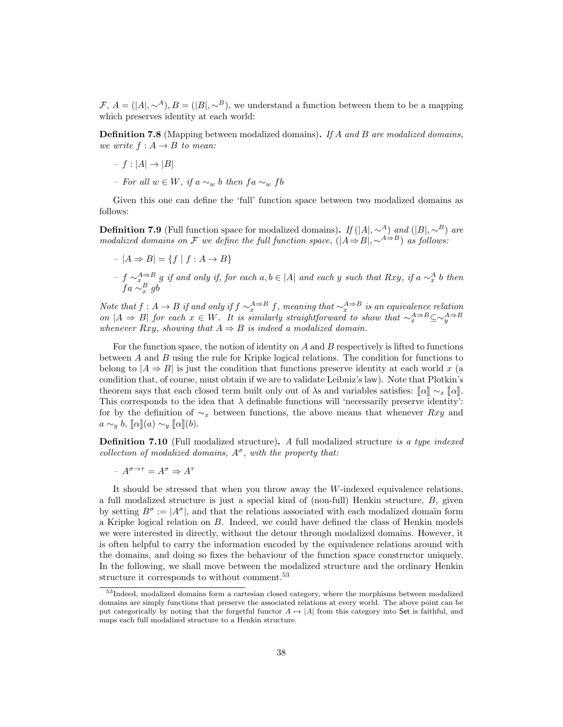$\mathcal{F}, A = (|A|, \sim^A), B = (|B|, \sim^B)$ , we understand a function between them to be a mapping which preserves identity at each world:

**Definition 7.8** (Mapping between modalized domains). If A and B are modalized domains, we write  $f : A \rightarrow B$  to mean:

- $f : |A| \rightarrow |B|$
- For all  $w \in W$ , if a ∼<sub>w</sub> b then fa ∼<sub>w</sub> fb

Given this one can define the 'full' function space between two modalized domains as follows:

**Definition 7.9** (Full function space for modalized domains). If  $(|A|, \sim^A)$  and  $(|B|, \sim^B)$  are modalized domains on F we define the full function space,  $(|A \Rightarrow B|, \sim^{A \Rightarrow B})$  as follows:

- $-|A \Rightarrow B| = \{f | f : A \rightarrow B\}$
- $f \sim_x^{A \Rightarrow B} g$  if and only if, for each  $a, b \in |A|$  and each y such that Rxy, if  $a \sim_x^A b$  then  $fa \sim_x^B gb$

Note that  $f: A \to B$  if and only if  $f \sim_x^{A \to B} f$ , meaning that  $\sim_x^{A \to B}$  is an equivalence relation on  $|A \Rightarrow B|$  for each  $x \in W$ . It is similarly straightforward to show that  $\sim_x^{A \Rightarrow B} \subseteq \sim_y^{A \Rightarrow B}$ whenever Rxy, showing that  $A \Rightarrow B$  is indeed a modalized domain.

For the function space, the notion of identity on  $A$  and  $B$  respectively is lifted to functions between  $A$  and  $B$  using the rule for Kripke logical relations. The condition for functions to belong to  $|A \Rightarrow B|$  is just the condition that functions preserve identity at each world x (a condition that, of course, must obtain if we are to validate Leibniz's law). Note that Plotkin's theorem says that each closed term built only out of  $\lambda$ s and variables satisfies:  $\lbrack \lbrack \alpha \rbrack \rbrack \sim_x \lbrack \lbrack \alpha \rbrack$ . This corresponds to the idea that  $\lambda$  definable functions will 'necessarily preserve identity': for by the definition of  $\sim_x$  between functions, the above means that whenever Rxy and  $a \sim_y b$ ,  $\llbracket \alpha \rrbracket(a) \sim_y \llbracket \alpha \rrbracket(b)$ .

**Definition 7.10** (Full modalized structure). A full modalized structure is a type indexed collection of modalized domains,  $A^{\sigma}$ , with the property that:

 $- A^{\sigma \to \tau} = A^{\sigma} \Rightarrow A^{\tau}$ 

It should be stressed that when you throw away the  $W$ -indexed equivalence relations, a full modalized structure is just a special kind of (non-full) Henkin structure, B, given by setting  $B^{\sigma} := |A^{\sigma}|$ , and that the relations associated with each modalized domain form a Kripke logical relation on B. Indeed, we could have defined the class of Henkin models we were interested in directly, without the detour through modalized domains. However, it is often helpful to carry the information encoded by the equivalence relations around with the domains, and doing so fixes the behaviour of the function space constructor uniquely. In the following, we shall move between the modalized structure and the ordinary Henkin structure it corresponds to without comment.<sup>53</sup>

<sup>&</sup>lt;sup>53</sup>Indeed, modalized domains form a cartesian closed category, where the morphisms between modalized domains are simply functions that preserve the associated relations at every world. The above point can be put categorically by noting that the forgetful functor  $A \mapsto |A|$  from this category into Set is faithful, and maps each full modalized structure to a Henkin structure.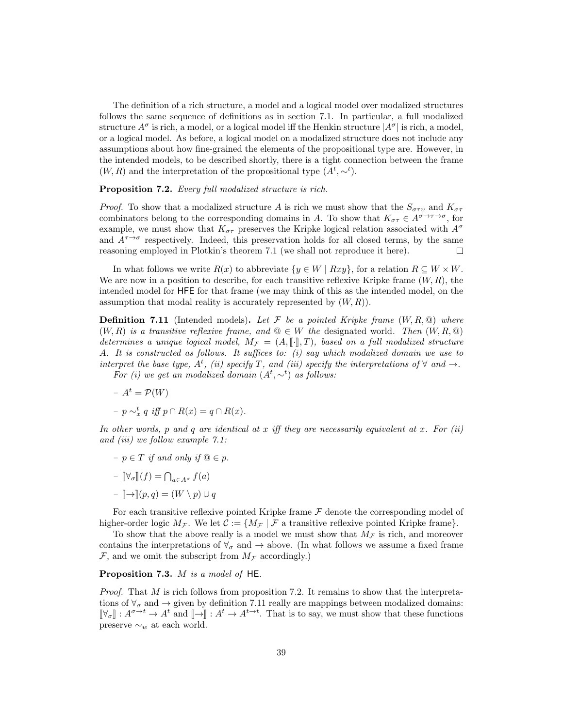The definition of a rich structure, a model and a logical model over modalized structures follows the same sequence of definitions as in section 7.1. In particular, a full modalized structure  $A^{\sigma}$  is rich, a model, or a logical model iff the Henkin structure  $|A^{\sigma}|$  is rich, a model, or a logical model. As before, a logical model on a modalized structure does not include any assumptions about how fine-grained the elements of the propositional type are. However, in the intended models, to be described shortly, there is a tight connection between the frame  $(W, R)$  and the interpretation of the propositional type  $(A<sup>t</sup>, ∼<sup>t</sup>)$ .

#### Proposition 7.2. Every full modalized structure is rich.

*Proof.* To show that a modalized structure A is rich we must show that the  $S_{\sigma\tau\nu}$  and  $K_{\sigma\tau}$ combinators belong to the corresponding domains in A. To show that  $K_{\sigma\tau} \in A^{\sigma \to \tau \to \sigma}$ , for example, we must show that  $K_{\sigma\tau}$  preserves the Kripke logical relation associated with  $A^{\sigma}$ and  $A^{\tau\to\sigma}$  respectively. Indeed, this preservation holds for all closed terms, by the same reasoning employed in Plotkin's theorem 7.1 (we shall not reproduce it here). П

In what follows we write  $R(x)$  to abbreviate  $\{y \in W \mid Rxy\}$ , for a relation  $R \subseteq W \times W$ . We are now in a position to describe, for each transitive reflexive Kripke frame  $(W, R)$ , the intended model for HFE for that frame (we may think of this as the intended model, on the assumption that modal reality is accurately represented by  $(W, R)$ .

**Definition 7.11** (Intended models). Let F be a pointed Kripke frame  $(W, R, \mathcal{Q})$  where  $(W, R)$  is a transitive reflexive frame, and  $\mathbb{Q} \in W$  the designated world. Then  $(W, R, \mathbb{Q})$ determines a unique logical model,  $M_{\mathcal{F}} = (A, \llbracket \cdot \rrbracket, T)$ , based on a full modalized structure A. It is constructed as follows. It suffices to: (i) say which modalized domain we use to interpret the base type,  $A^t$ , (ii) specify T, and (iii) specify the interpretations of  $\forall$  and  $\rightarrow$ . For (i) we get an modalized domain  $(A^t, \sim^t)$  as follows:

 $- A^t = \mathcal{P}(W)$ 

$$
- p \sim_x^t q \text{ iff } p \cap R(x) = q \cap R(x).
$$

In other words, p and q are identical at x iff they are necessarily equivalent at x. For  $(ii)$ and (iii) we follow example 7.1:

- $-p \in T$  if and only if  $\mathbb{Q} \in p$ .
- $\lbrack\!\lbrack \forall_{\sigma}\rbrack\!\rbrack(f) = \bigcap_{a\in A^{\sigma}} f(a)$
- $\llbracket \rightarrow \rrbracket(p, q) = (W \setminus p) \cup q$

For each transitive reflexive pointed Kripke frame  $F$  denote the corresponding model of higher-order logic  $M_{\mathcal{F}}$ . We let  $\mathcal{C} := \{M_{\mathcal{F}} | \mathcal{F}$  a transitive reflexive pointed Kripke frame}.

To show that the above really is a model we must show that  $M_{\mathcal{F}}$  is rich, and moreover contains the interpretations of  $\forall_{\sigma}$  and  $\rightarrow$  above. (In what follows we assume a fixed frame  $\mathcal{F}$ , and we omit the subscript from  $M_{\mathcal{F}}$  accordingly.)

#### Proposition 7.3. M is a model of HE.

*Proof.* That  $M$  is rich follows from proposition 7.2. It remains to show that the interpretations of  $\forall_{\sigma}$  and  $\rightarrow$  given by definition 7.11 really are mappings between modalized domains:  $\llbracket \forall_{\sigma} \rrbracket : A^{\sigma \to t} \to A^t$  and  $\llbracket \to \rrbracket : A^t \to A^{t \to t}$ . That is to say, we must show that these functions preserve  $\sim_w$  at each world.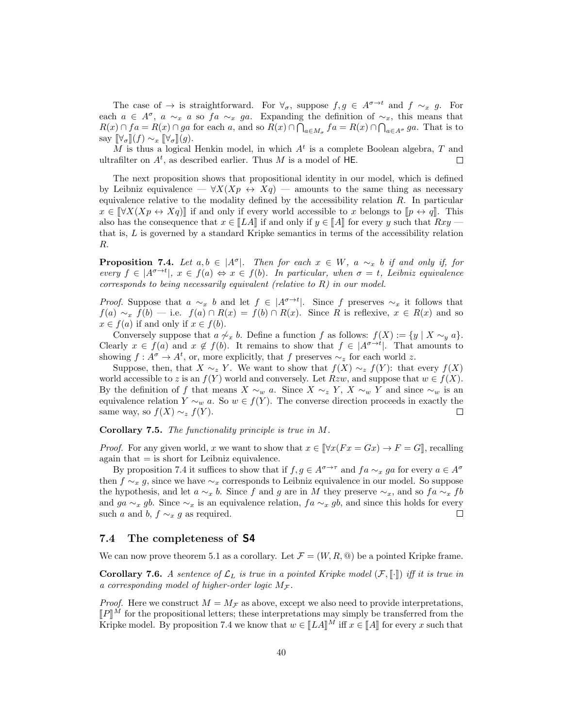The case of  $\rightarrow$  is straightforward. For  $\forall_{\sigma}$ , suppose  $f, g \in A^{\sigma \to t}$  and  $f \sim_x g$ . For each  $a \in A^{\sigma}$ ,  $a \sim_x a$  so  $fa \sim_x ga$ . Expanding the definition of  $\sim_x$ , this means that  $R(x) \cap fa = R(x) \cap ga$  for each a, and so  $R(x) \cap \bigcap_{a \in M_{\sigma}} fa = R(x) \cap \bigcap_{a \in A^{\sigma}} ga$ . That is to say  $\llbracket \forall_{\sigma} \rrbracket(f) \sim_x \llbracket \forall_{\sigma} \rrbracket(g).$ 

M is thus a logical Henkin model, in which  $A<sup>t</sup>$  is a complete Boolean algebra, T and ultrafilter on  $A<sup>t</sup>$ , as described earlier. Thus M is a model of HE.  $\Box$ 

The next proposition shows that propositional identity in our model, which is defined by Leibniz equivalence —  $\forall X(Xp \leftrightarrow Xq)$  — amounts to the same thing as necessary equivalence relative to the modality defined by the accessibility relation R. In particular  $x \in \forall X (Xp \leftrightarrow Xq)$  if and only if every world accessible to x belongs to  $[p \leftrightarrow q]$ . This also has the consequence that  $x \in [LA]$  if and only if  $y \in [A]$  for every y such that  $Rxy$ . that is, L is governed by a standard Kripke semantics in terms of the accessibility relation R.

**Proposition 7.4.** Let  $a, b \in |A^{\sigma}|$ . Then for each  $x \in W$ ,  $a \sim_x b$  if and only if, for every  $f \in |A^{\sigma \to t}|$ ,  $x \in f(a) \Leftrightarrow x \in f(b)$ . In particular, when  $\sigma = t$ , Leibniz equivalence corresponds to being necessarily equivalent (relative to  $R$ ) in our model.

*Proof.* Suppose that  $a \sim_x b$  and let  $f \in |A^{\sigma \to t}|$ . Since f preserves  $\sim_x$  it follows that  $f(a) \sim_x f(b)$  — i.e.  $f(a) \cap R(x) = f(b) \cap R(x)$ . Since R is reflexive,  $x \in R(x)$  and so  $x \in f(a)$  if and only if  $x \in f(b)$ .

Conversely suppose that  $a \not\sim_x b$ . Define a function f as follows:  $f(X) := \{y \mid X \sim_y a\}.$ Clearly  $x \in f(a)$  and  $x \notin f(b)$ . It remains to show that  $f \in |A^{\sigma \to t}|$ . That amounts to showing  $f: A^{\sigma} \to A^t$ , or, more explicitly, that f preserves  $\sim_z$  for each world z.

Suppose, then, that  $X \sim_{z} Y$ . We want to show that  $f(X) \sim_{z} f(Y)$ : that every  $f(X)$ world accessible to z is an  $f(Y)$  world and conversely. Let  $Rzw$ , and suppose that  $w \in f(X)$ . By the definition of f that means  $X \sim_w a$ . Since  $X \sim_z Y$ ,  $X \sim_w Y$  and since  $\sim_w$  is an equivalence relation  $Y \sim_w a$ . So  $w \in f(Y)$ . The converse direction proceeds in exactly the same way, so  $f(X) \sim_{\mathfrak{z}} f(Y)$ .  $\Box$ 

Corollary 7.5. The functionality principle is true in M.

*Proof.* For any given world, x we want to show that  $x \in [\forall x (Fx = Gx) \rightarrow F = G]$ , recalling again that  $=$  is short for Leibniz equivalence.

By proposition 7.4 it suffices to show that if  $f, g \in A^{\sigma \to \tau}$  and  $fa \sim_x ga$  for every  $a \in A^{\sigma}$ then  $f \sim_x g$ , since we have  $\sim_x$  corresponds to Leibniz equivalence in our model. So suppose the hypothesis, and let  $a \sim_x b$ . Since f and g are in M they preserve  $\sim_x$ , and so  $fa \sim_x fb$ and  $ga \sim_x gb$ . Since  $\sim_x$  is an equivalence relation,  $fa \sim_x gb$ , and since this holds for every such a and b,  $f \sim_x g$  as required.  $\Box$ 

#### 7.4 The completeness of S4

We can now prove theorem 5.1 as a corollary. Let  $\mathcal{F} = (W, R, \mathbb{Q})$  be a pointed Kripke frame.

**Corollary 7.6.** A sentence of  $\mathcal{L}_L$  is true in a pointed Kripke model  $(\mathcal{F}, \llbracket \cdot \rrbracket)$  iff it is true in a corresponding model of higher-order logic  $M_{\mathcal{F}}$ .

*Proof.* Here we construct  $M = M_F$  as above, except we also need to provide interpretations,  $\llbracket P \rrbracket^M$  for the propositional letters; these interpretations may simply be transferred from the Kripke model. By proposition 7.4 we know that  $w \in [LA]^M$  iff  $x \in [A]$  for every x such that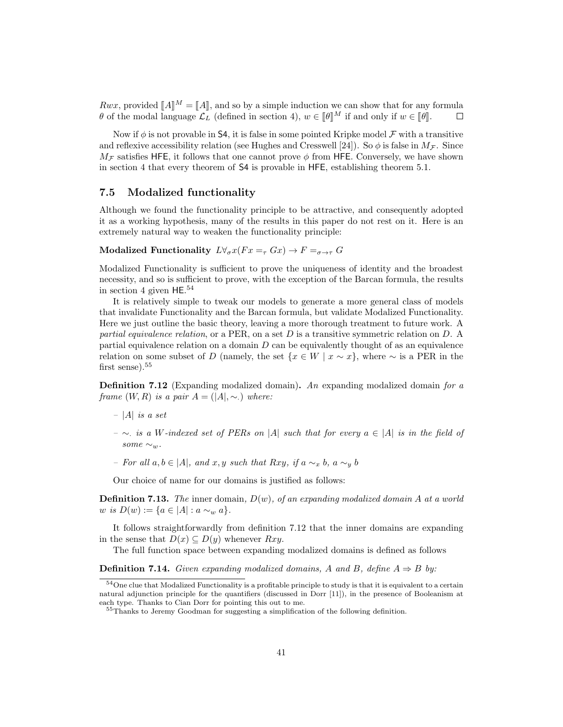Rwx, provided  $\llbracket A \rrbracket^M = \llbracket A \rrbracket$ , and so by a simple induction we can show that for any formula  $\theta$  of the modal language  $\mathcal{L}_L$  (defined in section 4),  $w \in \llbracket \theta \rrbracket^M$  if and only if  $w \in \llbracket \theta \rrbracket$ .  $\theta$  of the modal language  $\mathcal{L}_L^{\mathcal{L}}$  (defined in section 4),  $w \in [\![\theta]\!]^M$  if and only if  $w \in [\![\theta]\!]$ .

Now if  $\phi$  is not provable in S4, it is false in some pointed Kripke model  $\mathcal F$  with a transitive and reflexive accessibility relation (see Hughes and Cresswell [24]). So  $\phi$  is false in  $M_{\mathcal{F}}$ . Since  $M_{\mathcal{F}}$  satisfies HFE, it follows that one cannot prove  $\phi$  from HFE. Conversely, we have shown in section 4 that every theorem of S4 is provable in HFE, establishing theorem 5.1.

## 7.5 Modalized functionality

Although we found the functionality principle to be attractive, and consequently adopted it as a working hypothesis, many of the results in this paper do not rest on it. Here is an extremely natural way to weaken the functionality principle:

Modalized Functionality  $L\forall_{\sigma} x(Fx =_{\tau} Gx) \rightarrow F =_{\sigma \rightarrow \tau} G$ 

Modalized Functionality is sufficient to prove the uniqueness of identity and the broadest necessity, and so is sufficient to prove, with the exception of the Barcan formula, the results in section 4 given HE. 54

It is relatively simple to tweak our models to generate a more general class of models that invalidate Functionality and the Barcan formula, but validate Modalized Functionality. Here we just outline the basic theory, leaving a more thorough treatment to future work. A partial equivalence relation, or a PER, on a set  $D$  is a transitive symmetric relation on  $D$ . A partial equivalence relation on a domain  $D$  can be equivalently thought of as an equivalence relation on some subset of D (namely, the set  $\{x \in W \mid x \sim x\}$ , where  $\sim$  is a PER in the first sense).<sup>55</sup>

Definition 7.12 (Expanding modalized domain). An expanding modalized domain for a frame  $(W, R)$  is a pair  $A = (|A|, \sim)$  where:

– |A| is a set

- $-$  ∼ is a W-indexed set of PERs on |A| such that for every  $a \in |A|$  is in the field of some  $\sim_{w}$ .
- For all  $a, b \in |A|$ , and  $x, y$  such that Rxy, if  $a \sim_x b$ ,  $a \sim_y b$

Our choice of name for our domains is justified as follows:

**Definition 7.13.** The inner domain,  $D(w)$ , of an expanding modalized domain A at a world w is  $D(w) := \{a \in |A| : a \sim_w a\}.$ 

It follows straightforwardly from definition 7.12 that the inner domains are expanding in the sense that  $D(x) \subseteq D(y)$  whenever Rxy.

The full function space between expanding modalized domains is defined as follows

**Definition 7.14.** Given expanding modalized domains, A and B, define  $A \Rightarrow B$  by:

<sup>&</sup>lt;sup>54</sup>One clue that Modalized Functionality is a profitable principle to study is that it is equivalent to a certain natural adjunction principle for the quantifiers (discussed in Dorr [11]), in the presence of Booleanism at each type. Thanks to Cian Dorr for pointing this out to me.

<sup>55</sup>Thanks to Jeremy Goodman for suggesting a simplification of the following definition.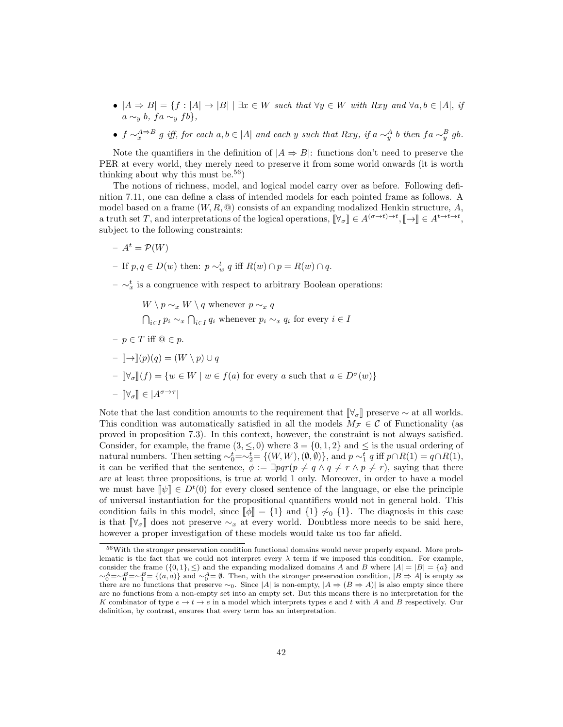- $|A \Rightarrow B| = \{f : |A| \rightarrow |B| \mid \exists x \in W \text{ such that } \forall y \in W \text{ with } Rxy \text{ and } \forall a, b \in |A|, \text{ if }$  $a \sim_y b$ ,  $fa \sim_y f b$ ,
- $f \sim_x^{A \Rightarrow B} g$  iff, for each  $a, b \in |A|$  and each y such that Rxy, if  $a \sim_y^A b$  then  $fa \sim_y^B gb$ .

Note the quantifiers in the definition of  $|A \Rightarrow B|$ : functions don't need to preserve the PER at every world, they merely need to preserve it from some world onwards (it is worth thinking about why this must be.<sup>56</sup>)

The notions of richness, model, and logical model carry over as before. Following definition 7.11, one can define a class of intended models for each pointed frame as follows. A model based on a frame  $(W, R, \mathcal{Q})$  consists of an expanding modalized Henkin structure, A, a truth set T, and interpretations of the logical operations,  $[\![\forall_{\sigma}]\!] \in A^{(\sigma \to t) \to t}$ ,  $[\![\to]\!] \in A^{t \to t \to t}$ , subject to the following constraints:

$$
- A^t = \mathcal{P}(W)
$$

- If 
$$
p, q \in D(w)
$$
 then:  $p \sim_w^t q$  iff  $R(w) \cap p = R(w) \cap q$ .

 $-$  ∼<sup>t</sup><sub>x</sub> is a congruence with respect to arbitrary Boolean operations:

$$
W \setminus p \sim_x W \setminus q \text{ whenever } p \sim_x q
$$
  

$$
\bigcap_{i \in I} p_i \sim_x \bigcap_{i \in I} q_i \text{ whenever } p_i \sim_x q_i \text{ for every } i \in I
$$
  

$$
- p \in T \text{ iff } @ \in p.
$$
  

$$
- \llbracket \rightarrow \rrbracket(p)(q) = (W \setminus p) \cup q
$$

 $\mathcal{L} = \left[ \forall_{\sigma} \right] (f) = \{ w \in W \mid w \in f(a) \text{ for every } a \text{ such that } a \in D^{\sigma}(w) \}$ 

$$
- \left[ \mathbb{V}_{\sigma} \right] \in \left| A^{\sigma \to \tau} \right|
$$

Note that the last condition amounts to the requirement that  $[\![\forall_{\sigma}]\!]$  preserve  $\sim$  at all worlds. This condition was automatically satisfied in all the models  $M_{\mathcal{F}} \in \mathcal{C}$  of Functionality (as proved in proposition 7.3). In this context, however, the constraint is not always satisfied. Consider, for example, the frame  $(3, \leq, 0)$  where  $3 = \{0, 1, 2\}$  and  $\leq$  is the usual ordering of natural numbers. Then setting  $\sim_0^t = \sim_2^t = \{(W, W), (\emptyset, \emptyset)\}\$ , and  $p \sim_1^t q$  iff  $p \cap R(1) = q \cap R(1)$ , it can be verified that the sentence,  $\phi := \exists pqr(p \neq q \land q \neq r \land p \neq r)$ , saying that there are at least three propositions, is true at world 1 only. Moreover, in order to have a model we must have  $[\![\psi]\!] \in D^t(0)$  for every closed sentence of the language, or else the principle<br>of universal instantiation for the propositional quantifiers would not in general hold. This of universal instantiation for the propositional quantifiers would not in general hold. This condition fails in this model, since  $\llbracket \phi \rrbracket = \{1\}$  and  $\{1\} \not\sim_0 \{1\}$ . The diagnosis in this case is that  $[\![\forall_{\sigma}\!]$  does not preserve  $\sim_x$  at every world. Doubtless more needs to be said here, however a proper investigation of these models would take us too far afield.

<sup>56</sup>With the stronger preservation condition functional domains would never properly expand. More problematic is the fact that we could not interpret every  $\lambda$  term if we imposed this condition. For example, consider the frame  $(\{0,1\},\leq)$  and the expanding modalized domains A and B where  $|A|=|B|=$   $\{a\}$  and  $\sim_0^A = \sim_0^B = \sim_1^B = \{(a, a)\}\$  and  $\sim_0^A = \emptyset$ . Then, with the stronger preservation condition,  $|B \Rightarrow A|$  is empty as there are no functions that preserve ~0. Since |A| is non-empty,  $|A \Rightarrow (B \Rightarrow A)|$  is also empty since there are no functions from a non-empty set into an empty set. But this means there is no interpretation for the K combinator of type  $e \to t \to e$  in a model which interprets types e and t with A and B respectively. Our definition, by contrast, ensures that every term has an interpretation.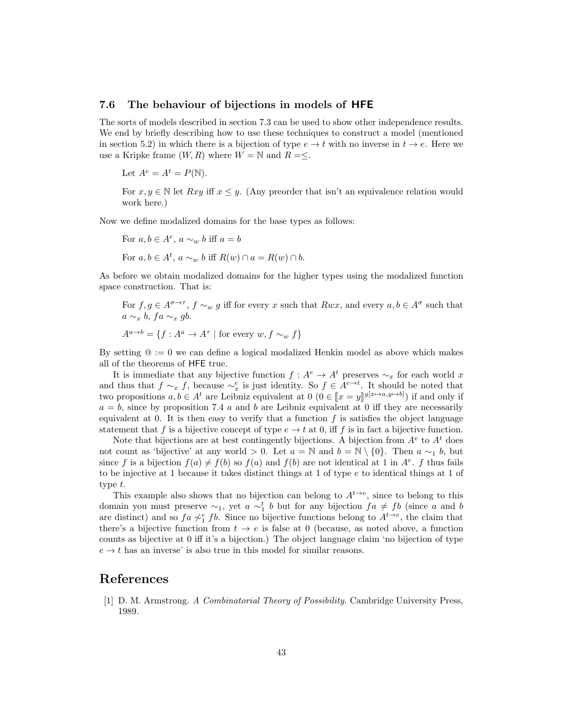### 7.6 The behaviour of bijections in models of HFE

The sorts of models described in section 7.3 can be used to show other independence results. We end by briefly describing how to use these techniques to construct a model (mentioned in section 5.2) in which there is a bijection of type  $e \to t$  with no inverse in  $t \to e$ . Here we use a Kripke frame  $(W, R)$  where  $W = \mathbb{N}$  and  $R = \leq$ .

Let  $A^e = A^t = P(\mathbb{N}).$ 

For  $x, y \in \mathbb{N}$  let  $Rxy$  iff  $x \leq y$ . (Any preorder that isn't an equivalence relation would work here.)

Now we define modalized domains for the base types as follows:

For 
$$
a, b \in A^e
$$
,  $a \sim_w b$  iff  $a = b$   
For  $a, b \in A^t$ ,  $a \sim_w b$  iff  $R(w) \cap a = R(w) \cap b$ .

As before we obtain modalized domains for the higher types using the modalized function space construction. That is:

For  $f, g \in A^{\sigma \to \tau}$ ,  $f \sim_w g$  iff for every x such that  $Rwx$ , and every  $a, b \in A^{\sigma}$  such that  $a \sim_{x} b$ ,  $fa \sim_{x} ab$ .

$$
A^{a \to b} = \{ f : A^a \to A^\tau \mid \text{for every } w, f \sim_w f \}
$$

By setting  $\mathcal{Q} := 0$  we can define a logical modalized Henkin model as above which makes all of the theorems of HFE true.

It is immediate that any bijective function  $f: A^e \to A^t$  preserves  $\sim_x$  for each world x and thus that  $f \sim_x f$ , because  $\sim_x^e$  is just identity. So  $f \in A^{e\to t}$ . It should be noted that two propositions  $a, b \in A^t$  are Leibniz equivalent at  $0, (0 \in [x = y]^{g(x \mapsto a, y \mapsto b)})$  if and only if  $a = b$ , since by proposition 7.4, a and b are Leibniz equivalent at 0 iff they are peoplesnily  $a = b$ , since by proposition 7.4 a and b are Leibniz equivalent at 0 iff they are necessarily equivalent at 0. It is then easy to verify that a function  $f$  is satisfies the object language statement that f is a bijective concept of type  $e \to t$  at 0, iff f is in fact a bijective function.

Note that bijections are at best contingently bijections. A bijection from  $A^e$  to  $A^t$  does not count as 'bijective' at any world > 0. Let  $a = \mathbb{N}$  and  $b = \mathbb{N} \setminus \{0\}$ . Then  $a \sim_1 b$ , but since f is a bijection  $f(a) \neq f(b)$  so  $f(a)$  and  $f(b)$  are not identical at 1 in  $A^e$ . f thus fails to be injective at 1 because it takes distinct things at 1 of type e to identical things at 1 of type t.

This example also shows that no bijection can belong to  $A^{t\to e}$ , since to belong to this domain you must preserve  $\sim_1$ , yet  $a \sim_1^t b$  but for any bijection  $fa \neq fb$  (since a and b are distinct) and so  $fa \not\sim_f^e fh$ . Since no bijective functions belong to  $A^{t\to e}$ , the claim that there's a bijective function from  $t \to e$  is false at 0 (because, as noted above, a function counts as bijective at 0 iff it's a bijection.) The object language claim 'no bijection of type  $e \rightarrow t$  has an inverse' is also true in this model for similar reasons.

# References

[1] D. M. Armstrong. A Combinatorial Theory of Possibility. Cambridge University Press, 1989.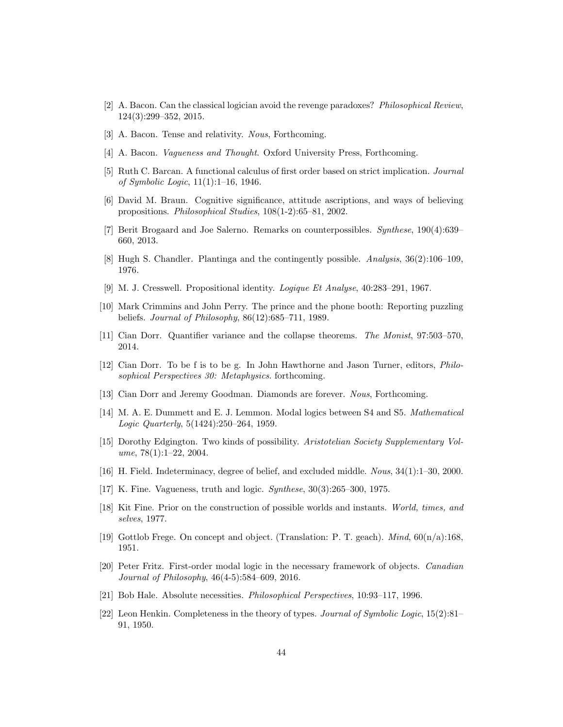- [2] A. Bacon. Can the classical logician avoid the revenge paradoxes? Philosophical Review, 124(3):299–352, 2015.
- [3] A. Bacon. Tense and relativity. Nous, Forthcoming.
- [4] A. Bacon. Vagueness and Thought. Oxford University Press, Forthcoming.
- [5] Ruth C. Barcan. A functional calculus of first order based on strict implication. Journal of Symbolic Logic, 11(1):1–16, 1946.
- [6] David M. Braun. Cognitive significance, attitude ascriptions, and ways of believing propositions. Philosophical Studies, 108(1-2):65–81, 2002.
- [7] Berit Brogaard and Joe Salerno. Remarks on counterpossibles. Synthese, 190(4):639– 660, 2013.
- [8] Hugh S. Chandler. Plantinga and the contingently possible. Analysis, 36(2):106–109, 1976.
- [9] M. J. Cresswell. Propositional identity. Logique Et Analyse, 40:283–291, 1967.
- [10] Mark Crimmins and John Perry. The prince and the phone booth: Reporting puzzling beliefs. Journal of Philosophy, 86(12):685–711, 1989.
- [11] Cian Dorr. Quantifier variance and the collapse theorems. The Monist, 97:503–570, 2014.
- [12] Cian Dorr. To be f is to be g. In John Hawthorne and Jason Turner, editors, Philosophical Perspectives 30: Metaphysics. forthcoming.
- [13] Cian Dorr and Jeremy Goodman. Diamonds are forever. Nous, Forthcoming.
- [14] M. A. E. Dummett and E. J. Lemmon. Modal logics between S4 and S5. Mathematical Logic Quarterly, 5(1424):250–264, 1959.
- [15] Dorothy Edgington. Two kinds of possibility. Aristotelian Society Supplementary Volume, 78(1):1–22, 2004.
- [16] H. Field. Indeterminacy, degree of belief, and excluded middle. Nous, 34(1):1–30, 2000.
- [17] K. Fine. Vagueness, truth and logic. *Synthese*, 30(3):265–300, 1975.
- [18] Kit Fine. Prior on the construction of possible worlds and instants. World, times, and selves, 1977.
- [19] Gottlob Frege. On concept and object. (Translation: P. T. geach). *Mind*,  $60(n/a):168$ , 1951.
- [20] Peter Fritz. First-order modal logic in the necessary framework of objects. Canadian Journal of Philosophy, 46(4-5):584–609, 2016.
- [21] Bob Hale. Absolute necessities. Philosophical Perspectives, 10:93–117, 1996.
- [22] Leon Henkin. Completeness in the theory of types. Journal of Symbolic Logic, 15(2):81– 91, 1950.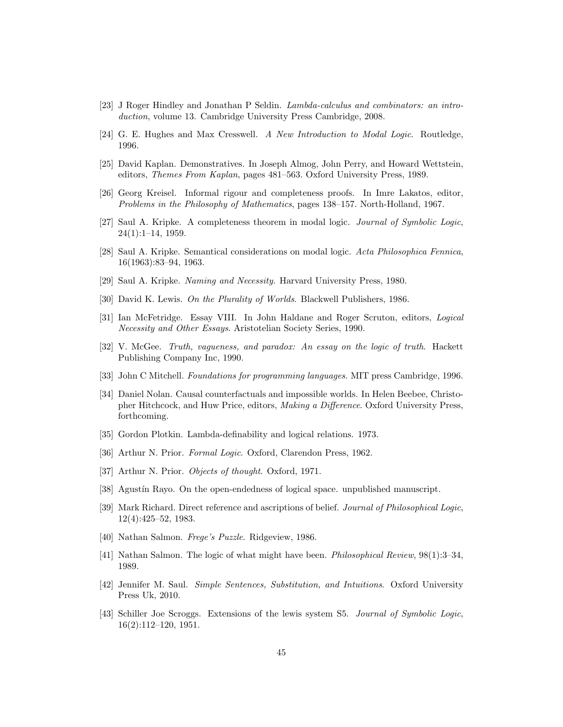- [23] J Roger Hindley and Jonathan P Seldin. Lambda-calculus and combinators: an introduction, volume 13. Cambridge University Press Cambridge, 2008.
- [24] G. E. Hughes and Max Cresswell. A New Introduction to Modal Logic. Routledge, 1996.
- [25] David Kaplan. Demonstratives. In Joseph Almog, John Perry, and Howard Wettstein, editors, Themes From Kaplan, pages 481–563. Oxford University Press, 1989.
- [26] Georg Kreisel. Informal rigour and completeness proofs. In Imre Lakatos, editor, Problems in the Philosophy of Mathematics, pages 138–157. North-Holland, 1967.
- [27] Saul A. Kripke. A completeness theorem in modal logic. Journal of Symbolic Logic, 24(1):1–14, 1959.
- [28] Saul A. Kripke. Semantical considerations on modal logic. Acta Philosophica Fennica, 16(1963):83–94, 1963.
- [29] Saul A. Kripke. Naming and Necessity. Harvard University Press, 1980.
- [30] David K. Lewis. On the Plurality of Worlds. Blackwell Publishers, 1986.
- [31] Ian McFetridge. Essay VIII. In John Haldane and Roger Scruton, editors, Logical Necessity and Other Essays. Aristotelian Society Series, 1990.
- [32] V. McGee. Truth, vagueness, and paradox: An essay on the logic of truth. Hackett Publishing Company Inc, 1990.
- [33] John C Mitchell. Foundations for programming languages. MIT press Cambridge, 1996.
- [34] Daniel Nolan. Causal counterfactuals and impossible worlds. In Helen Beebee, Christopher Hitchcock, and Huw Price, editors, Making a Difference. Oxford University Press, forthcoming.
- [35] Gordon Plotkin. Lambda-definability and logical relations. 1973.
- [36] Arthur N. Prior. Formal Logic. Oxford, Clarendon Press, 1962.
- [37] Arthur N. Prior. Objects of thought. Oxford, 1971.
- [38] Agustín Rayo. On the open-endedness of logical space. unpublished manuscript.
- [39] Mark Richard. Direct reference and ascriptions of belief. Journal of Philosophical Logic, 12(4):425–52, 1983.
- [40] Nathan Salmon. Frege's Puzzle. Ridgeview, 1986.
- [41] Nathan Salmon. The logic of what might have been. Philosophical Review, 98(1):3–34, 1989.
- [42] Jennifer M. Saul. Simple Sentences, Substitution, and Intuitions. Oxford University Press Uk, 2010.
- [43] Schiller Joe Scroggs. Extensions of the lewis system S5. Journal of Symbolic Logic, 16(2):112–120, 1951.